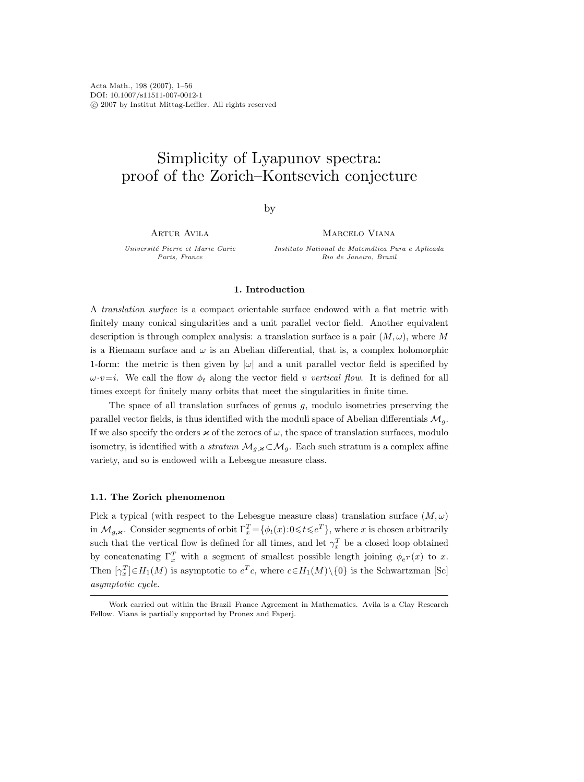Acta Math., 198 (2007), 1–56 DOI: 10.1007/s11511-007-0012-1 c 2007 by Institut Mittag-Leffler. All rights reserved

# Simplicity of Lyapunov spectra: proof of the Zorich–Kontsevich conjecture

by

Artur Avila

Universit´e Pierre et Marie Curie Paris, France

MARCELO VIANA

Instituto National de Matemática Pura e Aplicada Rio de Janeiro, Brazil

# 1. Introduction

A translation surface is a compact orientable surface endowed with a flat metric with finitely many conical singularities and a unit parallel vector field. Another equivalent description is through complex analysis: a translation surface is a pair  $(M, \omega)$ , where M is a Riemann surface and  $\omega$  is an Abelian differential, that is, a complex holomorphic 1-form: the metric is then given by  $|\omega|$  and a unit parallel vector field is specified by  $\omega \cdot v=i$ . We call the flow  $\phi_t$  along the vector field v vertical flow. It is defined for all times except for finitely many orbits that meet the singularities in finite time.

The space of all translation surfaces of genus  $g$ , modulo isometries preserving the parallel vector fields, is thus identified with the moduli space of Abelian differentials  $\mathcal{M}_q$ . If we also specify the orders  $\varkappa$  of the zeroes of  $\omega$ , the space of translation surfaces, modulo isometry, is identified with a *stratum*  $\mathcal{M}_{g,\kappa} \subset \mathcal{M}_g$ . Each such stratum is a complex affine variety, and so is endowed with a Lebesgue measure class.

# 1.1. The Zorich phenomenon

Pick a typical (with respect to the Lebesgue measure class) translation surface  $(M, \omega)$ in  $\mathcal{M}_{g,\varkappa}$ . Consider segments of orbit  $\Gamma_x^T = \{ \phi_t(x) : 0 \leq t \leq e^T \}$ , where x is chosen arbitrarily such that the vertical flow is defined for all times, and let  $\gamma_x^T$  be a closed loop obtained by concatenating  $\Gamma_x^T$  with a segment of smallest possible length joining  $\phi_{e^T}(x)$  to x. Then  $[\gamma_x^T] \in H_1(M)$  is asymptotic to  $e^T c$ , where  $c \in H_1(M) \setminus \{0\}$  is the Schwartzman [Sc] asymptotic cycle.

Work carried out within the Brazil–France Agreement in Mathematics. Avila is a Clay Research Fellow. Viana is partially supported by Pronex and Faperj.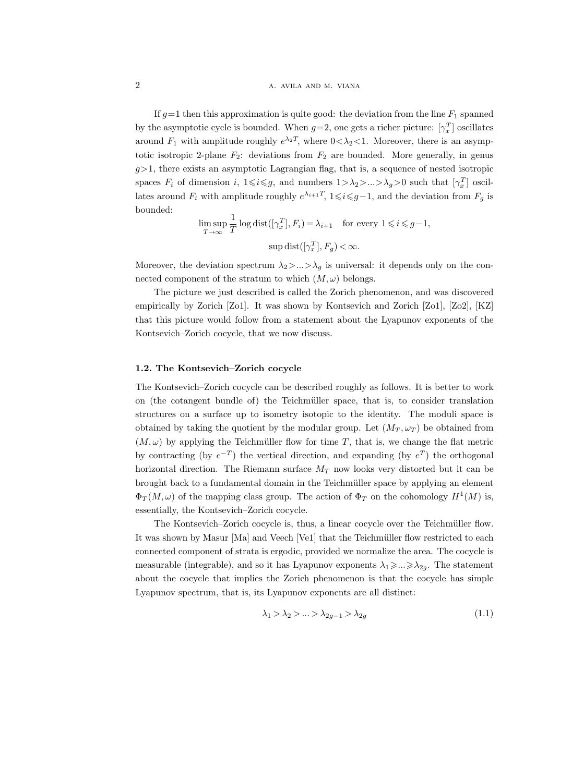If  $g=1$  then this approximation is quite good: the deviation from the line  $F_1$  spanned by the asymptotic cycle is bounded. When  $g=2$ , one gets a richer picture:  $[\gamma_x^T]$  oscillates around  $F_1$  with amplitude roughly  $e^{\lambda_2 T}$ , where  $0 < \lambda_2 < 1$ . Moreover, there is an asymptotic isotropic 2-plane  $F_2$ : deviations from  $F_2$  are bounded. More generally, in genus  $g$ >1, there exists an asymptotic Lagrangian flag, that is, a sequence of nested isotropic spaces  $F_i$  of dimension i,  $1 \leq i \leq g$ , and numbers  $1 > \lambda_2 > ... > \lambda_g > 0$  such that  $[\gamma_x^T]$  oscillates around  $F_i$  with amplitude roughly  $e^{\lambda_{i+1}T}$ ,  $1 \leq i \leq g-1$ , and the deviation from  $F_g$  is bounded:

$$
\limsup_{T \to \infty} \frac{1}{T} \log \text{dist}([\gamma_x^T], F_i) = \lambda_{i+1} \quad \text{for every } 1 \leq i \leq g-1,
$$
  

$$
\sup \text{dist}([\gamma_x^T], F_g) < \infty.
$$

Moreover, the deviation spectrum  $\lambda_2$ >...> $\lambda_q$  is universal: it depends only on the connected component of the stratum to which  $(M, \omega)$  belongs.

The picture we just described is called the Zorich phenomenon, and was discovered empirically by Zorich [Zo1]. It was shown by Kontsevich and Zorich [Zo1], [Zo2], [KZ] that this picture would follow from a statement about the Lyapunov exponents of the Kontsevich–Zorich cocycle, that we now discuss.

#### 1.2. The Kontsevich–Zorich cocycle

The Kontsevich–Zorich cocycle can be described roughly as follows. It is better to work on (the cotangent bundle of) the Teichm¨uller space, that is, to consider translation structures on a surface up to isometry isotopic to the identity. The moduli space is obtained by taking the quotient by the modular group. Let  $(M_T, \omega_T)$  be obtained from  $(M, \omega)$  by applying the Teichmüller flow for time T, that is, we change the flat metric by contracting (by  $e^{-T}$ ) the vertical direction, and expanding (by  $e^{T}$ ) the orthogonal horizontal direction. The Riemann surface  $M_T$  now looks very distorted but it can be brought back to a fundamental domain in the Teichm¨uller space by applying an element  $\Phi_T(M,\omega)$  of the mapping class group. The action of  $\Phi_T$  on the cohomology  $H^1(M)$  is, essentially, the Kontsevich–Zorich cocycle.

The Kontsevich–Zorich cocycle is, thus, a linear cocycle over the Teichmüller flow. It was shown by Masur [Ma] and Veech [Ve1] that the Teichmüller flow restricted to each connected component of strata is ergodic, provided we normalize the area. The cocycle is measurable (integrable), and so it has Lyapunov exponents  $\lambda_1 \geq \ldots \geq \lambda_{2g}$ . The statement about the cocycle that implies the Zorich phenomenon is that the cocycle has simple Lyapunov spectrum, that is, its Lyapunov exponents are all distinct:

$$
\lambda_1 > \lambda_2 > \ldots > \lambda_{2g-1} > \lambda_{2g} \tag{1.1}
$$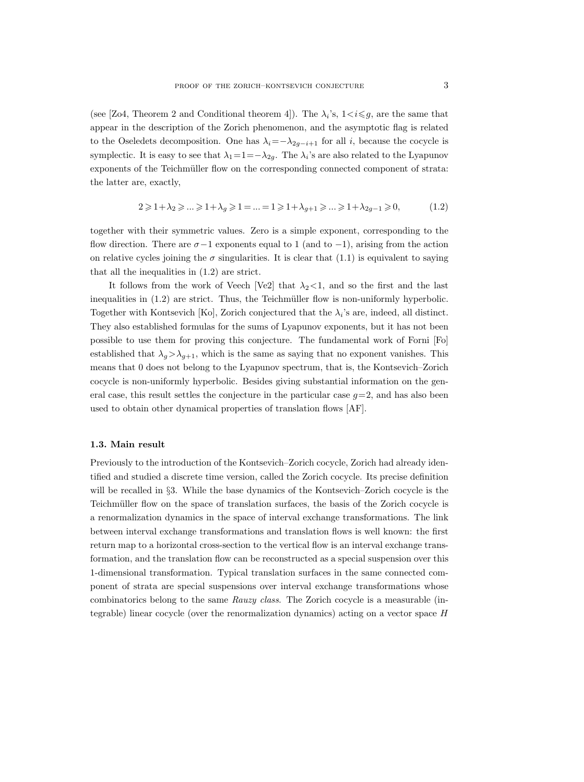(see [Zo4, Theorem 2 and Conditional theorem 4]). The  $\lambda_i$ 's,  $1 \lt i \leq g$ , are the same that appear in the description of the Zorich phenomenon, and the asymptotic flag is related to the Oseledets decomposition. One has  $\lambda_i=-\lambda_{2g-i+1}$  for all i, because the cocycle is symplectic. It is easy to see that  $\lambda_1=1=-\lambda_{2g}$ . The  $\lambda_i$ 's are also related to the Lyapunov exponents of the Teichmüller flow on the corresponding connected component of strata: the latter are, exactly,

$$
2 \geqslant 1 + \lambda_2 \geqslant \ldots \geqslant 1 + \lambda_g \geqslant 1 = \ldots = 1 \geqslant 1 + \lambda_{g+1} \geqslant \ldots \geqslant 1 + \lambda_{2g-1} \geqslant 0, \tag{1.2}
$$

together with their symmetric values. Zero is a simple exponent, corresponding to the flow direction. There are  $\sigma-1$  exponents equal to 1 (and to -1), arising from the action on relative cycles joining the  $\sigma$  singularities. It is clear that (1.1) is equivalent to saying that all the inequalities in (1.2) are strict.

It follows from the work of Veech [Ve2] that  $\lambda_2$ <1, and so the first and the last inequalities in  $(1.2)$  are strict. Thus, the Teichmüller flow is non-uniformly hyperbolic. Together with Kontsevich [Ko], Zorich conjectured that the  $\lambda_i$ 's are, indeed, all distinct. They also established formulas for the sums of Lyapunov exponents, but it has not been possible to use them for proving this conjecture. The fundamental work of Forni [Fo] established that  $\lambda_q > \lambda_{q+1}$ , which is the same as saying that no exponent vanishes. This means that 0 does not belong to the Lyapunov spectrum, that is, the Kontsevich–Zorich cocycle is non-uniformly hyperbolic. Besides giving substantial information on the general case, this result settles the conjecture in the particular case  $g=2$ , and has also been used to obtain other dynamical properties of translation flows [AF].

#### 1.3. Main result

Previously to the introduction of the Kontsevich–Zorich cocycle, Zorich had already identified and studied a discrete time version, called the Zorich cocycle. Its precise definition will be recalled in §3. While the base dynamics of the Kontsevich–Zorich cocycle is the Teichmüller flow on the space of translation surfaces, the basis of the Zorich cocycle is a renormalization dynamics in the space of interval exchange transformations. The link between interval exchange transformations and translation flows is well known: the first return map to a horizontal cross-section to the vertical flow is an interval exchange transformation, and the translation flow can be reconstructed as a special suspension over this 1-dimensional transformation. Typical translation surfaces in the same connected component of strata are special suspensions over interval exchange transformations whose combinatorics belong to the same Rauzy class. The Zorich cocycle is a measurable (integrable) linear cocycle (over the renormalization dynamics) acting on a vector space H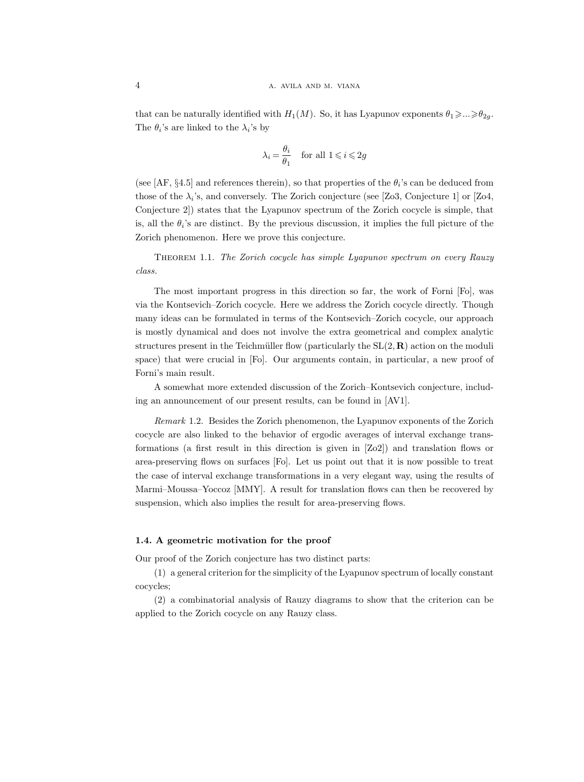that can be naturally identified with  $H_1(M)$ . So, it has Lyapunov exponents  $\theta_1 \geq \ldots \geq \theta_{2g}$ . The  $\theta_i$ 's are linked to the  $\lambda_i$ 's by

$$
\lambda_i\,{=}\,\frac{\theta_i}{\theta_1} \quad \text{for all } 1\,{\leqslant}\, i\,{\leqslant}\,2g
$$

(see [AF, §4.5] and references therein), so that properties of the  $\theta_i$ 's can be deduced from those of the  $\lambda_i$ 's, and conversely. The Zorich conjecture (see [Zo3, Conjecture 1] or [Zo4, Conjecture 2]) states that the Lyapunov spectrum of the Zorich cocycle is simple, that is, all the  $\theta_i$ 's are distinct. By the previous discussion, it implies the full picture of the Zorich phenomenon. Here we prove this conjecture.

THEOREM 1.1. The Zorich cocycle has simple Lyapunov spectrum on every Rauzy class.

The most important progress in this direction so far, the work of Forni [Fo], was via the Kontsevich–Zorich cocycle. Here we address the Zorich cocycle directly. Though many ideas can be formulated in terms of the Kontsevich–Zorich cocycle, our approach is mostly dynamical and does not involve the extra geometrical and complex analytic structures present in the Teichmüller flow (particularly the  $SL(2, \mathbf{R})$  action on the moduli space) that were crucial in [Fo]. Our arguments contain, in particular, a new proof of Forni's main result.

A somewhat more extended discussion of the Zorich–Kontsevich conjecture, including an announcement of our present results, can be found in [AV1].

Remark 1.2. Besides the Zorich phenomenon, the Lyapunov exponents of the Zorich cocycle are also linked to the behavior of ergodic averages of interval exchange transformations (a first result in this direction is given in [Zo2]) and translation flows or area-preserving flows on surfaces [Fo]. Let us point out that it is now possible to treat the case of interval exchange transformations in a very elegant way, using the results of Marmi–Moussa–Yoccoz [MMY]. A result for translation flows can then be recovered by suspension, which also implies the result for area-preserving flows.

# 1.4. A geometric motivation for the proof

Our proof of the Zorich conjecture has two distinct parts:

(1) a general criterion for the simplicity of the Lyapunov spectrum of locally constant cocycles;

(2) a combinatorial analysis of Rauzy diagrams to show that the criterion can be applied to the Zorich cocycle on any Rauzy class.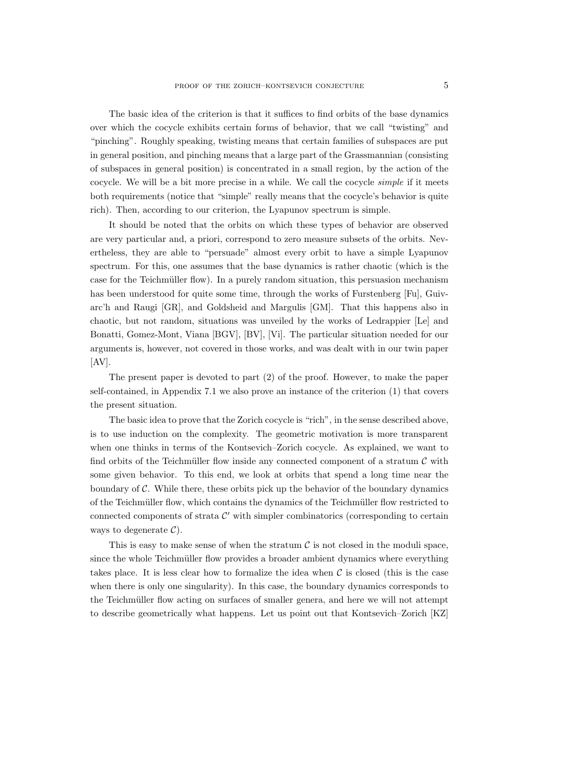The basic idea of the criterion is that it suffices to find orbits of the base dynamics over which the cocycle exhibits certain forms of behavior, that we call "twisting" and "pinching". Roughly speaking, twisting means that certain families of subspaces are put in general position, and pinching means that a large part of the Grassmannian (consisting of subspaces in general position) is concentrated in a small region, by the action of the cocycle. We will be a bit more precise in a while. We call the cocycle simple if it meets both requirements (notice that "simple" really means that the cocycle's behavior is quite rich). Then, according to our criterion, the Lyapunov spectrum is simple.

It should be noted that the orbits on which these types of behavior are observed are very particular and, a priori, correspond to zero measure subsets of the orbits. Nevertheless, they are able to "persuade" almost every orbit to have a simple Lyapunov spectrum. For this, one assumes that the base dynamics is rather chaotic (which is the case for the Teichmüller flow). In a purely random situation, this persuasion mechanism has been understood for quite some time, through the works of Furstenberg [Fu], Guivarc'h and Raugi [GR], and Goldsheid and Margulis [GM]. That this happens also in chaotic, but not random, situations was unveiled by the works of Ledrappier [Le] and Bonatti, Gomez-Mont, Viana [BGV], [BV], [Vi]. The particular situation needed for our arguments is, however, not covered in those works, and was dealt with in our twin paper  $[AV].$ 

The present paper is devoted to part (2) of the proof. However, to make the paper self-contained, in Appendix 7.1 we also prove an instance of the criterion (1) that covers the present situation.

The basic idea to prove that the Zorich cocycle is "rich", in the sense described above, is to use induction on the complexity. The geometric motivation is more transparent when one thinks in terms of the Kontsevich–Zorich cocycle. As explained, we want to find orbits of the Teichmüller flow inside any connected component of a stratum  $\mathcal C$  with some given behavior. To this end, we look at orbits that spend a long time near the boundary of C. While there, these orbits pick up the behavior of the boundary dynamics of the Teichmüller flow, which contains the dynamics of the Teichmüller flow restricted to connected components of strata  $\mathcal{C}'$  with simpler combinatorics (corresponding to certain ways to degenerate  $\mathcal{C}$ ).

This is easy to make sense of when the stratum  $\mathcal C$  is not closed in the moduli space, since the whole Teichmüller flow provides a broader ambient dynamics where everything takes place. It is less clear how to formalize the idea when  $\mathcal C$  is closed (this is the case when there is only one singularity). In this case, the boundary dynamics corresponds to the Teichmüller flow acting on surfaces of smaller genera, and here we will not attempt to describe geometrically what happens. Let us point out that Kontsevich–Zorich [KZ]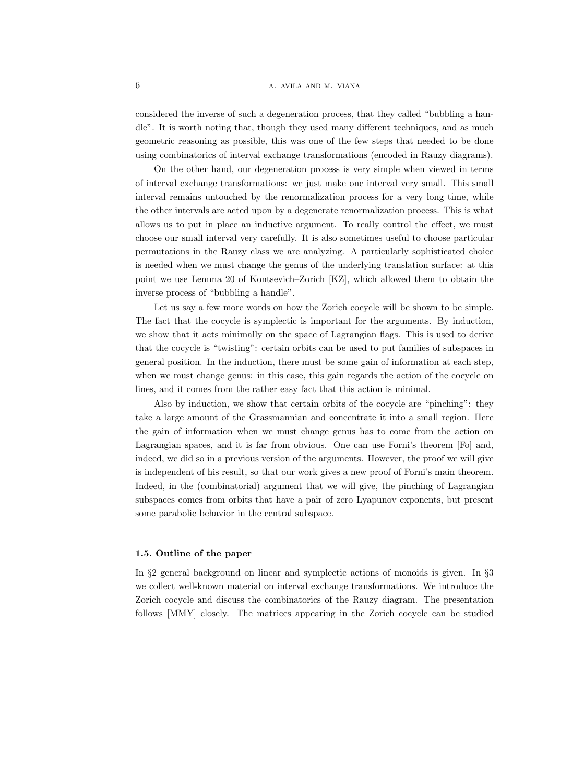considered the inverse of such a degeneration process, that they called "bubbling a handle". It is worth noting that, though they used many different techniques, and as much geometric reasoning as possible, this was one of the few steps that needed to be done using combinatorics of interval exchange transformations (encoded in Rauzy diagrams).

On the other hand, our degeneration process is very simple when viewed in terms of interval exchange transformations: we just make one interval very small. This small interval remains untouched by the renormalization process for a very long time, while the other intervals are acted upon by a degenerate renormalization process. This is what allows us to put in place an inductive argument. To really control the effect, we must choose our small interval very carefully. It is also sometimes useful to choose particular permutations in the Rauzy class we are analyzing. A particularly sophisticated choice is needed when we must change the genus of the underlying translation surface: at this point we use Lemma 20 of Kontsevich–Zorich [KZ], which allowed them to obtain the inverse process of "bubbling a handle".

Let us say a few more words on how the Zorich cocycle will be shown to be simple. The fact that the cocycle is symplectic is important for the arguments. By induction, we show that it acts minimally on the space of Lagrangian flags. This is used to derive that the cocycle is "twisting": certain orbits can be used to put families of subspaces in general position. In the induction, there must be some gain of information at each step, when we must change genus: in this case, this gain regards the action of the cocycle on lines, and it comes from the rather easy fact that this action is minimal.

Also by induction, we show that certain orbits of the cocycle are "pinching": they take a large amount of the Grassmannian and concentrate it into a small region. Here the gain of information when we must change genus has to come from the action on Lagrangian spaces, and it is far from obvious. One can use Forni's theorem [Fo] and, indeed, we did so in a previous version of the arguments. However, the proof we will give is independent of his result, so that our work gives a new proof of Forni's main theorem. Indeed, in the (combinatorial) argument that we will give, the pinching of Lagrangian subspaces comes from orbits that have a pair of zero Lyapunov exponents, but present some parabolic behavior in the central subspace.

# 1.5. Outline of the paper

In §2 general background on linear and symplectic actions of monoids is given. In §3 we collect well-known material on interval exchange transformations. We introduce the Zorich cocycle and discuss the combinatorics of the Rauzy diagram. The presentation follows [MMY] closely. The matrices appearing in the Zorich cocycle can be studied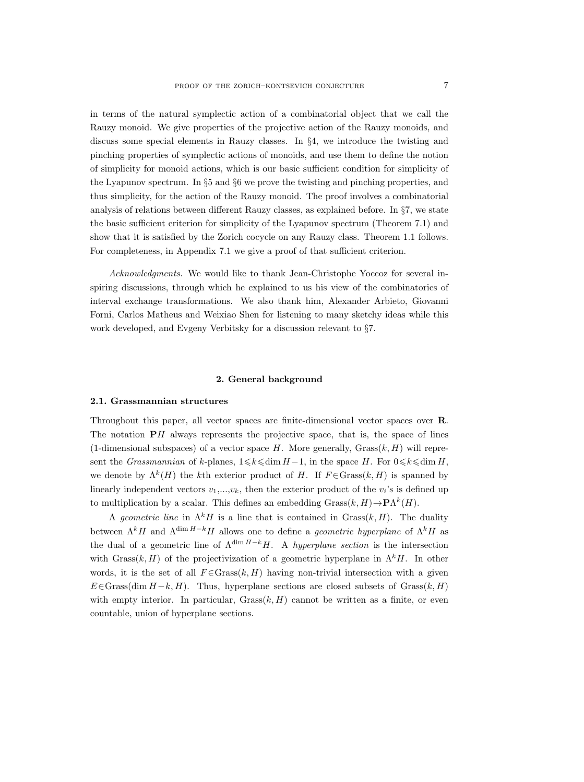in terms of the natural symplectic action of a combinatorial object that we call the Rauzy monoid. We give properties of the projective action of the Rauzy monoids, and discuss some special elements in Rauzy classes. In §4, we introduce the twisting and pinching properties of symplectic actions of monoids, and use them to define the notion of simplicity for monoid actions, which is our basic sufficient condition for simplicity of the Lyapunov spectrum. In §5 and §6 we prove the twisting and pinching properties, and thus simplicity, for the action of the Rauzy monoid. The proof involves a combinatorial analysis of relations between different Rauzy classes, as explained before. In §7, we state the basic sufficient criterion for simplicity of the Lyapunov spectrum (Theorem 7.1) and show that it is satisfied by the Zorich cocycle on any Rauzy class. Theorem 1.1 follows. For completeness, in Appendix 7.1 we give a proof of that sufficient criterion.

Acknowledgments. We would like to thank Jean-Christophe Yoccoz for several inspiring discussions, through which he explained to us his view of the combinatorics of interval exchange transformations. We also thank him, Alexander Arbieto, Giovanni Forni, Carlos Matheus and Weixiao Shen for listening to many sketchy ideas while this work developed, and Evgeny Verbitsky for a discussion relevant to §7.

#### 2. General background

# 2.1. Grassmannian structures

Throughout this paper, all vector spaces are finite-dimensional vector spaces over R. The notation  $\mathbf{P}H$  always represents the projective space, that is, the space of lines (1-dimensional subspaces) of a vector space  $H$ . More generally,  $Grass(k, H)$  will represent the Grassmannian of k-planes,  $1 \leq k \leq \dim H-1$ , in the space H. For  $0 \leq k \leq \dim H$ , we denote by  $\Lambda^k(H)$  the kth exterior product of H. If  $F \in \text{Grass}(k, H)$  is spanned by linearly independent vectors  $v_1, \ldots, v_k$ , then the exterior product of the  $v_i$ 's is defined up to multiplication by a scalar. This defines an embedding  $Grass(k, H) \to \mathbf{P}\Lambda^k(H)$ .

A geometric line in  $\Lambda^k H$  is a line that is contained in Grass $(k, H)$ . The duality between  $\Lambda^k H$  and  $\Lambda^{\dim H-k} H$  allows one to define a *geometric hyperplane* of  $\Lambda^k H$  as the dual of a geometric line of  $\Lambda^{\dim H-k}H$ . A *hyperplane section* is the intersection with Grass $(k, H)$  of the projectivization of a geometric hyperplane in  $\Lambda^k H$ . In other words, it is the set of all  $F \in \text{Grass}(k, H)$  having non-trivial intersection with a given  $E \in$ Grass(dim  $H-k$ , H). Thus, hyperplane sections are closed subsets of Grass(k, H) with empty interior. In particular,  $Grass(k, H)$  cannot be written as a finite, or even countable, union of hyperplane sections.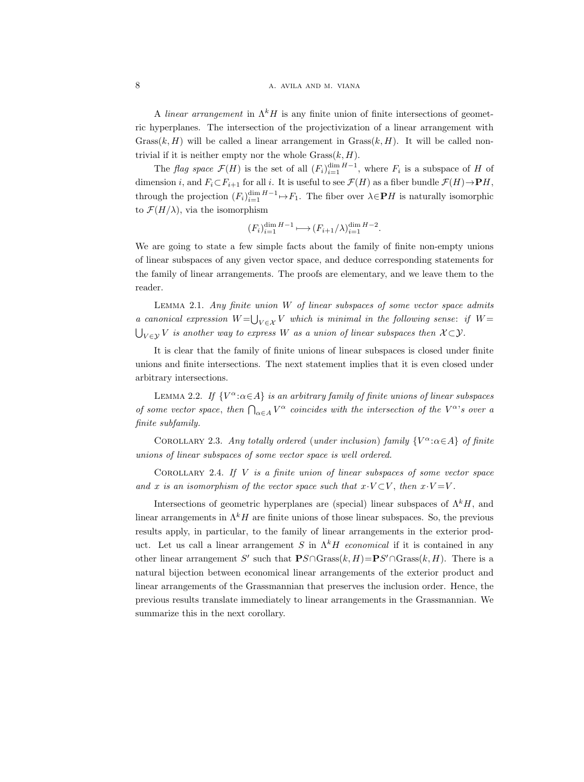A linear arrangement in  $\Lambda^k H$  is any finite union of finite intersections of geometric hyperplanes. The intersection of the projectivization of a linear arrangement with Grass $(k, H)$  will be called a linear arrangement in Grass $(k, H)$ . It will be called nontrivial if it is neither empty nor the whole  $Grass(k, H)$ .

The flag space  $\mathcal{F}(H)$  is the set of all  $(F_i)_{i=1}^{\dim H-1}$ , where  $F_i$  is a subspace of H of dimension i, and  $F_i \subset F_{i+1}$  for all i. It is useful to see  $\mathcal{F}(H)$  as a fiber bundle  $\mathcal{F}(H) \to \mathbf{P}H$ , through the projection  $(F_i)_{i=1}^{\dim H-1} \mapsto F_1$ . The fiber over  $\lambda \in \mathbf{P}H$  is naturally isomorphic to  $\mathcal{F}(H/\lambda)$ , via the isomorphism

$$
(F_i)_{i=1}^{\dim H-1} \longmapsto (F_{i+1}/\lambda)_{i=1}^{\dim H-2}.
$$

We are going to state a few simple facts about the family of finite non-empty unions of linear subspaces of any given vector space, and deduce corresponding statements for the family of linear arrangements. The proofs are elementary, and we leave them to the reader.

LEMMA 2.1. Any finite union  $W$  of linear subspaces of some vector space admits a canonical expression  $W=\bigcup_{V\in\mathcal{X}}V$  which is minimal in the following sense: if  $W=$  $\bigcup_{V\in\mathcal{Y}}V$  is another way to express  $W$  as a union of linear subspaces then  $\mathcal{X}\mathcal{\subset}\mathcal{Y}.$ 

It is clear that the family of finite unions of linear subspaces is closed under finite unions and finite intersections. The next statement implies that it is even closed under arbitrary intersections.

LEMMA 2.2. If  ${V^{\alpha}}:\alpha \in A$  is an arbitrary family of finite unions of linear subspaces of some vector space, then  $\bigcap_{\alpha \in A} V^{\alpha}$  coincides with the intersection of the  $V^{\alpha}$ 's over a finite subfamily.

COROLLARY 2.3. Any totally ordered (under inclusion) family  ${V^{\alpha}}:\alpha \in A$  of finite unions of linear subspaces of some vector space is well ordered.

COROLLARY 2.4. If  $V$  is a finite union of linear subspaces of some vector space and x is an isomorphism of the vector space such that  $x \cdot V \subset V$ , then  $x \cdot V = V$ .

Intersections of geometric hyperplanes are (special) linear subspaces of  $\Lambda^k H$ , and linear arrangements in  $\Lambda^k H$  are finite unions of those linear subspaces. So, the previous results apply, in particular, to the family of linear arrangements in the exterior product. Let us call a linear arrangement S in  $\Lambda^k H$  economical if it is contained in any other linear arrangement S' such that  $PS \cap Grass(k, H) = PS' \cap Grass(k, H)$ . There is a natural bijection between economical linear arrangements of the exterior product and linear arrangements of the Grassmannian that preserves the inclusion order. Hence, the previous results translate immediately to linear arrangements in the Grassmannian. We summarize this in the next corollary.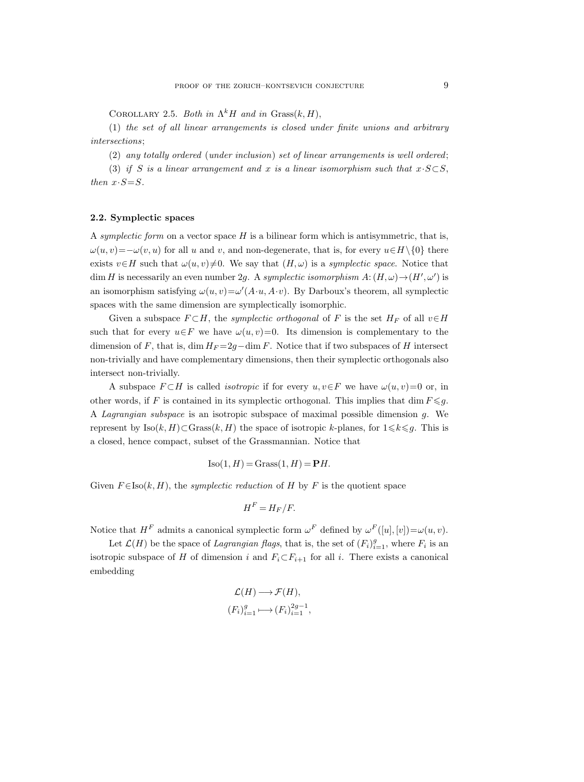COROLLARY 2.5. Both in  $\Lambda^k H$  and in Grass $(k, H)$ ,

(1) the set of all linear arrangements is closed under finite unions and arbitrary intersections;

(2) any totally ordered (under inclusion) set of linear arrangements is well ordered;

(3) if S is a linear arrangement and x is a linear isomorphism such that  $x \cdot S \subset S$ , then  $x \cdot S = S$ .

# 2.2. Symplectic spaces

A symplectic form on a vector space  $H$  is a bilinear form which is antisymmetric, that is,  $\omega(u, v) = -\omega(v, u)$  for all u and v, and non-degenerate, that is, for every  $u \in H \setminus \{0\}$  there exists  $v \in H$  such that  $\omega(u, v) \neq 0$ . We say that  $(H, \omega)$  is a symplectic space. Notice that dim H is necessarily an even number 2g. A symplectic isomorphism  $A: (H, \omega) \rightarrow (H', \omega')$  is an isomorphism satisfying  $\omega(u, v) = \omega'(A \cdot u, A \cdot v)$ . By Darboux's theorem, all symplectic spaces with the same dimension are symplectically isomorphic.

Given a subspace  $F \subset H$ , the symplectic orthogonal of F is the set  $H_F$  of all  $v \in H$ such that for every  $u \in F$  we have  $\omega(u, v) = 0$ . Its dimension is complementary to the dimension of F, that is, dim  $H_F = 2q - \dim F$ . Notice that if two subspaces of H intersect non-trivially and have complementary dimensions, then their symplectic orthogonals also intersect non-trivially.

A subspace  $F \subset H$  is called *isotropic* if for every  $u, v \in F$  we have  $\omega(u, v) = 0$  or, in other words, if F is contained in its symplectic orthogonal. This implies that dim  $F \leqslant g$ . A Lagrangian subspace is an isotropic subspace of maximal possible dimension  $g$ . We represent by  $\text{Iso}(k, H) \subset \text{Grass}(k, H)$  the space of isotropic k-planes, for  $1 \leq k \leq g$ . This is a closed, hence compact, subset of the Grassmannian. Notice that

$$
Iso(1, H) = Grass(1, H) = \mathbf{P}H.
$$

Given  $F \in \text{Iso}(k, H)$ , the *symplectic reduction* of H by F is the quotient space

$$
H^F = H_F/F.
$$

Notice that  $H^F$  admits a canonical symplectic form  $\omega^F$  defined by  $\omega^F([u],[v]) = \omega(u,v)$ .

Let  $\mathcal{L}(H)$  be the space of Lagrangian flags, that is, the set of  $(F_i)_{i=1}^g$ , where  $F_i$  is an isotropic subspace of H of dimension i and  $F_i \subset F_{i+1}$  for all i. There exists a canonical embedding

$$
\mathcal{L}(H) \longrightarrow \mathcal{F}(H),
$$
  

$$
(F_i)_{i=1}^g \longmapsto (F_i)_{i=1}^{2g-1},
$$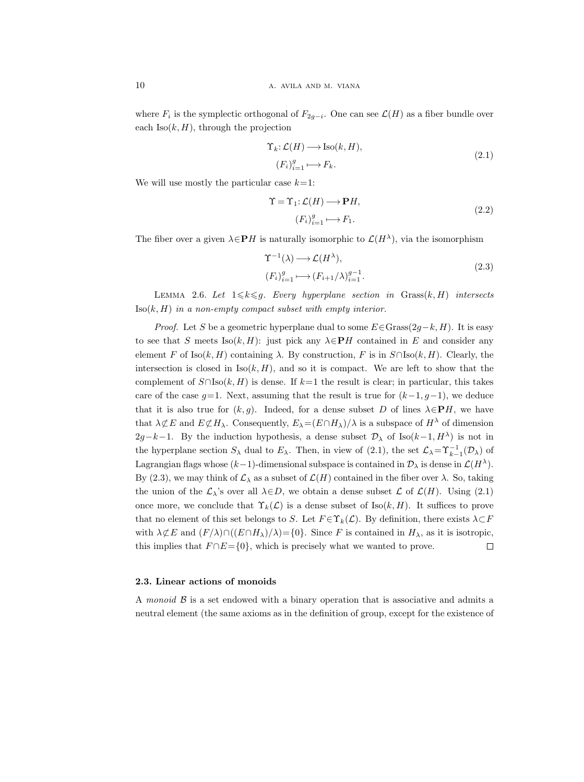where  $F_i$  is the symplectic orthogonal of  $F_{2g-i}$ . One can see  $\mathcal{L}(H)$  as a fiber bundle over each  $\text{Iso}(k, H)$ , through the projection

$$
\begin{aligned} \Upsilon_k: \mathcal{L}(H) &\longrightarrow \text{Iso}(k, H), \\ (F_i)_{i=1}^g &\longmapsto F_k. \end{aligned} \tag{2.1}
$$

We will use mostly the particular case  $k=1$ :

$$
\Upsilon = \Upsilon_1: \mathcal{L}(H) \longrightarrow \mathbf{P}H,
$$
  
\n
$$
(F_i)_{i=1}^g \longmapsto F_1.
$$
\n(2.2)

The fiber over a given  $\lambda \in \mathbf{P}H$  is naturally isomorphic to  $\mathcal{L}(H^{\lambda})$ , via the isomorphism

$$
\begin{aligned} \Upsilon^{-1}(\lambda) &\longrightarrow \mathcal{L}(H^{\lambda}),\\ (F_i)_{i=1}^g &\longmapsto (F_{i+1}/\lambda)_{i=1}^{g-1}.\end{aligned} \tag{2.3}
$$

LEMMA 2.6. Let  $1 \leq k \leq g$ . Every hyperplane section in Grass $(k, H)$  intersects  $\text{Iso}(k, H)$  in a non-empty compact subset with empty interior.

*Proof.* Let S be a geometric hyperplane dual to some  $E \in \text{Grass}(2q-k, H)$ . It is easy to see that S meets Iso(k, H): just pick any  $\lambda \in \mathbf{P}H$  contained in E and consider any element F of Iso(k, H) containing  $\lambda$ . By construction, F is in  $S \cap \text{Iso}(k, H)$ . Clearly, the intersection is closed in  $\text{Iso}(k, H)$ , and so it is compact. We are left to show that the complement of  $S \cap \text{Iso}(k, H)$  is dense. If  $k=1$  the result is clear; in particular, this takes care of the case  $g=1$ . Next, assuming that the result is true for  $(k-1, g-1)$ , we deduce that it is also true for  $(k, g)$ . Indeed, for a dense subset D of lines  $\lambda \in PH$ , we have that  $\lambda \not\subset E$  and  $E \not\subset H_\lambda$ . Consequently,  $E_\lambda = (E \cap H_\lambda)/\lambda$  is a subspace of  $H^\lambda$  of dimension  $2g-k-1$ . By the induction hypothesis, a dense subset  $\mathcal{D}_{\lambda}$  of Iso(k-1, H<sup> $\lambda$ </sup>) is not in the hyperplane section  $S_\lambda$  dual to  $E_\lambda$ . Then, in view of (2.1), the set  $\mathcal{L}_\lambda=\Upsilon_{k-1}^{-1}(\mathcal{D}_\lambda)$  of Lagrangian flags whose  $(k-1)$ -dimensional subspace is contained in  $\mathcal{D}_{\lambda}$  is dense in  $\mathcal{L}(H^{\lambda})$ . By (2.3), we may think of  $\mathcal{L}_{\lambda}$  as a subset of  $\mathcal{L}(H)$  contained in the fiber over  $\lambda$ . So, taking the union of the  $\mathcal{L}_{\lambda}$ 's over all  $\lambda \in D$ , we obtain a dense subset  $\mathcal{L}$  of  $\mathcal{L}(H)$ . Using (2.1) once more, we conclude that  $\Upsilon_k(\mathcal{L})$  is a dense subset of Iso $(k, H)$ . It suffices to prove that no element of this set belongs to S. Let  $F \in \Upsilon_k(\mathcal{L})$ . By definition, there exists  $\lambda \subset F$ with  $\lambda \not\subset E$  and  $(F/\lambda) \cap ((E \cap H_{\lambda})/\lambda) = \{0\}$ . Since F is contained in  $H_{\lambda}$ , as it is isotropic, this implies that  $F \cap E = \{0\}$ , which is precisely what we wanted to prove.  $\Box$ 

# 2.3. Linear actions of monoids

A monoid  $\beta$  is a set endowed with a binary operation that is associative and admits a neutral element (the same axioms as in the definition of group, except for the existence of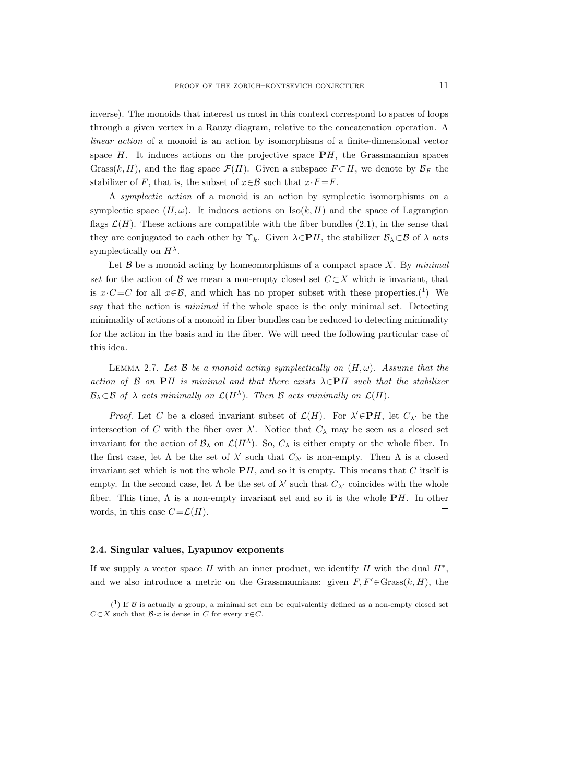inverse). The monoids that interest us most in this context correspond to spaces of loops through a given vertex in a Rauzy diagram, relative to the concatenation operation. A linear action of a monoid is an action by isomorphisms of a finite-dimensional vector space  $H$ . It induces actions on the projective space  $\mathbf{P}H$ , the Grassmannian spaces Grass(k, H), and the flag space  $\mathcal{F}(H)$ . Given a subspace  $F \subset H$ , we denote by  $\mathcal{B}_F$  the stabilizer of F, that is, the subset of  $x \in \mathcal{B}$  such that  $x \cdot F = F$ .

A symplectic action of a monoid is an action by symplectic isomorphisms on a symplectic space  $(H, \omega)$ . It induces actions on Iso $(k, H)$  and the space of Lagrangian flags  $\mathcal{L}(H)$ . These actions are compatible with the fiber bundles (2.1), in the sense that they are conjugated to each other by  $\Upsilon_k$ . Given  $\lambda \in \mathbf{P}H$ , the stabilizer  $\mathcal{B}_\lambda \subset \mathcal{B}$  of  $\lambda$  acts symplectically on  $H^{\lambda}$ .

Let  $\beta$  be a monoid acting by homeomorphisms of a compact space X. By minimal set for the action of B we mean a non-empty closed set  $C\subset X$  which is invariant, that is  $x \cdot C = C$  for all  $x \in \mathcal{B}$ , and which has no proper subset with these properties.<sup>(1</sup>) We say that the action is *minimal* if the whole space is the only minimal set. Detecting minimality of actions of a monoid in fiber bundles can be reduced to detecting minimality for the action in the basis and in the fiber. We will need the following particular case of this idea.

LEMMA 2.7. Let B be a monoid acting symplectically on  $(H, \omega)$ . Assume that the action of B on PH is minimal and that there exists  $\lambda \in P$ H such that the stabilizer  $\mathcal{B}_{\lambda} \subset \mathcal{B}$  of  $\lambda$  acts minimally on  $\mathcal{L}(H^{\lambda})$ . Then  $\mathcal{B}$  acts minimally on  $\mathcal{L}(H)$ .

*Proof.* Let C be a closed invariant subset of  $\mathcal{L}(H)$ . For  $\lambda' \in \mathbf{P}H$ , let  $C_{\lambda'}$  be the intersection of C with the fiber over  $\lambda'$ . Notice that  $C_{\lambda}$  may be seen as a closed set invariant for the action of  $\mathcal{B}_{\lambda}$  on  $\mathcal{L}(H^{\lambda})$ . So,  $C_{\lambda}$  is either empty or the whole fiber. In the first case, let  $\Lambda$  be the set of  $\lambda'$  such that  $C_{\lambda'}$  is non-empty. Then  $\Lambda$  is a closed invariant set which is not the whole  $\mathbf{P}H$ , and so it is empty. This means that C itself is empty. In the second case, let  $\Lambda$  be the set of  $\lambda'$  such that  $C_{\lambda'}$  coincides with the whole fiber. This time,  $\Lambda$  is a non-empty invariant set and so it is the whole  $\mathbf{P}H$ . In other words, in this case  $C = \mathcal{L}(H)$ .  $\Box$ 

## 2.4. Singular values, Lyapunov exponents

If we supply a vector space H with an inner product, we identify H with the dual  $H^*$ , and we also introduce a metric on the Grassmannians: given  $F, F' \in \text{Grass}(k, H)$ , the

 $(1)$  If B is actually a group, a minimal set can be equivalently defined as a non-empty closed set  $C\subset X$  such that  $\mathcal{B}\cdot x$  is dense in C for every  $x\in C$ .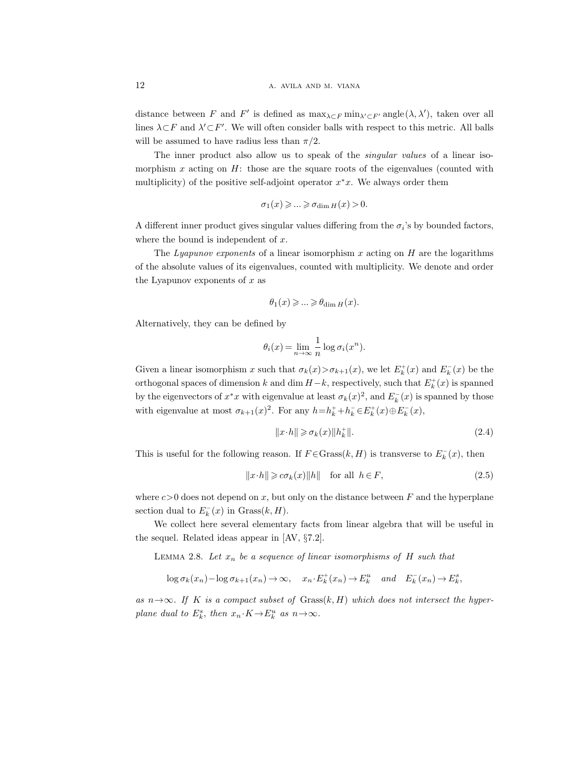distance between F and F' is defined as  $\max_{\lambda \subset F} \min_{\lambda' \subset F'} \text{angle}(\lambda, \lambda')$ , taken over all lines  $\lambda \subset F$  and  $\lambda' \subset F'$ . We will often consider balls with respect to this metric. All balls will be assumed to have radius less than  $\pi/2$ .

The inner product also allow us to speak of the singular values of a linear isomorphism x acting on  $H$ : those are the square roots of the eigenvalues (counted with multiplicity) of the positive self-adjoint operator  $x^*x$ . We always order them

$$
\sigma_1(x) \geqslant \ldots \geqslant \sigma_{\dim H}(x) > 0.
$$

A different inner product gives singular values differing from the  $\sigma_i$ 's by bounded factors, where the bound is independent of  $x$ .

The Lyapunov exponents of a linear isomorphism  $x$  acting on  $H$  are the logarithms of the absolute values of its eigenvalues, counted with multiplicity. We denote and order the Lyapunov exponents of  $x$  as

$$
\theta_1(x) \geqslant \ldots \geqslant \theta_{\dim H}(x).
$$

Alternatively, they can be defined by

$$
\theta_i(x) = \lim_{n \to \infty} \frac{1}{n} \log \sigma_i(x^n).
$$

Given a linear isomorphism x such that  $\sigma_k(x) > \sigma_{k+1}(x)$ , we let  $E_k^+(x)$  and  $E_k^-(x)$  be the orthogonal spaces of dimension k and dim  $H-k$ , respectively, such that  $E_k^+(x)$  is spanned by the eigenvectors of  $x^*x$  with eigenvalue at least  $\sigma_k(x)^2$ , and  $E_k^-(x)$  is spanned by those with eigenvalue at most  $\sigma_{k+1}(x)^2$ . For any  $h=h_k^++h_k^-\in E_k^+(x)\oplus E_k^-(x)$ ,

$$
||x \cdot h|| \geq \sigma_k(x) ||h_k^+||. \tag{2.4}
$$

This is useful for the following reason. If  $F \in \text{Grass}(k, H)$  is transverse to  $E_k^-(x)$ , then

$$
||x \cdot h|| \geq c\sigma_k(x)||h|| \quad \text{for all} \ \ h \in F,
$$
\n
$$
(2.5)
$$

where  $c>0$  does not depend on x, but only on the distance between F and the hyperplane section dual to  $E_k^-(x)$  in  $Grass(k, H)$ .

We collect here several elementary facts from linear algebra that will be useful in the sequel. Related ideas appear in [AV, §7.2].

LEMMA 2.8. Let  $x_n$  be a sequence of linear isomorphisms of H such that

$$
\log \sigma_k(x_n) - \log \sigma_{k+1}(x_n) \to \infty, \quad x_n \cdot E_k^+(x_n) \to E_k^u \quad and \quad E_k^-(x_n) \to E_k^s,
$$

as  $n \rightarrow \infty$ . If K is a compact subset of Grass $(k, H)$  which does not intersect the hyperplane dual to  $E_k^s$ , then  $x_n \tcdot K \to E_k^u$  as  $n \to \infty$ .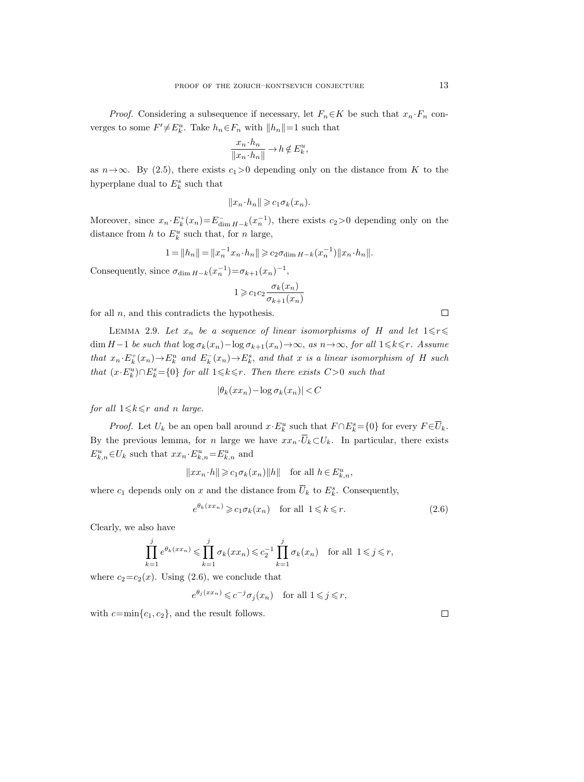*Proof.* Considering a subsequence if necessary, let  $F_n \in K$  be such that  $x_n \cdot F_n$  converges to some  $F' \neq E_k^u$ . Take  $h_n \in F_n$  with  $||h_n|| = 1$  such that

$$
\frac{x_n \cdot h_n}{\|x_n \cdot h_n\|} \to h \notin E_k^u,
$$

as  $n \rightarrow \infty$ . By (2.5), there exists  $c_1 > 0$  depending only on the distance from K to the hyperplane dual to  $E_k^s$  such that

$$
||x_n \cdot h_n|| \geq c_1 \sigma_k(x_n).
$$

Moreover, since  $x_n \cdot E_k^+(x_n) = E_{\dim H-k}^-(x_n^{-1})$ , there exists  $c_2 > 0$  depending only on the distance from  $h$  to  $E_k^u$  such that, for  $n$  large,

$$
1 = ||h_n|| = ||x_n^{-1}x_n \cdot h_n|| \geq c_2 \sigma_{\dim H - k}(x_n^{-1}) ||x_n \cdot h_n||.
$$

Consequently, since  $\sigma_{\dim H-k}(x_n^{-1}) = \sigma_{k+1}(x_n)^{-1}$ ,

$$
1 \geqslant c_1 c_2 \frac{\sigma_k(x_n)}{\sigma_{k+1}(x_n)}
$$

for all  $n$ , and this contradicts the hypothesis.

LEMMA 2.9. Let  $x_n$  be a sequence of linear isomorphisms of H and let  $1 \leq r \leq$ dim H−1 be such that  $\log \sigma_k(x_n) - \log \sigma_{k+1}(x_n) \to \infty$ , as  $n \to \infty$ , for all  $1 \leq k \leq r$ . Assume that  $x_n \cdot E_k^+(x_n) \to E_k^u$  and  $E_k^-(x_n) \to E_k^s$ , and that x is a linear isomorphism of H such that  $(x \cdot E_k^u) \cap E_k^s = \{0\}$  for all  $1 \leq k \leq r$ . Then there exists  $C > 0$  such that

$$
|\theta_k(xx_n) - \log \sigma_k(x_n)| < C
$$

for all  $1 \leq k \leq r$  and n large.

*Proof.* Let  $U_k$  be an open ball around  $x \cdot E_k^u$  such that  $F \cap E_k^s = \{0\}$  for every  $F \in \overline{U}_k$ . By the previous lemma, for n large we have  $xx_n \cdot \overline{U}_k \subset U_k$ . In particular, there exists  $E_{k,n}^u \in U_k$  such that  $xx_n \cdot E_{k,n}^u = E_{k,n}^u$  and

$$
||xx_n \cdot h|| \geqslant c_1 \sigma_k(x_n) ||h|| \quad \text{for all } h \in E_{k,n}^u,
$$

where  $c_1$  depends only on x and the distance from  $\overline{U}_k$  to  $E_k^s$ . Consequently,

$$
e^{\theta_k(xx_n)} \geqslant c_1 \sigma_k(x_n) \quad \text{for all } 1 \leqslant k \leqslant r. \tag{2.6}
$$

Clearly, we also have

$$
\prod_{k=1}^j e^{\theta_k(xx_n)} \leqslant \prod_{k=1}^j \sigma_k(xx_n) \leqslant c_2^{-1} \prod_{k=1}^j \sigma_k(x_n) \quad \text{for all } 1 \leqslant j \leqslant r,
$$

where  $c_2 = c_2(x)$ . Using (2.6), we conclude that

 $e^{\theta_j (x x_n)} \leqslant c^{-j} \sigma_j (x_n)$  for all  $1 \leqslant j \leqslant r$ ,

with  $c=\min\{c_1, c_2\}$ , and the result follows.

 $\Box$ 

 $\Box$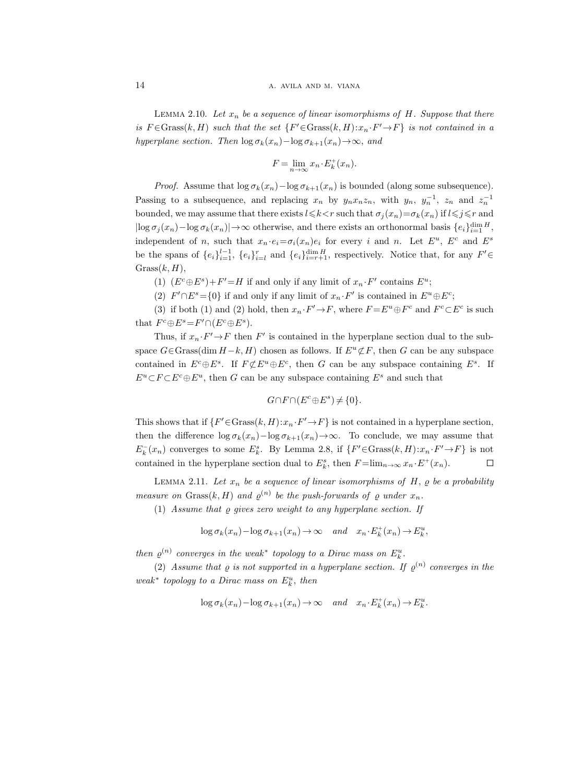LEMMA 2.10. Let  $x_n$  be a sequence of linear isomorphisms of H. Suppose that there is  $F \in \text{Grass}(k, H)$  such that the set  $\{F' \in \text{Grass}(k, H) : x_n \cdot F' \to F\}$  is not contained in a hyperplane section. Then  $\log \sigma_k(x_n) - \log \sigma_{k+1}(x_n) \rightarrow \infty$ , and

$$
F = \lim_{n \to \infty} x_n \cdot E_k^+(x_n).
$$

*Proof.* Assume that  $\log \sigma_k(x_n) - \log \sigma_{k+1}(x_n)$  is bounded (along some subsequence). Passing to a subsequence, and replacing  $x_n$  by  $y_n x_n z_n$ , with  $y_n$ ,  $y_n^{-1}$ ,  $z_n$  and  $z_n^{-1}$ bounded, we may assume that there exists  $l \leq k < r$  such that  $\sigma_j(x_n) = \sigma_k(x_n)$  if  $l \leq j \leq r$  and  $|\log \sigma_j(x_n) - \log \sigma_k(x_n)| \to \infty$  otherwise, and there exists an orthonormal basis  $\{e_i\}_{i=1}^{\dim H}$ , independent of n, such that  $x_n \cdot e_i = \sigma_i(x_n) e_i$  for every i and n. Let  $E^u$ ,  $E^c$  and  $E^s$ be the spans of  $\{e_i\}_{i=1}^{l-1}$ ,  $\{e_i\}_{i=l}^r$  and  $\{e_i\}_{i=r+1}^{\dim H}$ , respectively. Notice that, for any  $F' \in$  $Grass(k, H),$ 

- (1)  $(E^c \oplus E^s) + F' = H$  if and only if any limit of  $x_n \cdot F'$  contains  $E^u$ ;
- (2)  $F' \cap E^s = \{0\}$  if and only if any limit of  $x_n \cdot F'$  is contained in  $E^u \oplus E^c$ ;

(3) if both (1) and (2) hold, then  $x_n \cdot F' \to F$ , where  $F = E^u \oplus F^c$  and  $F^c \subset E^c$  is such that  $F^c \oplus E^s = F' \cap (E^c \oplus E^s)$ .

Thus, if  $x_n \tF' \to F$  then  $F'$  is contained in the hyperplane section dual to the subspace  $G \in \text{Grass}(\dim H - k, H)$  chosen as follows. If  $E^u \not\subset F$ , then G can be any subspace contained in  $E^c \oplus E^s$ . If  $F \not\subset E^u \oplus E^c$ , then G can be any subspace containing  $E^s$ . If  $E^u \subset F \subset E^c \oplus E^u$ , then G can be any subspace containing  $E^s$  and such that

$$
G \cap F \cap (E^c \oplus E^s) \neq \{0\}.
$$

This shows that if  $\{F' \in \text{Grass}(k, H) : x_n \cdot F' \to F\}$  is not contained in a hyperplane section, then the difference  $\log \sigma_k(x_n) - \log \sigma_{k+1}(x_n) \to \infty$ . To conclude, we may assume that  $E_k^-(x_n)$  converges to some  $E_k^s$ . By Lemma 2.8, if  $\{F' \in \text{Grass}(k, H) : x_n \cdot F' \to F\}$  is not contained in the hyperplane section dual to  $E_k^s$ , then  $F = \lim_{n \to \infty} x_n \cdot E^+(x_n)$ .  $\Box$ 

LEMMA 2.11. Let  $x_n$  be a sequence of linear isomorphisms of H,  $\varrho$  be a probability measure on Grass $(k, H)$  and  $\varrho^{(n)}$  be the push-forwards of  $\varrho$  under  $x_n$ .

(1) Assume that  $\rho$  gives zero weight to any hyperplane section. If

$$
\log \sigma_k(x_n) - \log \sigma_{k+1}(x_n) \to \infty \quad and \quad x_n \cdot E_k^+(x_n) \to E_k^u,
$$

then  $\varrho^{(n)}$  converges in the weak\* topology to a Dirac mass on  $E_k^u$ .

(2) Assume that  $\varrho$  is not supported in a hyperplane section. If  $\varrho^{(n)}$  converges in the weak<sup>\*</sup> topology to a Dirac mass on  $E_k^u$ , then

$$
\log \sigma_k(x_n) - \log \sigma_{k+1}(x_n) \to \infty \quad and \quad x_n \cdot E_k^+(x_n) \to E_k^u.
$$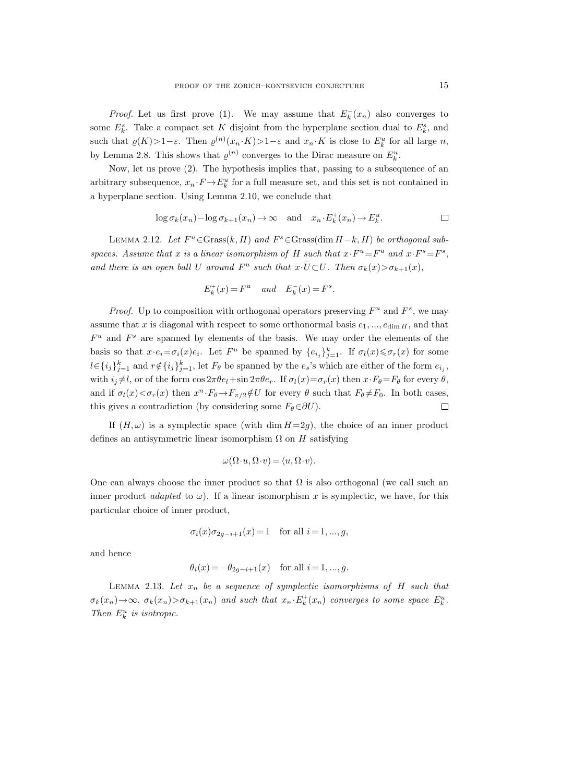*Proof.* Let us first prove (1). We may assume that  $E_k^-(x_n)$  also converges to some  $E_k^s$ . Take a compact set K disjoint from the hyperplane section dual to  $E_k^s$ , and such that  $\varrho(K) > 1 - \varepsilon$ . Then  $\varrho^{(n)}(x_n \cdot K) > 1 - \varepsilon$  and  $x_n \cdot K$  is close to  $E_k^u$  for all large n, by Lemma 2.8. This shows that  $\varrho^{(n)}$  converges to the Dirac measure on  $E_k^u$ .

Now, let us prove (2). The hypothesis implies that, passing to a subsequence of an arbitrary subsequence,  $x_n \cdot F \to E_k^u$  for a full measure set, and this set is not contained in a hyperplane section. Using Lemma 2.10, we conclude that

$$
\log \sigma_k(x_n) - \log \sigma_{k+1}(x_n) \to \infty \quad \text{and} \quad x_n \cdot E_k^+(x_n) \to E_k^u.
$$

LEMMA 2.12. Let  $F^u$ ∈Grass $(k, H)$  and  $F^s$ ∈Grass $(\dim H - k, H)$  be orthogonal subspaces. Assume that x is a linear isomorphism of H such that  $x \cdot F^u = F^u$  and  $x \cdot F^s = F^s$ , and there is an open ball U around  $F^u$  such that  $x \cdot \overline{U} \subset U$ . Then  $\sigma_k(x) > \sigma_{k+1}(x)$ ,

$$
E_k^+(x) = F^u \quad and \quad E_k^-(x) = F^s.
$$

*Proof.* Up to composition with orthogonal operators preserving  $F^u$  and  $F^s$ , we may assume that x is diagonal with respect to some orthonormal basis  $e_1, ..., e_{\dim H}$ , and that  $F^u$  and  $F^s$  are spanned by elements of the basis. We may order the elements of the basis so that  $x \cdot e_i = \sigma_i(x) e_i$ . Let  $F^u$  be spanned by  $\{e_{i_j}\}_{j=1}^k$ . If  $\sigma_i(x) \le \sigma_r(x)$  for some  $l \in \{i_j\}_{j=1}^k$  and  $r \notin \{i_j\}_{j=1}^k$ , let  $F_\theta$  be spanned by the  $e_s$ 's which are either of the form  $e_{i_j}$ , with  $i_j \neq l$ , or of the form  $\cos 2\pi \theta e_l + \sin 2\pi \theta e_r$ . If  $\sigma_l(x) = \sigma_r(x)$  then  $x \cdot F_\theta = F_\theta$  for every  $\theta$ , and if  $\sigma_l(x) < \sigma_r(x)$  then  $x^n \cdot F_\theta \to F_{\pi/2} \notin U$  for every  $\theta$  such that  $F_\theta \neq F_0$ . In both cases, this gives a contradiction (by considering some  $F_{\theta} \in \partial U$ ).  $\Box$ 

If  $(H, \omega)$  is a symplectic space (with dim  $H=2g$ ), the choice of an inner product defines an antisymmetric linear isomorphism  $\Omega$  on  $H$  satisfying

$$
\omega(\Omega \cdot u, \Omega \cdot v) = \langle u, \Omega \cdot v \rangle.
$$

One can always choose the inner product so that  $\Omega$  is also orthogonal (we call such an inner product *adapted* to  $\omega$ ). If a linear isomorphism x is symplectic, we have, for this particular choice of inner product,

$$
\sigma_i(x)\sigma_{2g-i+1}(x) = 1
$$
 for all  $i = 1, ..., g$ ,

and hence

$$
\theta_i(x) = -\theta_{2g-i+1}(x)
$$
 for all  $i = 1, ..., g$ .

LEMMA 2.13. Let  $x_n$  be a sequence of symplectic isomorphisms of H such that  $\sigma_k(x_n) \to \infty$ ,  $\sigma_k(x_n) > \sigma_{k+1}(x_n)$  and such that  $x_n \cdot E_k^+(x_n)$  converges to some space  $E_k^u$ . Then  $E_k^u$  is isotropic.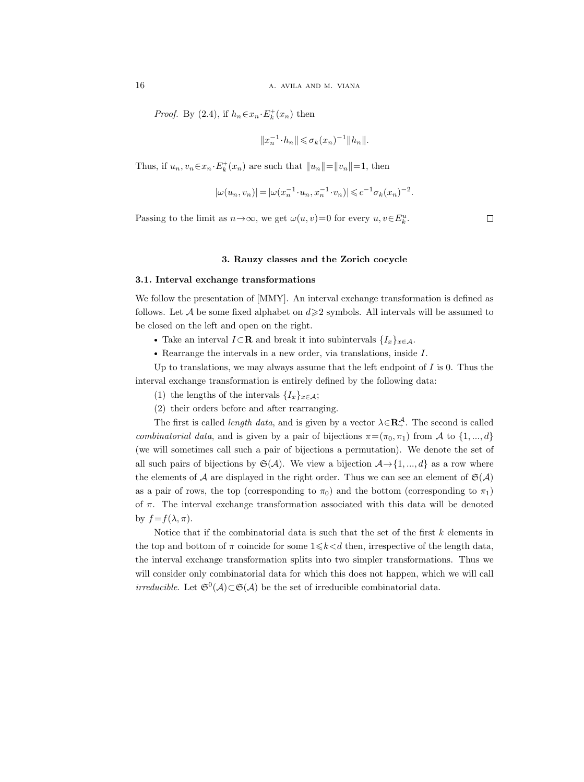*Proof.* By (2.4), if  $h_n \in x_n \cdot E_k^+(x_n)$  then

$$
||x_n^{-1} \cdot h_n|| \leq \sigma_k(x_n)^{-1} ||h_n||.
$$

Thus, if  $u_n, v_n \in \mathcal{X}_n \cdot E_k^+(x_n)$  are such that  $||u_n|| = ||v_n|| = 1$ , then

$$
|\omega(u_n,v_n)|=|\omega(x_n^{-1}\cdot u_n,x_n^{-1}\cdot v_n)|\leqslant c^{-1}\sigma_k(x_n)^{-2}.
$$

Passing to the limit as  $n \to \infty$ , we get  $\omega(u, v) = 0$  for every  $u, v \in E_k^u$ .

3. Rauzy classes and the Zorich cocycle

## 3.1. Interval exchange transformations

We follow the presentation of [MMY]. An interval exchange transformation is defined as follows. Let A be some fixed alphabet on  $d \geqslant 2$  symbols. All intervals will be assumed to be closed on the left and open on the right.

- Take an interval  $I \subset \mathbf{R}$  and break it into subintervals  $\{I_x\}_{x \in \mathcal{A}}$ .
- Rearrange the intervals in a new order, via translations, inside I.

Up to translations, we may always assume that the left endpoint of  $I$  is 0. Thus the interval exchange transformation is entirely defined by the following data:

- (1) the lengths of the intervals  $\{I_x\}_{x\in\mathcal{A}}$ ;
- (2) their orders before and after rearranging.

The first is called *length data*, and is given by a vector  $\lambda \in \mathbb{R}^{\mathcal{A}}_+$ . The second is called combinatorial data, and is given by a pair of bijections  $\pi = (\pi_0, \pi_1)$  from A to  $\{1, ..., d\}$ (we will sometimes call such a pair of bijections a permutation). We denote the set of all such pairs of bijections by  $\mathfrak{S}(\mathcal{A})$ . We view a bijection  $\mathcal{A} \rightarrow \{1, ..., d\}$  as a row where the elements of A are displayed in the right order. Thus we can see an element of  $\mathfrak{S}(\mathcal{A})$ as a pair of rows, the top (corresponding to  $\pi_0$ ) and the bottom (corresponding to  $\pi_1$ ) of  $\pi$ . The interval exchange transformation associated with this data will be denoted by  $f = f(\lambda, \pi)$ .

Notice that if the combinatorial data is such that the set of the first  $k$  elements in the top and bottom of  $\pi$  coincide for some  $1 \le k < d$  then, irrespective of the length data, the interval exchange transformation splits into two simpler transformations. Thus we will consider only combinatorial data for which this does not happen, which we will call *irreducible*. Let  $\mathfrak{S}^0(\mathcal{A}) \subset \mathfrak{S}(\mathcal{A})$  be the set of irreducible combinatorial data.

 $\Box$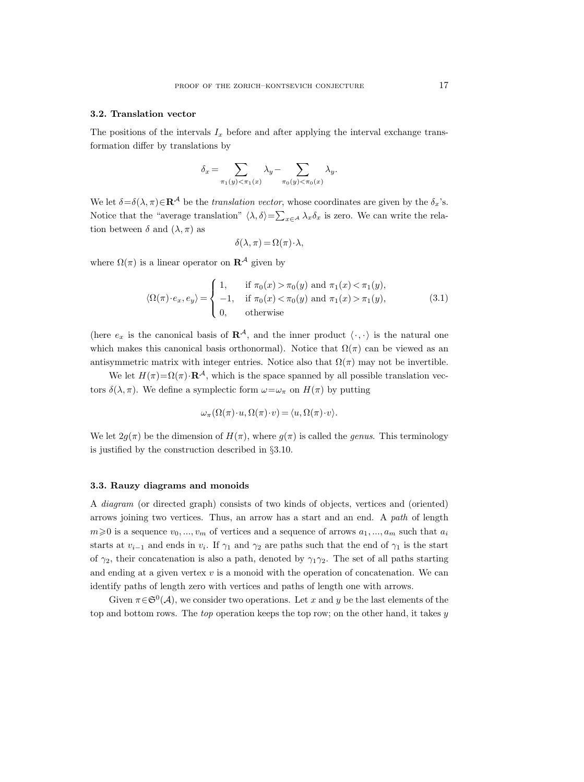#### 3.2. Translation vector

The positions of the intervals  $I_x$  before and after applying the interval exchange transformation differ by translations by

$$
\delta_x = \sum_{\pi_1(y) < \pi_1(x)} \lambda_y - \sum_{\pi_0(y) < \pi_0(x)} \lambda_y.
$$

We let  $\delta = \delta(\lambda, \pi) \in \mathbb{R}^{\mathcal{A}}$  be the translation vector, whose coordinates are given by the  $\delta_x$ 's. Notice that the "average translation"  $\langle \lambda, \delta \rangle = \sum_{x \in A} \lambda_x \delta_x$  is zero. We can write the relation between  $\delta$  and  $(\lambda, \pi)$  as

$$
\delta(\lambda, \pi) = \Omega(\pi) \cdot \lambda,
$$

where  $\Omega(\pi)$  is a linear operator on  $\mathbb{R}^{\mathcal{A}}$  given by

$$
\langle \Omega(\pi) \cdot e_x, e_y \rangle = \begin{cases} 1, & \text{if } \pi_0(x) > \pi_0(y) \text{ and } \pi_1(x) < \pi_1(y), \\ -1, & \text{if } \pi_0(x) < \pi_0(y) \text{ and } \pi_1(x) > \pi_1(y), \\ 0, & \text{otherwise} \end{cases} \tag{3.1}
$$

(here  $e_x$  is the canonical basis of  $\mathbb{R}^{\mathcal{A}}$ , and the inner product  $\langle \cdot, \cdot \rangle$  is the natural one which makes this canonical basis orthonormal). Notice that  $\Omega(\pi)$  can be viewed as an antisymmetric matrix with integer entries. Notice also that  $\Omega(\pi)$  may not be invertible.

We let  $H(\pi) = \Omega(\pi) \cdot \mathbf{R}^{\mathcal{A}}$ , which is the space spanned by all possible translation vectors  $\delta(\lambda, \pi)$ . We define a symplectic form  $\omega = \omega_{\pi}$  on  $H(\pi)$  by putting

$$
\omega_{\pi}(\Omega(\pi)\cdot u,\Omega(\pi)\cdot v)=\langle u,\Omega(\pi)\cdot v\rangle.
$$

We let  $2g(\pi)$  be the dimension of  $H(\pi)$ , where  $g(\pi)$  is called the *genus*. This terminology is justified by the construction described in §3.10.

#### 3.3. Rauzy diagrams and monoids

A diagram (or directed graph) consists of two kinds of objects, vertices and (oriented) arrows joining two vertices. Thus, an arrow has a start and an end. A path of length  $m\geq 0$  is a sequence  $v_0, ..., v_m$  of vertices and a sequence of arrows  $a_1, ..., a_m$  such that  $a_i$ starts at  $v_{i-1}$  and ends in  $v_i$ . If  $\gamma_1$  and  $\gamma_2$  are paths such that the end of  $\gamma_1$  is the start of  $\gamma_2$ , their concatenation is also a path, denoted by  $\gamma_1 \gamma_2$ . The set of all paths starting and ending at a given vertex  $v$  is a monoid with the operation of concatenation. We can identify paths of length zero with vertices and paths of length one with arrows.

Given  $\pi \in \mathfrak{S}^0(\mathcal{A})$ , we consider two operations. Let x and y be the last elements of the top and bottom rows. The *top* operation keeps the top row; on the other hand, it takes y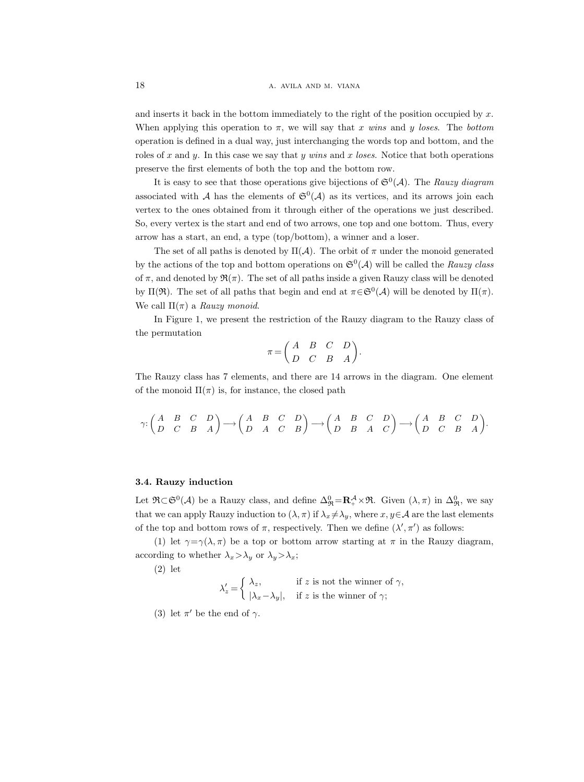and inserts it back in the bottom immediately to the right of the position occupied by  $x$ . When applying this operation to  $\pi$ , we will say that x wins and y loses. The bottom operation is defined in a dual way, just interchanging the words top and bottom, and the roles of x and y. In this case we say that y wins and x loses. Notice that both operations preserve the first elements of both the top and the bottom row.

It is easy to see that those operations give bijections of  $\mathfrak{S}^0(\mathcal{A})$ . The Rauzy diagram associated with A has the elements of  $\mathfrak{S}^0(\mathcal{A})$  as its vertices, and its arrows join each vertex to the ones obtained from it through either of the operations we just described. So, every vertex is the start and end of two arrows, one top and one bottom. Thus, every arrow has a start, an end, a type (top/bottom), a winner and a loser.

The set of all paths is denoted by  $\Pi(\mathcal{A})$ . The orbit of  $\pi$  under the monoid generated by the actions of the top and bottom operations on  $\mathfrak{S}^0(\mathcal{A})$  will be called the Rauzy class of  $\pi$ , and denoted by  $\mathfrak{R}(\pi)$ . The set of all paths inside a given Rauzy class will be denoted by  $\Pi(\mathfrak{R})$ . The set of all paths that begin and end at  $\pi \in \mathfrak{S}^0(\mathcal{A})$  will be denoted by  $\Pi(\pi)$ . We call  $\Pi(\pi)$  a Rauzy monoid.

In Figure 1, we present the restriction of the Rauzy diagram to the Rauzy class of the permutation

$$
\pi = \begin{pmatrix} A & B & C & D \\ D & C & B & A \end{pmatrix}.
$$

The Rauzy class has 7 elements, and there are 14 arrows in the diagram. One element of the monoid  $\Pi(\pi)$  is, for instance, the closed path

$$
\gamma{:} \begin{pmatrix} A & B & C & D \\ D & C & B & A \end{pmatrix} \longrightarrow \begin{pmatrix} A & B & C & D \\ D & A & C & B \end{pmatrix} \longrightarrow \begin{pmatrix} A & B & C & D \\ D & B & A & C \end{pmatrix} \longrightarrow \begin{pmatrix} A & B & C & D \\ D & C & B & A \end{pmatrix}.
$$

# 3.4. Rauzy induction

Let  $\mathfrak{R}\subset\mathfrak{S}^0(\mathcal{A})$  be a Rauzy class, and define  $\Delta_{\mathfrak{R}}^0=\mathbf{R}_+^{\mathcal{A}}\times\mathfrak{R}$ . Given  $(\lambda,\pi)$  in  $\Delta_{\mathfrak{R}}^0$ , we say that we can apply Rauzy induction to  $(\lambda, \pi)$  if  $\lambda_x \neq \lambda_y$ , where  $x, y \in \mathcal{A}$  are the last elements of the top and bottom rows of  $\pi$ , respectively. Then we define  $(\lambda', \pi')$  as follows:

(1) let  $\gamma = \gamma(\lambda, \pi)$  be a top or bottom arrow starting at  $\pi$  in the Rauzy diagram, according to whether  $\lambda_x > \lambda_y$  or  $\lambda_y > \lambda_x$ ;

(2) let

 $\lambda'_z = \begin{cases} \lambda_z, & \text{if } z \text{ is not the winner of } \gamma, \\ 0, & \text{if } z \text{ is the winner of } \gamma. \end{cases}$  $|\lambda_x-\lambda_y|$ , if z is the winner of  $\gamma$ ;

(3) let  $\pi'$  be the end of  $\gamma$ .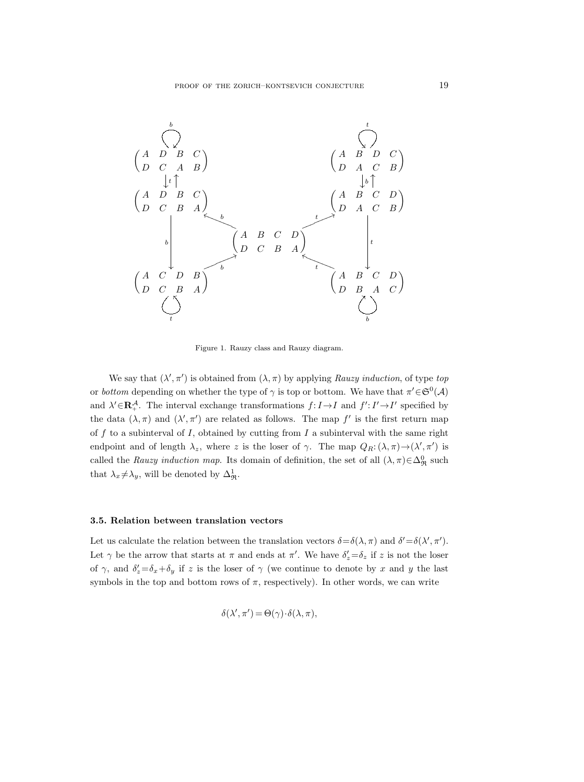

Figure 1. Rauzy class and Rauzy diagram.

We say that  $(\lambda', \pi')$  is obtained from  $(\lambda, \pi)$  by applying Rauzy induction, of type top or bottom depending on whether the type of  $\gamma$  is top or bottom. We have that  $\pi' \in \mathfrak{S}^0(\mathcal{A})$ and  $\lambda' \in \mathbb{R}^{\mathcal{A}}_+$ . The interval exchange transformations  $f: I \to I$  and  $f': I' \to I'$  specified by the data  $(\lambda, \pi)$  and  $(\lambda', \pi')$  are related as follows. The map f' is the first return map of  $f$  to a subinterval of  $I$ , obtained by cutting from  $I$  a subinterval with the same right endpoint and of length  $\lambda_z$ , where z is the loser of  $\gamma$ . The map  $Q_R: (\lambda, \pi) \to (\lambda', \pi')$  is called the Rauzy induction map. Its domain of definition, the set of all  $(\lambda, \pi) \in \Delta^0_{\mathfrak{R}}$  such that  $\lambda_x \neq \lambda_y$ , will be denoted by  $\Delta_{\mathfrak{R}}^1$ .

#### 3.5. Relation between translation vectors

Let us calculate the relation between the translation vectors  $\delta = \delta(\lambda, \pi)$  and  $\delta' = \delta(\lambda', \pi')$ . Let  $\gamma$  be the arrow that starts at  $\pi$  and ends at  $\pi'$ . We have  $\delta'_z = \delta_z$  if z is not the loser of  $\gamma$ , and  $\delta'_z = \delta_x + \delta_y$  if z is the loser of  $\gamma$  (we continue to denote by x and y the last symbols in the top and bottom rows of  $\pi$ , respectively). In other words, we can write

$$
\delta(\lambda', \pi') = \Theta(\gamma) \cdot \delta(\lambda, \pi),
$$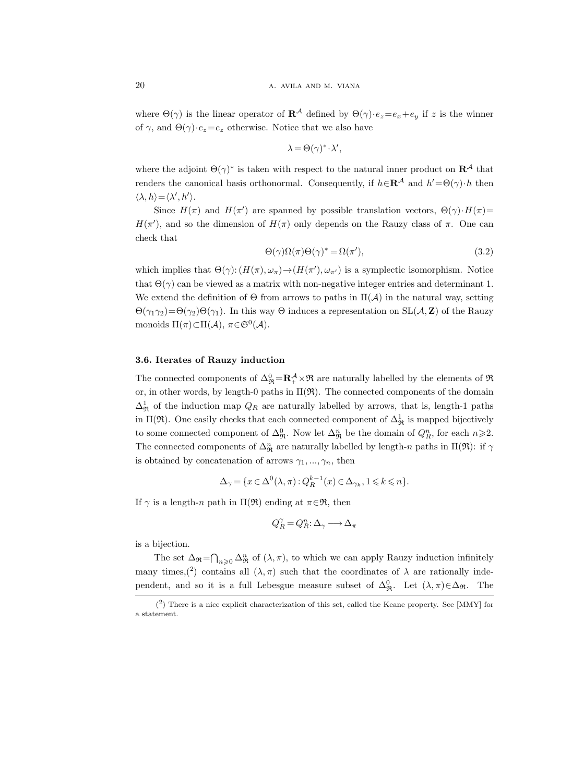where  $\Theta(\gamma)$  is the linear operator of  $\mathbb{R}^{\mathcal{A}}$  defined by  $\Theta(\gamma) \cdot e_z = e_x + e_y$  if z is the winner of  $\gamma$ , and  $\Theta(\gamma) \cdot e_z = e_z$  otherwise. Notice that we also have

$$
\lambda = \Theta(\gamma)^* \cdot \lambda',
$$

where the adjoint  $\Theta(\gamma)^*$  is taken with respect to the natural inner product on  $\mathbb{R}^{\mathcal{A}}$  that renders the canonical basis orthonormal. Consequently, if  $h \in \mathbb{R}^{\mathcal{A}}$  and  $h' = \Theta(\gamma) \cdot h$  then  $\langle \lambda, h \rangle = \langle \lambda', h' \rangle.$ 

Since  $H(\pi)$  and  $H(\pi')$  are spanned by possible translation vectors,  $\Theta(\gamma) \cdot H(\pi) =$  $H(\pi')$ , and so the dimension of  $H(\pi)$  only depends on the Rauzy class of  $\pi$ . One can check that

$$
\Theta(\gamma)\Omega(\pi)\Theta(\gamma)^* = \Omega(\pi'),\tag{3.2}
$$

which implies that  $\Theta(\gamma)$ :  $(H(\pi), \omega_{\pi}) \to (H(\pi'), \omega_{\pi'})$  is a symplectic isomorphism. Notice that  $\Theta(\gamma)$  can be viewed as a matrix with non-negative integer entries and determinant 1. We extend the definition of  $\Theta$  from arrows to paths in  $\Pi(\mathcal{A})$  in the natural way, setting  $\Theta(\gamma_1\gamma_2)=\Theta(\gamma_2)\Theta(\gamma_1)$ . In this way  $\Theta$  induces a representation on SL( $\mathcal{A}, \mathbf{Z}$ ) of the Rauzy monoids  $\Pi(\pi) \subset \Pi(\mathcal{A}), \ \pi \in \mathfrak{S}^0(\mathcal{A}).$ 

# 3.6. Iterates of Rauzy induction

The connected components of  $\Delta_{\mathfrak{R}}^0 = \mathbb{R}_+^{\mathcal{A}} \times \mathfrak{R}$  are naturally labelled by the elements of  $\mathfrak{R}$ or, in other words, by length-0 paths in  $\Pi(\mathfrak{R})$ . The connected components of the domain  $\Delta_{\mathfrak{R}}^1$  of the induction map  $Q_R$  are naturally labelled by arrows, that is, length-1 paths in  $\Pi(\mathfrak{R})$ . One easily checks that each connected component of  $\Delta^1_{\mathfrak{R}}$  is mapped bijectively to some connected component of  $\Delta_{\mathfrak{R}}^0$ . Now let  $\Delta_{\mathfrak{R}}^n$  be the domain of  $Q_R^n$ , for each  $n \geqslant 2$ . The connected components of  $\Delta^n_{\mathfrak{R}}$  are naturally labelled by length-n paths in  $\Pi(\mathfrak{R})$ : if  $\gamma$ is obtained by concatenation of arrows  $\gamma_1, ..., \gamma_n$ , then

$$
\Delta_{\gamma} = \{ x \in \Delta^0(\lambda, \pi) : Q_R^{k-1}(x) \in \Delta_{\gamma_k}, 1 \leq k \leq n \}.
$$

If  $\gamma$  is a length-n path in  $\Pi(\mathfrak{R})$  ending at  $\pi \in \mathfrak{R}$ , then

$$
Q_R^\gamma\,{=}\,Q_R^n\!:\!\Delta_\gamma\,{\longrightarrow}\,\Delta_\pi
$$

is a bijection.

The set  $\Delta_{\mathfrak{R}} = \bigcap_{n \geq 0} \Delta_{\mathfrak{R}}^n$  of  $(\lambda, \pi)$ , to which we can apply Rauzy induction infinitely many times, (2) contains all  $(\lambda, \pi)$  such that the coordinates of  $\lambda$  are rationally independent, and so it is a full Lebesgue measure subset of  $\Delta_{\mathfrak{R}}^0$ . Let  $(\lambda, \pi) \in \Delta_{\mathfrak{R}}$ . The

 $(2)$  There is a nice explicit characterization of this set, called the Keane property. See [MMY] for a statement.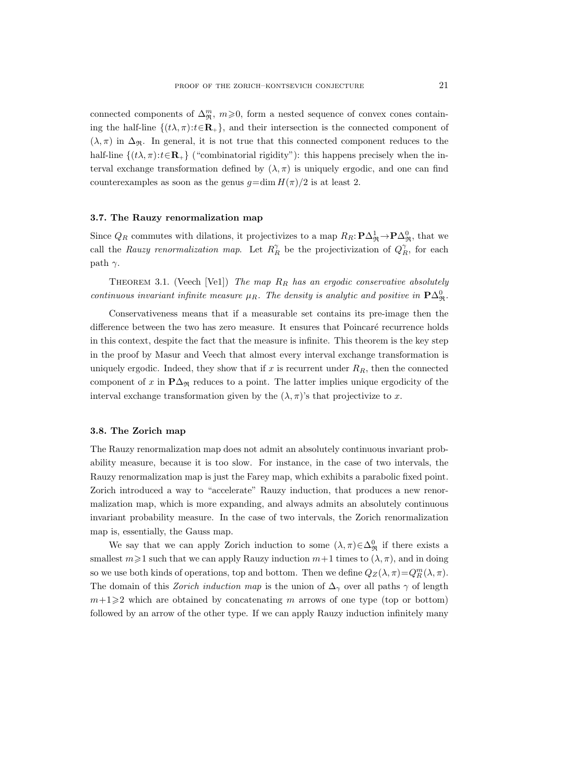connected components of  $\Delta_{\mathfrak{R}}^m$ ,  $m\geqslant 0$ , form a nested sequence of convex cones containing the half-line  $\{(t\lambda,\pi):t\in\mathbf{R}_+\}$ , and their intersection is the connected component of  $(\lambda, \pi)$  in  $\Delta_{\mathfrak{R}}$ . In general, it is not true that this connected component reduces to the half-line  $\{(t\lambda, \pi): t \in \mathbf{R}_+\}$  ("combinatorial rigidity"): this happens precisely when the interval exchange transformation defined by  $(\lambda, \pi)$  is uniquely ergodic, and one can find counterexamples as soon as the genus  $q=\dim H(\pi)/2$  is at least 2.

# 3.7. The Rauzy renormalization map

Since  $Q_R$  commutes with dilations, it projectivizes to a map  $R_R: \mathbf{P}\Delta^1_{\mathfrak{R}} \to \mathbf{P}\Delta^0_{\mathfrak{R}}$ , that we call the Rauzy renormalization map. Let  $R_R^{\gamma}$  be the projectivization of  $Q_R^{\gamma}$ , for each path  $\gamma$ .

THEOREM 3.1. (Veech [Ve1]) The map  $R_R$  has an ergodic conservative absolutely continuous invariant infinite measure  $\mu_R$ . The density is analytic and positive in  $\mathbf{P}\Delta^0_{\mathfrak{R}}$ .

Conservativeness means that if a measurable set contains its pre-image then the difference between the two has zero measure. It ensures that Poincaré recurrence holds in this context, despite the fact that the measure is infinite. This theorem is the key step in the proof by Masur and Veech that almost every interval exchange transformation is uniquely ergodic. Indeed, they show that if x is recurrent under  $R_R$ , then the connected component of x in  $\mathbf{P}\Delta_{\mathfrak{R}}$  reduces to a point. The latter implies unique ergodicity of the interval exchange transformation given by the  $(\lambda, \pi)$ 's that projectivize to x.

#### 3.8. The Zorich map

The Rauzy renormalization map does not admit an absolutely continuous invariant probability measure, because it is too slow. For instance, in the case of two intervals, the Rauzy renormalization map is just the Farey map, which exhibits a parabolic fixed point. Zorich introduced a way to "accelerate" Rauzy induction, that produces a new renormalization map, which is more expanding, and always admits an absolutely continuous invariant probability measure. In the case of two intervals, the Zorich renormalization map is, essentially, the Gauss map.

We say that we can apply Zorich induction to some  $(\lambda, \pi) \in \Delta^0_{\mathfrak{R}}$  if there exists a smallest  $m \ge 1$  such that we can apply Rauzy induction  $m+1$  times to  $(\lambda, \pi)$ , and in doing so we use both kinds of operations, top and bottom. Then we define  $Q_Z(\lambda, \pi) = Q_R^m(\lambda, \pi)$ . The domain of this *Zorich induction map* is the union of  $\Delta_{\gamma}$  over all paths  $\gamma$  of length  $m+1\geq 2$  which are obtained by concatenating m arrows of one type (top or bottom) followed by an arrow of the other type. If we can apply Rauzy induction infinitely many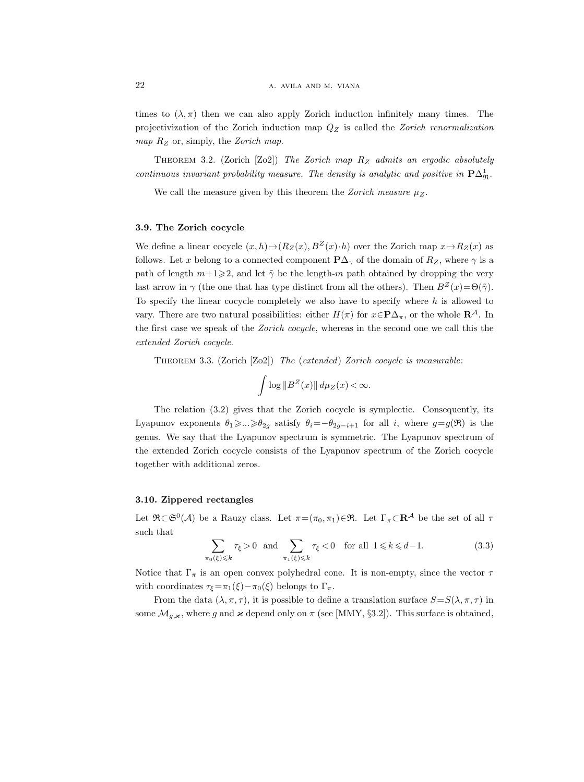times to  $(\lambda, \pi)$  then we can also apply Zorich induction infinitely many times. The projectivization of the Zorich induction map  $Q_Z$  is called the Zorich renormalization map  $R_Z$  or, simply, the Zorich map.

THEOREM 3.2. (Zorich [Zo2]) The Zorich map  $R_Z$  admits an ergodic absolutely continuous invariant probability measure. The density is analytic and positive in  $\mathbf{P}\Delta^1_{\mathfrak{R}}$ .

We call the measure given by this theorem the Zorich measure  $\mu_Z$ .

# 3.9. The Zorich cocycle

We define a linear cocycle  $(x, h) \mapsto (R_Z(x), B^Z(x) \cdot h)$  over the Zorich map  $x \mapsto R_Z(x)$  as follows. Let x belong to a connected component  $\mathbf{P}\Delta_{\gamma}$  of the domain of  $R_Z$ , where  $\gamma$  is a path of length  $m+1\geqslant 2$ , and let  $\tilde{\gamma}$  be the length-m path obtained by dropping the very last arrow in  $\gamma$  (the one that has type distinct from all the others). Then  $B^Z(x)=\Theta(\tilde{\gamma})$ . To specify the linear cocycle completely we also have to specify where h is allowed to vary. There are two natural possibilities: either  $H(\pi)$  for  $x \in \mathbf{P}\Delta_{\pi}$ , or the whole  $\mathbf{R}^{\mathcal{A}}$ . In the first case we speak of the Zorich cocycle, whereas in the second one we call this the extended Zorich cocycle.

Theorem 3.3. (Zorich [Zo2]) The (extended) Zorich cocycle is measurable:

$$
\int \log \|B^Z(x)\| \, d\mu_Z(x) < \infty.
$$

The relation (3.2) gives that the Zorich cocycle is symplectic. Consequently, its Lyapunov exponents  $\theta_1 \geq \ldots \geq \theta_{2g}$  satisfy  $\theta_i = -\theta_{2g-i+1}$  for all i, where  $g = g(\mathfrak{R})$  is the genus. We say that the Lyapunov spectrum is symmetric. The Lyapunov spectrum of the extended Zorich cocycle consists of the Lyapunov spectrum of the Zorich cocycle together with additional zeros.

#### 3.10. Zippered rectangles

Let  $\mathfrak{R}\subset\mathfrak{S}^0(\mathcal{A})$  be a Rauzy class. Let  $\pi=(\pi_0,\pi_1)\in\mathfrak{R}$ . Let  $\Gamma_\pi\subset\mathbf{R}^{\mathcal{A}}$  be the set of all  $\tau$ such that

$$
\sum_{\pi_0(\xi)\leq k} \tau_{\xi} > 0 \quad \text{and} \quad \sum_{\pi_1(\xi)\leq k} \tau_{\xi} < 0 \quad \text{for all} \quad 1 \leq k \leq d-1. \tag{3.3}
$$

Notice that  $\Gamma_{\pi}$  is an open convex polyhedral cone. It is non-empty, since the vector  $\tau$ with coordinates  $\tau_{\xi} = \pi_1(\xi) - \pi_0(\xi)$  belongs to  $\Gamma_{\pi}$ .

From the data  $(\lambda, \pi, \tau)$ , it is possible to define a translation surface  $S = S(\lambda, \pi, \tau)$  in some  $\mathcal{M}_{g,\varkappa}$ , where g and  $\varkappa$  depend only on  $\pi$  (see [MMY, §3.2]). This surface is obtained,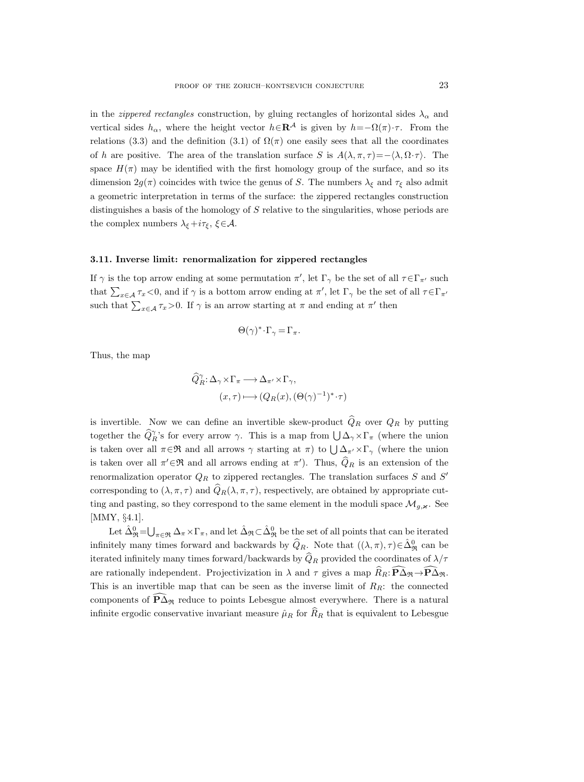in the *zippered rectangles* construction, by gluing rectangles of horizontal sides  $\lambda_{\alpha}$  and vertical sides  $h_{\alpha}$ , where the height vector  $h \in \mathbf{R}^{\mathcal{A}}$  is given by  $h = -\Omega(\pi) \cdot \tau$ . From the relations (3.3) and the definition (3.1) of  $\Omega(\pi)$  one easily sees that all the coordinates of h are positive. The area of the translation surface S is  $A(\lambda, \pi, \tau) = -\langle \lambda, \Omega \cdot \tau \rangle$ . The space  $H(\pi)$  may be identified with the first homology group of the surface, and so its dimension  $2g(\pi)$  coincides with twice the genus of S. The numbers  $\lambda_{\xi}$  and  $\tau_{\xi}$  also admit a geometric interpretation in terms of the surface: the zippered rectangles construction distinguishes a basis of the homology of S relative to the singularities, whose periods are the complex numbers  $\lambda_{\xi}+i\tau_{\xi}$ ,  $\xi \in \mathcal{A}$ .

#### 3.11. Inverse limit: renormalization for zippered rectangles

If  $\gamma$  is the top arrow ending at some permutation  $\pi'$ , let  $\Gamma_{\gamma}$  be the set of all  $\tau \in \Gamma_{\pi'}$  such that  $\sum_{x\in\mathcal{A}} \tau_x < 0$ , and if  $\gamma$  is a bottom arrow ending at  $\pi'$ , let  $\Gamma_\gamma$  be the set of all  $\tau \in \Gamma_{\pi'}$ such that  $\sum_{x \in A} \tau_x > 0$ . If  $\gamma$  is an arrow starting at  $\pi$  and ending at  $\pi'$  then

$$
\Theta(\gamma)^* \cdot \Gamma_\gamma = \Gamma_\pi.
$$

Thus, the map

$$
\widehat{Q}_R^\gamma : \Delta_\gamma \times \Gamma_\pi \longrightarrow \Delta_{\pi'} \times \Gamma_\gamma,
$$
  

$$
(x,\tau) \longmapsto (Q_R(x), (\Theta(\gamma)^{-1})^* \cdot \tau)
$$

is invertible. Now we can define an invertible skew-product  $\widehat{Q}_R$  over  $Q_R$  by putting together the  $\hat{Q}_R^{\gamma}$ 's for every arrow  $\gamma$ . This is a map from  $\bigcup \Delta_{\gamma} \times \Gamma_{\pi}$  (where the union is taken over all  $\pi \in \mathfrak{R}$  and all arrows  $\gamma$  starting at  $\pi$ ) to  $\bigcup \Delta_{\pi'} \times \Gamma_{\gamma}$  (where the union is taken over all  $\pi' \in \mathfrak{R}$  and all arrows ending at  $\pi'$ ). Thus,  $\hat{Q}_R$  is an extension of the renormalization operator  $Q_R$  to zippered rectangles. The translation surfaces S and S' corresponding to  $(\lambda, \pi, \tau)$  and  $\widehat{Q}_R(\lambda, \pi, \tau)$ , respectively, are obtained by appropriate cutting and pasting, so they correspond to the same element in the moduli space  $\mathcal{M}_{g,\varkappa}$ . See [MMY, §4.1].

Let  $\hat{\Delta}_{\Re}^0 = \bigcup_{\pi \in \Re} \Delta_{\pi} \times \Gamma_{\pi}$ , and let  $\hat{\Delta}_{\Re} \subset \hat{\Delta}_{\Re}^0$  be the set of all points that can be iterated infinitely many times forward and backwards by  $\widehat{Q}_{R}$ . Note that  $((\lambda, \pi), \tau) \in \widehat{\Delta}_{\mathfrak{R}}^0$  can be iterated infinitely many times forward/backwards by  $\widehat{Q}_R$  provided the coordinates of  $\lambda/\tau$ are rationally independent. Projectivization in  $\lambda$  and  $\tau$  gives a map  $\hat{R}_R$ :  $\mathbf{P}\hat{\Delta}_{\mathfrak{R}}$ . This is an invertible map that can be seen as the inverse limit of  $R_R$ : the connected components of  $\widehat{P}\Delta_{\mathfrak{R}}$  reduce to points Lebesgue almost everywhere. There is a natural infinite ergodic conservative invariant measure  $\hat{\mu}_R$  for  $\hat{R}_R$  that is equivalent to Lebesgue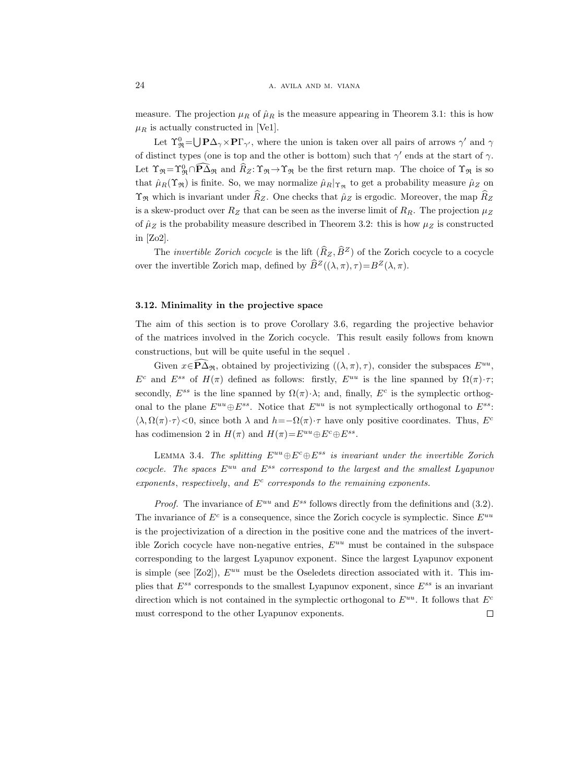measure. The projection  $\mu_R$  of  $\hat{\mu}_R$  is the measure appearing in Theorem 3.1: this is how  $\mu_R$  is actually constructed in [Ve1].

Let  $\Upsilon^0_{\Re} = \bigcup {\bf P}\Delta_\gamma \times {\bf P}\Gamma_{\gamma'}$ , where the union is taken over all pairs of arrows  $\gamma'$  and  $\gamma$ of distinct types (one is top and the other is bottom) such that  $\gamma'$  ends at the start of  $\gamma$ . Let  $\Upsilon_{\mathfrak{R}} = \Upsilon_{\mathfrak{R}}^0 \cap \mathbf{P}\Delta_{\mathfrak{R}}$  and  $R_Z: \Upsilon_{\mathfrak{R}} \to \Upsilon_{\mathfrak{R}}$  be the first return map. The choice of  $\Upsilon_{\mathfrak{R}}$  is so that  $\hat{\mu}_R(\Upsilon_{\Re})$  is finite. So, we may normalize  $\hat{\mu}_R|_{\Upsilon_{\Re}}$  to get a probability measure  $\hat{\mu}_Z$  on  $\Upsilon_{\Re}$  which is invariant under  $R_Z$ . One checks that  $\hat{\mu}_Z$  is ergodic. Moreover, the map  $R_Z$ is a skew-product over  $R_Z$  that can be seen as the inverse limit of  $R_R$ . The projection  $\mu_Z$ of  $\hat{\mu}_Z$  is the probability measure described in Theorem 3.2: this is how  $\mu_Z$  is constructed in [Zo2].

The *invertible Zorich cocycle* is the lift  $(\widehat{R}_Z, \widehat{B}^Z)$  of the Zorich cocycle to a cocycle over the invertible Zorich map, defined by  $\widehat{B}^Z((\lambda, \pi), \tau) = B^Z(\lambda, \pi)$ .

## 3.12. Minimality in the projective space

The aim of this section is to prove Corollary 3.6, regarding the projective behavior of the matrices involved in the Zorich cocycle. This result easily follows from known constructions, but will be quite useful in the sequel .

Given  $x \in \mathbf{P}\overline{\Delta}_{\Re}$ , obtained by projectivizing  $((\lambda, \pi), \tau)$ , consider the subspaces  $E^{uu}$ ,  $E^c$  and  $E^{ss}$  of  $H(\pi)$  defined as follows: firstly,  $E^{uu}$  is the line spanned by  $\Omega(\pi) \cdot \tau$ ; secondly,  $E^{ss}$  is the line spanned by  $\Omega(\pi) \cdot \lambda$ ; and, finally,  $E^c$  is the symplectic orthogonal to the plane  $E^{uu} \oplus E^{ss}$ . Notice that  $E^{uu}$  is not symplectically orthogonal to  $E^{ss}$ .  $\langle \lambda, \Omega(\pi) \cdot \tau \rangle$  < 0, since both  $\lambda$  and  $h = -\Omega(\pi) \cdot \tau$  have only positive coordinates. Thus,  $E^c$ has codimension 2 in  $H(\pi)$  and  $H(\pi)=E^{uu}\oplus E^c\oplus E^{ss}$ .

LEMMA 3.4. The splitting  $E^{uu} \oplus E^c \oplus E^{ss}$  is invariant under the invertible Zorich cocycle. The spaces  $E^{uu}$  and  $E^{ss}$  correspond to the largest and the smallest Lyapunov exponents, respectively, and  $E<sup>c</sup>$  corresponds to the remaining exponents.

*Proof.* The invariance of  $E^{uu}$  and  $E^{ss}$  follows directly from the definitions and (3.2). The invariance of  $E^c$  is a consequence, since the Zorich cocycle is symplectic. Since  $E^{uu}$ is the projectivization of a direction in the positive cone and the matrices of the invertible Zorich cocycle have non-negative entries,  $E^{uu}$  must be contained in the subspace corresponding to the largest Lyapunov exponent. Since the largest Lyapunov exponent is simple (see  $[Z02]$ ),  $E^{uu}$  must be the Oseledets direction associated with it. This implies that  $E^{ss}$  corresponds to the smallest Lyapunov exponent, since  $E^{ss}$  is an invariant direction which is not contained in the symplectic orthogonal to  $E^{uu}$ . It follows that  $E^c$ must correspond to the other Lyapunov exponents. $\Box$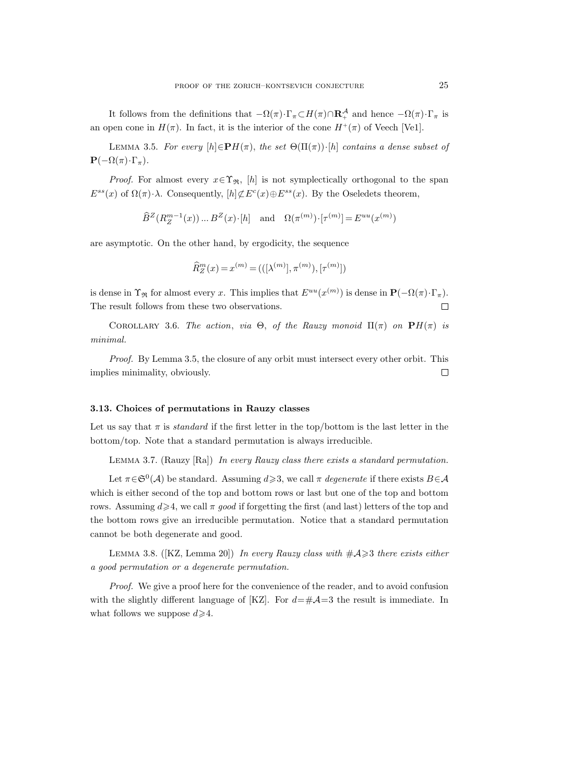It follows from the definitions that  $-\Omega(\pi) \cdot \Gamma_{\pi} \subset H(\pi) \cap \mathbf{R}^{\mathcal{A}}_{+}$  and hence  $-\Omega(\pi) \cdot \Gamma_{\pi}$  is an open cone in  $H(\pi)$ . In fact, it is the interior of the cone  $H^+(\pi)$  of Veech [Ve1].

LEMMA 3.5. For every  $[h] \in \mathbf{P}H(\pi)$ , the set  $\Theta(\Pi(\pi))\cdot[h]$  contains a dense subset of  $\mathbf{P}(-\Omega(\pi)\cdot\Gamma_{\pi}).$ 

*Proof.* For almost every  $x \in \Upsilon_{\mathfrak{R}}$ , [h] is not symplectically orthogonal to the span  $E^{ss}(x)$  of  $\Omega(\pi) \cdot \lambda$ . Consequently,  $[h] \not\subset E^c(x) \oplus E^{ss}(x)$ . By the Oseledets theorem,

 $\widehat{B}^{Z}(R_{Z}^{m-1}(x))...B^{Z}(x)\cdot[h]$  and  $\Omega(\pi^{(m)})\cdot[\tau^{(m)}]=E^{uu}(x^{(m)})$ 

are asymptotic. On the other hand, by ergodicity, the sequence

$$
\widehat{R}_Z^m(x) = x^{(m)} = (([\lambda^{(m)}], \pi^{(m)}), [\tau^{(m)}])
$$

is dense in  $\Upsilon_{\mathfrak{R}}$  for almost every x. This implies that  $E^{uu}(x^{(m)})$  is dense in  $\mathbf{P}(-\Omega(\pi) \cdot \Gamma_{\pi})$ . The result follows from these two observations.  $\Box$ 

COROLLARY 3.6. The action, via  $\Theta$ , of the Rauzy monoid  $\Pi(\pi)$  on  $\mathbf{P}H(\pi)$  is minimal.

Proof. By Lemma 3.5, the closure of any orbit must intersect every other orbit. This implies minimality, obviously.  $\Box$ 

#### 3.13. Choices of permutations in Rauzy classes

Let us say that  $\pi$  is *standard* if the first letter in the top/bottom is the last letter in the bottom/top. Note that a standard permutation is always irreducible.

Lemma 3.7. (Rauzy [Ra]) In every Rauzy class there exists a standard permutation.

Let  $\pi \in \mathfrak{S}^0(\mathcal{A})$  be standard. Assuming  $d \geq 3$ , we call  $\pi$  degenerate if there exists  $B \in \mathcal{A}$ which is either second of the top and bottom rows or last but one of the top and bottom rows. Assuming  $d \ge 4$ , we call  $\pi$  good if forgetting the first (and last) letters of the top and the bottom rows give an irreducible permutation. Notice that a standard permutation cannot be both degenerate and good.

LEMMA 3.8. ([KZ, Lemma 20]) In every Rauzy class with  $\#\mathcal{A}\geqslant 3$  there exists either a good permutation or a degenerate permutation.

Proof. We give a proof here for the convenience of the reader, and to avoid confusion with the slightly different language of [KZ]. For  $d=\#\mathcal{A}=3$  the result is immediate. In what follows we suppose  $d \geq 4$ .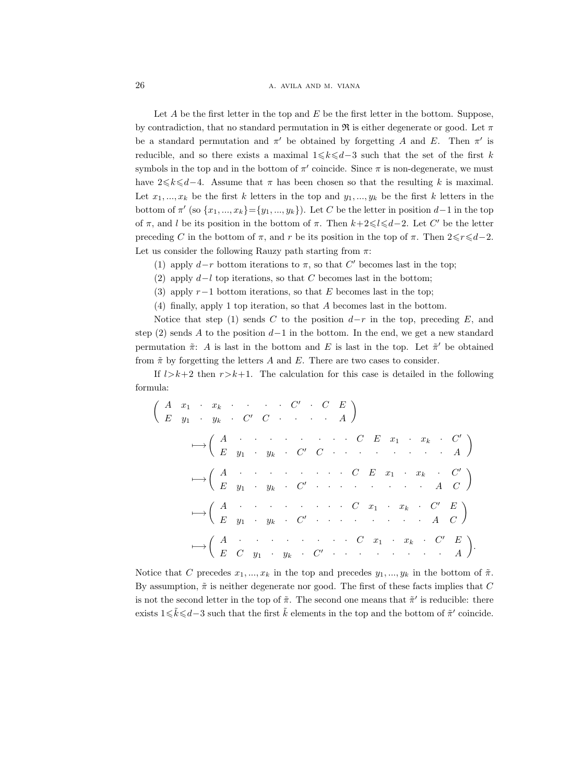26 **a.** AVILA AND M. VIANA

Let  $A$  be the first letter in the top and  $E$  be the first letter in the bottom. Suppose, by contradiction, that no standard permutation in R is either degenerate or good. Let  $\pi$ be a standard permutation and  $\pi'$  be obtained by forgetting A and E. Then  $\pi'$  is reducible, and so there exists a maximal  $1\leq k\leq d-3$  such that the set of the first k symbols in the top and in the bottom of  $\pi'$  coincide. Since  $\pi$  is non-degenerate, we must have 2 $\leq k \leq d-4$ . Assume that  $\pi$  has been chosen so that the resulting k is maximal. Let  $x_1, ..., x_k$  be the first k letters in the top and  $y_1, ..., y_k$  be the first k letters in the bottom of  $\pi'$  (so  $\{x_1, ..., x_k\} = \{y_1, ..., y_k\}$ ). Let C be the letter in position  $d-1$  in the top of  $\pi$ , and l be its position in the bottom of  $\pi$ . Then  $k+2 \leq l \leq d-2$ . Let C' be the letter preceding C in the bottom of  $\pi$ , and r be its position in the top of  $\pi$ . Then  $2 \le r \le d-2$ . Let us consider the following Rauzy path starting from  $\pi$ :

- (1) apply  $d-r$  bottom iterations to  $\pi$ , so that C' becomes last in the top;
- (2) apply  $d-l$  top iterations, so that C becomes last in the bottom;
- (3) apply  $r-1$  bottom iterations, so that E becomes last in the top;
- (4) finally, apply 1 top iteration, so that A becomes last in the bottom.

Notice that step (1) sends C to the position  $d-r$  in the top, preceding E, and step (2) sends A to the position  $d-1$  in the bottom. In the end, we get a new standard permutation  $\tilde{\pi}$ : A is last in the bottom and E is last in the top. Let  $\tilde{\pi}'$  be obtained from  $\tilde{\pi}$  by forgetting the letters A and E. There are two cases to consider.

If  $l>k+2$  then  $r>k+1$ . The calculation for this case is detailed in the following formula:

$$
\left(\begin{array}{ccccccccc}\nA & x_1 & x_k & \cdots & C' & C & E \\
E & y_1 & y_k & C' & C & \cdots & A\n\end{array}\right)
$$
\n
$$
\longrightarrow \left(\begin{array}{cccccc}\nA & \cdots & \cdots & \cdots & C & E & x_1 & x_k & C' \\
E & y_1 & y_k & C' & C & \cdots & \cdots & A & A\n\end{array}\right)
$$
\n
$$
\longrightarrow \left(\begin{array}{cccccc}\nA & \cdots & \cdots & \cdots & C & E & x_1 & x_k & C' \\
E & y_1 & y_k & C' & \cdots & \cdots & A & C\n\end{array}\right)
$$
\n
$$
\longrightarrow \left(\begin{array}{cccccc}\nA & \cdots & \cdots & \cdots & C & x_1 & x_k & C' & E \\
E & y_1 & y_k & C' & \cdots & \cdots & A & C\n\end{array}\right)
$$
\n
$$
\longrightarrow \left(\begin{array}{cccccc}\nA & \cdots & \cdots & \cdots & C & x_1 & x_k & C' & E \\
E & C & y_1 & y_k & C' & \cdots & \cdots & A & A\n\end{array}\right).
$$

Notice that C precedes  $x_1, ..., x_k$  in the top and precedes  $y_1, ..., y_k$  in the bottom of  $\tilde{\pi}$ . By assumption,  $\tilde{\pi}$  is neither degenerate nor good. The first of these facts implies that C is not the second letter in the top of  $\tilde{\pi}$ . The second one means that  $\tilde{\pi}'$  is reducible: there exists  $1 \le \tilde{k} \le d-3$  such that the first  $\tilde{k}$  elements in the top and the bottom of  $\tilde{\pi}'$  coincide.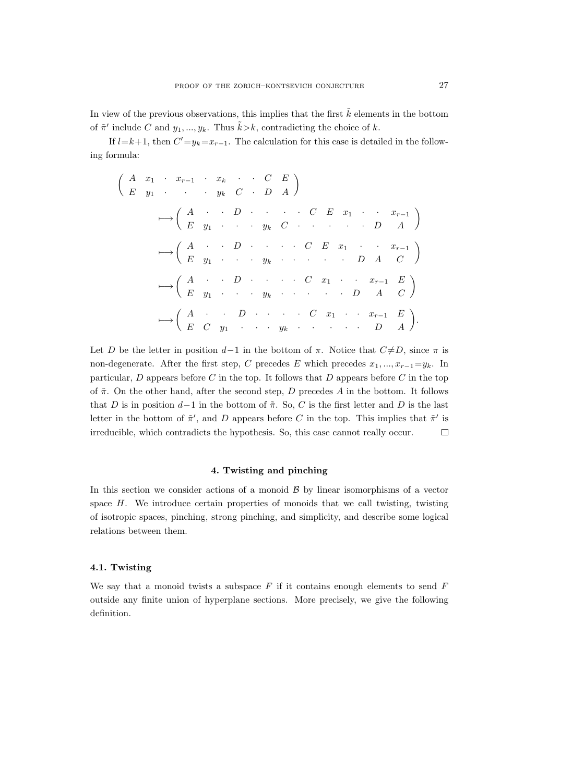In view of the previous observations, this implies that the first  $\tilde{k}$  elements in the bottom of  $\tilde{\pi}'$  include C and  $y_1, ..., y_k$ . Thus  $\tilde{k} > k$ , contradicting the choice of k.

If  $l=k+1$ , then  $C'=y_k=x_{r-1}$ . The calculation for this case is detailed in the following formula:

$$
\left(\begin{array}{ccccccccc}\nA & x_1 & \cdots & x_{r-1} & \cdots & x_k & \cdots & C & E \\
E & y_1 & \cdots & \cdots & y_k & C & \cdots & D & A\n\end{array}\right)
$$
\n
$$
\longmapsto \left(\begin{array}{cccccc}\nA & \cdots & D & \cdots & \cdots & C & E & x_1 & \cdots & x_{r-1} \\
E & y_1 & \cdots & \cdots & y_k & C & \cdots & \cdots & D & A\n\end{array}\right)
$$
\n
$$
\longmapsto \left(\begin{array}{cccccc}\nA & \cdots & D & \cdots & \cdots & C & E & x_1 & \cdots & x_{r-1} \\
E & y_1 & \cdots & \cdots & y_k & \cdots & \cdots & D & A & C\n\end{array}\right)
$$
\n
$$
\longmapsto \left(\begin{array}{cccccc}\nA & \cdots & D & \cdots & \cdots & C & x_1 & \cdots & x_{r-1} & E \\
E & C & y_1 & \cdots & \cdots & \cdots & \cdots & D & A & C\n\end{array}\right).
$$

Let D be the letter in position  $d-1$  in the bottom of  $\pi$ . Notice that  $C\neq D$ , since  $\pi$  is non-degenerate. After the first step, C precedes E which precedes  $x_1, ..., x_{r-1} = y_k$ . In particular,  $D$  appears before  $C$  in the top. It follows that  $D$  appears before  $C$  in the top of  $\tilde{\pi}$ . On the other hand, after the second step, D precedes A in the bottom. It follows that D is in position  $d-1$  in the bottom of  $\tilde{\pi}$ . So, C is the first letter and D is the last letter in the bottom of  $\tilde{\pi}'$ , and D appears before C in the top. This implies that  $\tilde{\pi}'$  is irreducible, which contradicts the hypothesis. So, this case cannot really occur.  $\Box$ 

# 4. Twisting and pinching

In this section we consider actions of a monoid  $\beta$  by linear isomorphisms of a vector space  $H$ . We introduce certain properties of monoids that we call twisting, twisting of isotropic spaces, pinching, strong pinching, and simplicity, and describe some logical relations between them.

## 4.1. Twisting

We say that a monoid twists a subspace  $F$  if it contains enough elements to send  $F$ outside any finite union of hyperplane sections. More precisely, we give the following definition.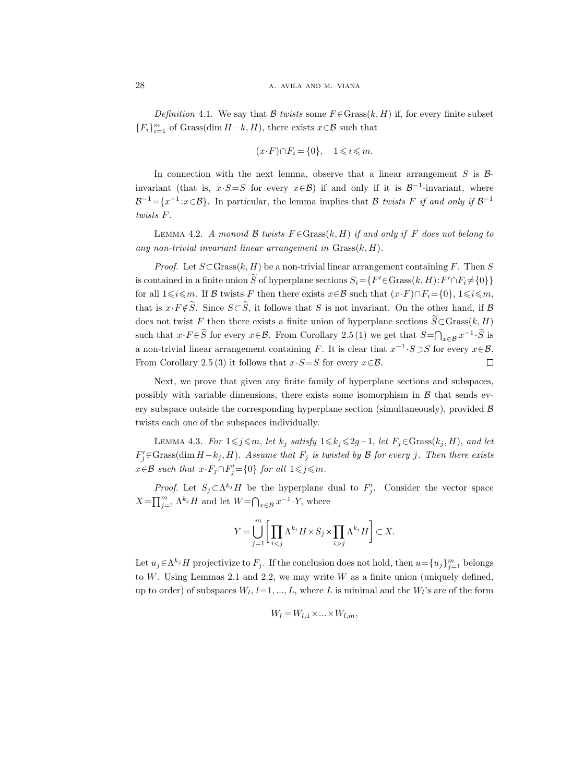Definition 4.1. We say that B twists some  $F \in \text{Grass}(k, H)$  if, for every finite subset  ${F_i}_{i=1}^m$  of Grass(dim  $H-k$ , H), there exists  $x \in \mathcal{B}$  such that

$$
(x \cdot F) \cap F_i = \{0\}, \quad 1 \leqslant i \leqslant m.
$$

In connection with the next lemma, observe that a linear arrangement  $S$  is  $\beta$ invariant (that is,  $x \cdot S = S$  for every  $x \in B$ ) if and only if it is  $B^{-1}$ -invariant, where  $\mathcal{B}^{-1} = \{x^{-1} : x \in \mathcal{B}\}.$  In particular, the lemma implies that B twists F if and only if  $\mathcal{B}^{-1}$ twists F.

LEMMA 4.2. A monoid B twists  $F \in \text{Grass}(k, H)$  if and only if F does not belong to any non-trivial invariant linear arrangement in  $Grass(k, H)$ .

*Proof.* Let  $S \subset \text{Grass}(k, H)$  be a non-trivial linear arrangement containing F. Then S is contained in a finite union  $\tilde{S}$  of hyperplane sections  $S_i = \{F' \in \text{Grass}(k, H) : F' \cap F_i \neq \{0\}\}\$ for all  $1\leq i\leq m$ . If B twists F then there exists  $x\in\mathcal{B}$  such that  $(x\cdot F)\cap F_i=\{0\},\ 1\leq i\leq m$ , that is  $x \cdot F \notin \widetilde{S}$ . Since  $S \subset \widetilde{S}$ , it follows that S is not invariant. On the other hand, if B does not twist F then there exists a finite union of hyperplane sections  $\widetilde{S} \subset$ Grass $(k, H)$ such that  $x \cdot F \in \tilde{S}$  for every  $x \in \mathcal{B}$ . From Corollary 2.5 (1) we get that  $S = \bigcap_{x \in \mathcal{B}} x^{-1} \cdot \tilde{S}$  is a non-trivial linear arrangement containing F. It is clear that  $x^{-1} \cdot S \supset S$  for every  $x \in \mathcal{B}$ . From Corollary 2.5 (3) it follows that  $x \cdot S = S$  for every  $x \in \mathcal{B}$ .  $\Box$ 

Next, we prove that given any finite family of hyperplane sections and subspaces, possibly with variable dimensions, there exists some isomorphism in  $\beta$  that sends every subspace outside the corresponding hyperplane section (simultaneously), provided  $\beta$ twists each one of the subspaces individually.

LEMMA 4.3. For  $1\leq j\leq m$ , let  $k_j$  satisfy  $1\leq k_j\leq 2g-1$ , let  $F_j \in \text{Grass}(k_j, H)$ , and let  $F'_{j} \in \text{Grass}(\text{dim } H - k_j, H)$ . Assume that  $F_j$  is twisted by B for every j. Then there exists  $x \in \mathcal{B}$  such that  $x \cdot F_j \cap F'_j = \{0\}$  for all  $1 \leq j \leq m$ .

*Proof.* Let  $S_j \subset \Lambda^{k_j}H$  be the hyperplane dual to  $F'_j$ . Consider the vector space  $X = \prod_{j=1}^m \Lambda^{k_j} H$  and let  $W = \bigcap_{x \in \mathcal{B}} x^{-1} \cdot Y$ , where

$$
Y = \bigcup_{j=1}^{m} \bigg[ \prod_{i < j} \Lambda^{k_i} H \times S_j \times \prod_{i > j} \Lambda^{k_i} H \bigg] \subset X.
$$

Let  $u_j \in \Lambda^{k_j}$  H projectivize to  $F_j$ . If the conclusion does not hold, then  $u = \{u_j\}_{j=1}^m$  belongs to  $W$ . Using Lemmas 2.1 and 2.2, we may write  $W$  as a finite union (uniquely defined, up to order) of subspaces  $W_l$ ,  $l=1, ..., L$ , where L is minimal and the  $W_l$ 's are of the form

$$
W_l = W_{l,1} \times \ldots \times W_{l,m},
$$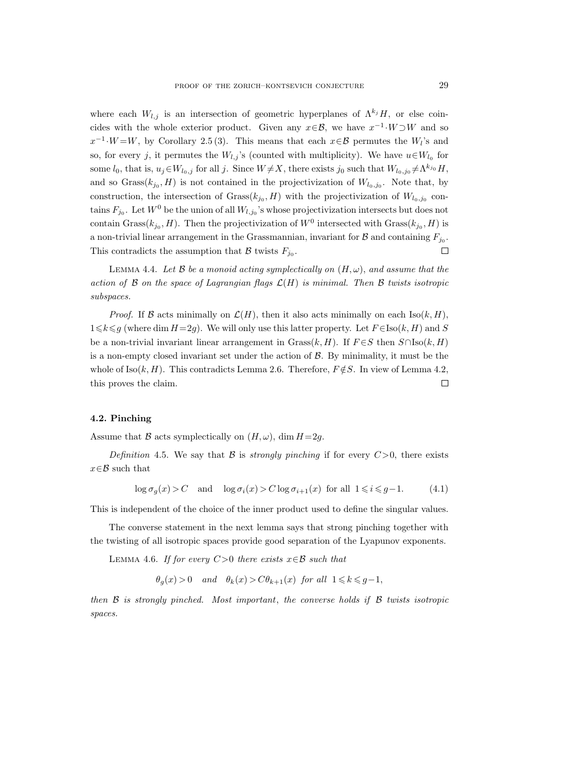where each  $W_{l,j}$  is an intersection of geometric hyperplanes of  $\Lambda^{k_j}H$ , or else coincides with the whole exterior product. Given any  $x \in \mathcal{B}$ , we have  $x^{-1} \cdot W \supset W$  and so  $x^{-1} \cdot W = W$ , by Corollary 2.5(3). This means that each  $x \in \mathcal{B}$  permutes the  $W_l$ 's and so, for every j, it permutes the  $W_{l,j}$ 's (counted with multiplicity). We have  $u \in W_{l_0}$  for some  $l_0$ , that is,  $u_j \in W_{l_0,j}$  for all j. Since  $W \neq X$ , there exists j<sub>0</sub> such that  $W_{l_0,j_0} \neq \Lambda^{k_{j_0}} H$ , and so  $Grass(k_{j_0}, H)$  is not contained in the projectivization of  $W_{l_0,j_0}$ . Note that, by construction, the intersection of  $Grass(k_{j_0}, H)$  with the projectivization of  $W_{l_0, j_0}$  contains  $F_{j_0}$ . Let  $W^0$  be the union of all  $W_{l,j_0}$ 's whose projectivization intersects but does not contain Grass( $k_{j_0}, H$ ). Then the projectivization of  $W^0$  intersected with Grass( $k_{j_0}, H$ ) is a non-trivial linear arrangement in the Grassmannian, invariant for  $B$  and containing  $F_{j_0}$ .  $\Box$ This contradicts the assumption that  $\mathcal B$  twists  $F_{j_0}$ .

LEMMA 4.4. Let B be a monoid acting symplectically on  $(H, \omega)$ , and assume that the action of  $\beta$  on the space of Lagrangian flags  $\mathcal{L}(H)$  is minimal. Then  $\beta$  twists isotropic subspaces.

*Proof.* If B acts minimally on  $\mathcal{L}(H)$ , then it also acts minimally on each  $\text{Iso}(k, H)$ ,  $1\leq k\leq q$  (where dim  $H=2q$ ). We will only use this latter property. Let  $F\in\text{Iso}(k, H)$  and S be a non-trivial invariant linear arrangement in Grass $(k, H)$ . If  $F \in S$  then  $S \cap \text{Iso}(k, H)$ is a non-empty closed invariant set under the action of  $\mathcal{B}$ . By minimality, it must be the whole of Iso(k, H). This contradicts Lemma 2.6. Therefore,  $F \notin S$ . In view of Lemma 4.2, this proves the claim.  $\Box$ 

# 4.2. Pinching

Assume that B acts symplectically on  $(H, \omega)$ , dim  $H=2g$ .

Definition 4.5. We say that B is strongly pinching if for every  $C>0$ , there exists  $x \in \mathcal{B}$  such that

$$
\log \sigma_g(x) > C \quad \text{and} \quad \log \sigma_i(x) > C \log \sigma_{i+1}(x) \quad \text{for all} \quad 1 \leq i \leq g-1. \tag{4.1}
$$

This is independent of the choice of the inner product used to define the singular values.

The converse statement in the next lemma says that strong pinching together with the twisting of all isotropic spaces provide good separation of the Lyapunov exponents.

LEMMA 4.6. If for every  $C>0$  there exists  $x \in \mathcal{B}$  such that

 $\theta_q(x) > 0$  and  $\theta_k(x) > C\theta_{k+1}(x)$  for all  $1 \leq k \leq q-1$ ,

then  $\mathcal B$  is strongly pinched. Most important, the converse holds if  $\mathcal B$  twists isotropic spaces.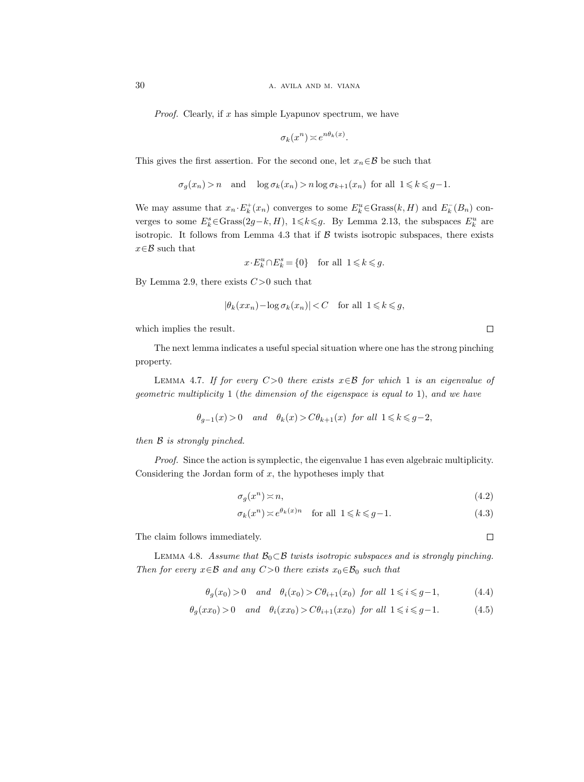*Proof.* Clearly, if  $x$  has simple Lyapunov spectrum, we have

$$
\sigma_k(x^n) \asymp e^{n\theta_k(x)}.
$$

This gives the first assertion. For the second one, let  $x_n \in \mathcal{B}$  be such that

$$
\sigma_g(x_n) > n
$$
 and  $\log \sigma_k(x_n) > n \log \sigma_{k+1}(x_n)$  for all  $1 \leq k \leq g-1$ .

We may assume that  $x_n \cdot E_k^+(x_n)$  converges to some  $E_k^u \in \text{Grass}(k, H)$  and  $E_k^-(B_n)$  converges to some  $E_k^s \in \text{Grass}(2g-k, H)$ ,  $1 \leq k \leq g$ . By Lemma 2.13, the subspaces  $E_k^u$  are isotropic. It follows from Lemma 4.3 that if  $\beta$  twists isotropic subspaces, there exists  $x \in \mathcal{B}$  such that

$$
x\!\cdot\! E_k^u\!\cap\! E_k^s\!=\!\{0\}\quad\text{for all }~1\!\leqslant\!k\!\leqslant\!g.
$$

By Lemma 2.9, there exists  $C>0$  such that

$$
|\theta_k(xx_n) - \log \sigma_k(x_n)| < C \quad \text{for all } 1 \leq k \leq g,
$$

which implies the result.

The next lemma indicates a useful special situation where one has the strong pinching property.

LEMMA 4.7. If for every  $C>0$  there exists  $x \in \mathcal{B}$  for which 1 is an eigenvalue of geometric multiplicity 1 (the dimension of the eigenspace is equal to 1), and we have

$$
\theta_{g-1}(x) > 0
$$
 and  $\theta_k(x) > C\theta_{k+1}(x)$  for all  $1 \le k \le g-2$ ,

then B is strongly pinched.

Proof. Since the action is symplectic, the eigenvalue 1 has even algebraic multiplicity. Considering the Jordan form of  $x$ , the hypotheses imply that

$$
\sigma_g(x^n) \asymp n,\tag{4.2}
$$

$$
\sigma_k(x^n) \asymp e^{\theta_k(x)n} \quad \text{for all } 1 \le k \le g-1. \tag{4.3}
$$

The claim follows immediately.

 $\Box$ 

LEMMA 4.8. Assume that  $\mathcal{B}_0 \subset \mathcal{B}$  twists isotropic subspaces and is strongly pinching. Then for every  $x \in \mathcal{B}$  and any  $C>0$  there exists  $x_0 \in \mathcal{B}_0$  such that

$$
\theta_g(x_0) > 0 \quad and \quad \theta_i(x_0) > C\theta_{i+1}(x_0) \quad \text{for all } 1 \leq i \leq g-1,\tag{4.4}
$$

$$
\theta_g(xx_0) > 0 \quad and \quad \theta_i(xx_0) > C\theta_{i+1}(xx_0) \text{ for all } 1 \leq i \leq g-1. \tag{4.5}
$$

 $\Box$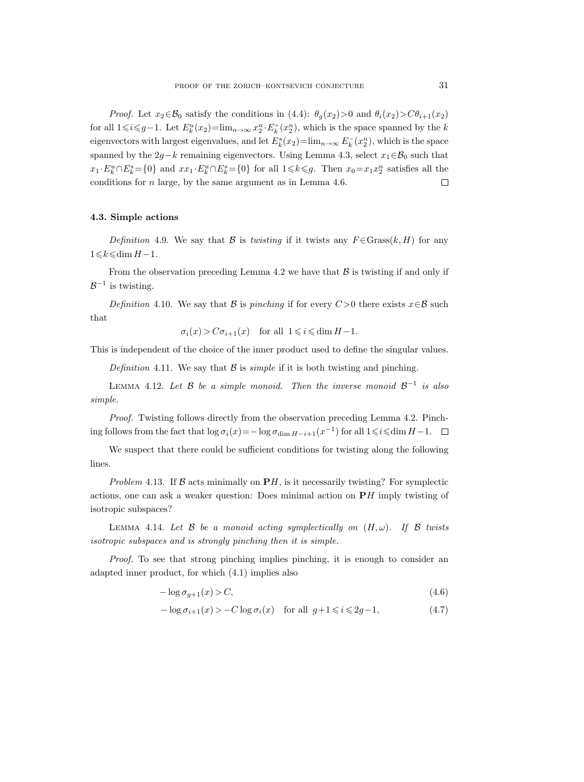*Proof.* Let  $x_2 \in \mathcal{B}_0$  satisfy the conditions in (4.4):  $\theta_q(x_2) > 0$  and  $\theta_i(x_2) > C\theta_{i+1}(x_2)$ for all  $1 \leq i \leq g-1$ . Let  $E_k^u(x_2) = \lim_{n \to \infty} x_2^n \cdot E_k^+(x_2^n)$ , which is the space spanned by the k eigenvectors with largest eigenvalues, and let  $E_k^s(x_2) = \lim_{n \to \infty} E_k^-(x_2^n)$ , which is the space spanned by the 2g−k remaining eigenvectors. Using Lemma 4.3, select  $x_1 \in \mathcal{B}_0$  such that  $x_1 \cdot E_k^u \cap E_k^s = \{0\}$  and  $xx_1 \cdot E_k^u \cap E_k^s = \{0\}$  for all  $1 \le k \le g$ . Then  $x_0 = x_1 x_2^n$  satisfies all the conditions for  $n$  large, by the same argument as in Lemma 4.6.  $\Box$ 

# 4.3. Simple actions

Definition 4.9. We say that B is twisting if it twists any  $F \in \text{Grass}(k, H)$  for any  $1\leqslant k\leqslant \dim H-1$ .

From the observation preceding Lemma 4.2 we have that  $\beta$  is twisting if and only if  $\mathcal{B}^{-1}$  is twisting.

Definition 4.10. We say that B is pinching if for every  $C>0$  there exists  $x\in\mathcal{B}$  such that

 $\sigma_i(x) > C \sigma_{i+1}(x)$  for all  $1 \leq i \leq \dim H - 1$ .

This is independent of the choice of the inner product used to define the singular values.

Definition 4.11. We say that  $\beta$  is *simple* if it is both twisting and pinching.

LEMMA 4.12. Let  $\mathcal B$  be a simple monoid. Then the inverse monoid  $\mathcal B^{-1}$  is also simple.

Proof. Twisting follows directly from the observation preceding Lemma 4.2. Pinching follows from the fact that  $\log \sigma_i(x) = -\log \sigma_{\dim H - i + 1}(x^{-1})$  for all  $1 \leq i \leq \dim H - 1$ .

We suspect that there could be sufficient conditions for twisting along the following lines.

Problem 4.13. If  $\beta$  acts minimally on PH, is it necessarily twisting? For symplectic actions, one can ask a weaker question: Does minimal action on  $\mathbf{P}H$  imply twisting of isotropic subspaces?

LEMMA 4.14. Let  $\beta$  be a monoid acting symplectically on  $(H, \omega)$ . If  $\beta$  twists isotropic subspaces and is strongly pinching then it is simple.

Proof. To see that strong pinching implies pinching, it is enough to consider an adapted inner product, for which (4.1) implies also

$$
-\log \sigma_{g+1}(x) > C,\tag{4.6}
$$

$$
-\log \sigma_{i+1}(x) > -C \log \sigma_i(x) \quad \text{for all } g+1 \leq i \leq 2g-1,\tag{4.7}
$$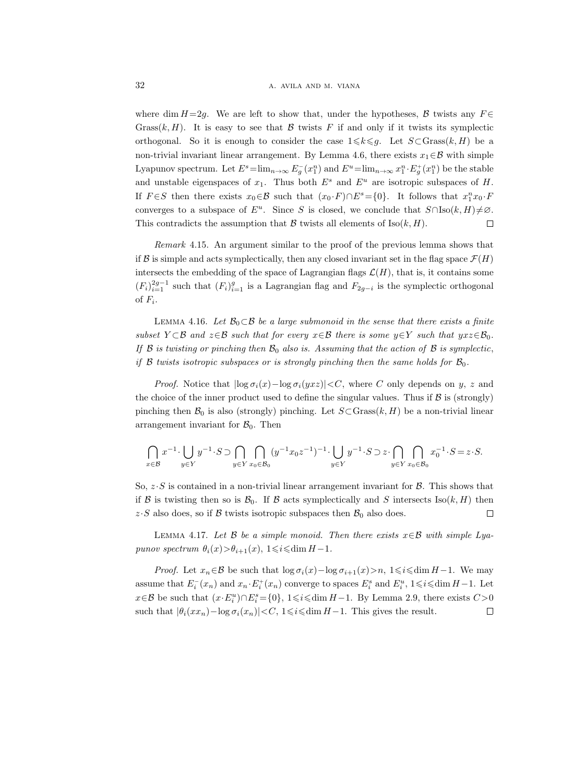where dim  $H=2g$ . We are left to show that, under the hypotheses, B twists any  $F \in$ Grass $(k, H)$ . It is easy to see that B twists F if and only if it twists its symplectic orthogonal. So it is enough to consider the case  $1 \leq k \leq g$ . Let  $S \subset \text{Grass}(k, H)$  be a non-trivial invariant linear arrangement. By Lemma 4.6, there exists  $x_1 \in \mathcal{B}$  with simple Lyapunov spectrum. Let  $E^s = \lim_{n \to \infty} E_g^-(x_1^n)$  and  $E^u = \lim_{n \to \infty} x_1^n \cdot E_g^+(x_1^n)$  be the stable and unstable eigenspaces of  $x_1$ . Thus both  $E^s$  and  $E^u$  are isotropic subspaces of H. If  $F \in S$  then there exists  $x_0 \in B$  such that  $(x_0 \cdot F) \cap E^s = \{0\}$ . It follows that  $x_1^n x_0 \cdot F$ converges to a subspace of  $E^u$ . Since S is closed, we conclude that  $S \cap \text{Iso}(k, H) \neq \emptyset$ . This contradicts the assumption that  $\mathcal B$  twists all elements of Iso(k, H).  $\Box$ 

Remark 4.15. An argument similar to the proof of the previous lemma shows that if B is simple and acts symplectically, then any closed invariant set in the flag space  $\mathcal{F}(H)$ intersects the embedding of the space of Lagrangian flags  $\mathcal{L}(H)$ , that is, it contains some  $(F_i)_{i=1}^{2g-1}$  such that  $(F_i)_{i=1}^g$  is a Lagrangian flag and  $F_{2g-i}$  is the symplectic orthogonal of  $F_i$ .

LEMMA 4.16. Let  $\mathcal{B}_0 \subset \mathcal{B}$  be a large submonoid in the sense that there exists a finite subset  $Y \subset \mathcal{B}$  and  $z \in \mathcal{B}$  such that for every  $x \in \mathcal{B}$  there is some  $y \in Y$  such that  $yxz \in \mathcal{B}_0$ . If  $\beta$  is twisting or pinching then  $\beta_0$  also is. Assuming that the action of  $\beta$  is symplectic, if  $\beta$  twists isotropic subspaces or is strongly pinching then the same holds for  $\mathcal{B}_0$ .

*Proof.* Notice that  $\log \sigma_i(x) - \log \sigma_i(yxz)| < C$ , where C only depends on y, z and the choice of the inner product used to define the singular values. Thus if  $\beta$  is (strongly) pinching then  $\mathcal{B}_0$  is also (strongly) pinching. Let  $S \subset \text{Grass}(k, H)$  be a non-trivial linear arrangement invariant for  $\mathcal{B}_0$ . Then

$$
\bigcap_{x\in\mathcal{B}}x^{-1}\cdot \bigcup_{y\in Y}y^{-1}\cdot S\supset \bigcap_{y\in Y}\bigcap_{x_0\in\mathcal{B}_0}(y^{-1}x_0z^{-1})^{-1}\cdot \bigcup_{y\in Y}y^{-1}\cdot S\supset z\cdot \bigcap_{y\in Y}\bigcap_{x_0\in\mathcal{B}_0}x_0^{-1}\cdot S=z\cdot S.
$$

So,  $z \cdot S$  is contained in a non-trivial linear arrangement invariant for  $\beta$ . This shows that if B is twisting then so is  $\mathcal{B}_0$ . If B acts symplectically and S intersects Iso $(k, H)$  then  $z\cdot S$  also does, so if B twists isotropic subspaces then  $\mathcal{B}_0$  also does.  $\Box$ 

LEMMA 4.17. Let  $\beta$  be a simple monoid. Then there exists  $x \in \beta$  with simple Lyapunov spectrum  $\theta_i(x) > \theta_{i+1}(x), 1 \leq i \leq \dim H - 1$ .

*Proof.* Let  $x_n \in \mathcal{B}$  be such that  $\log \sigma_i(x) - \log \sigma_{i+1}(x) > n$ ,  $1 \leq i \leq \dim H - 1$ . We may assume that  $E_i^-(x_n)$  and  $x_n \cdot E_i^+(x_n)$  converge to spaces  $E_i^s$  and  $E_i^u$ ,  $1 \leq i \leq \dim H - 1$ . Let  $x \in \mathcal{B}$  be such that  $(x \cdot E_i^u) \cap E_i^s = \{0\}, 1 \le i \le \dim H - 1$ . By Lemma 2.9, there exists  $C > 0$ such that  $|\theta_i(xx_n)-\log \sigma_i(x_n)|< C, 1\leq i\leq \dim H-1$ . This gives the result.  $\Box$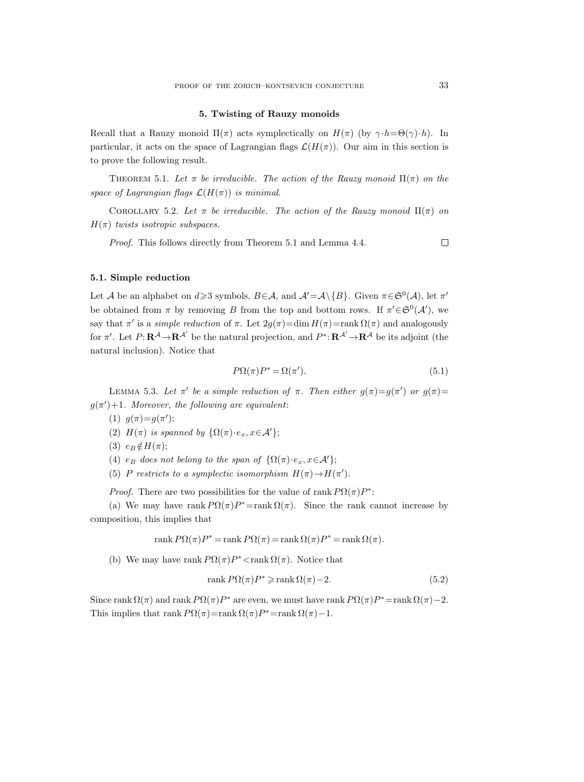## 5. Twisting of Rauzy monoids

Recall that a Rauzy monoid  $\Pi(\pi)$  acts symplectically on  $H(\pi)$  (by  $\gamma \cdot h = \Theta(\gamma) \cdot h$ ). In particular, it acts on the space of Lagrangian flags  $\mathcal{L}(H(\pi))$ . Our aim in this section is to prove the following result.

THEOREM 5.1. Let  $\pi$  be irreducible. The action of the Rauzy monoid  $\Pi(\pi)$  on the space of Lagrangian flags  $\mathcal{L}(H(\pi))$  is minimal.

COROLLARY 5.2. Let  $\pi$  be irreducible. The action of the Rauzy monoid  $\Pi(\pi)$  on  $H(\pi)$  twists isotropic subspaces.

Proof. This follows directly from Theorem 5.1 and Lemma 4.4.

# 5.1. Simple reduction

Let A be an alphabet on  $d \geq 3$  symbols,  $B \in \mathcal{A}$ , and  $\mathcal{A}' = \mathcal{A} \setminus \{B\}$ . Given  $\pi \in \mathfrak{S}^0(\mathcal{A})$ , let  $\pi'$ be obtained from  $\pi$  by removing B from the top and bottom rows. If  $\pi' \in \mathfrak{S}^0(\mathcal{A}')$ , we say that  $\pi'$  is a *simple reduction* of  $\pi$ . Let  $2g(\pi)=\dim H(\pi)=\text{rank }\Omega(\pi)$  and analogously for  $\pi'$ . Let  $P: \mathbf{R}^{\mathcal{A}} \to \mathbf{R}^{\mathcal{A}'}$  be the natural projection, and  $P^*: \mathbf{R}^{\mathcal{A}'} \to \mathbf{R}^{\mathcal{A}}$  be its adjoint (the natural inclusion). Notice that

$$
P\Omega(\pi)P^* = \Omega(\pi').\tag{5.1}
$$

LEMMA 5.3. Let  $\pi'$  be a simple reduction of  $\pi$ . Then either  $g(\pi)=g(\pi')$  or  $g(\pi)=$  $g(\pi') + 1$ . Moreover, the following are equivalent:

- (1)  $g(\pi)=g(\pi')$ ;
- (2)  $H(\pi)$  is spanned by  $\{\Omega(\pi) \cdot e_x, x \in \mathcal{A}'\};$
- (3)  $e_B \notin H(\pi);$
- (4)  $e_B$  does not belong to the span of  $\{\Omega(\pi) \cdot e_x, x \in \mathcal{A}'\};$
- (5) P restricts to a symplectic isomorphism  $H(\pi) \to H(\pi').$

*Proof.* There are two possibilities for the value of rank  $P\Omega(\pi)P^*$ :

(a) We may have rank  $P\Omega(\pi)P^* = \text{rank }\Omega(\pi)$ . Since the rank cannot increase by composition, this implies that

$$
rank P\Omega(\pi)P^* = rank P\Omega(\pi) = rank \Omega(\pi)P^* = rank \Omega(\pi).
$$

(b) We may have rank  $P\Omega(\pi)P^*<$ rank  $\Omega(\pi)$ . Notice that

$$
rank P\Omega(\pi)P^* \geqslant rank \Omega(\pi) - 2.
$$
\n(5.2)

Since rank  $\Omega(\pi)$  and rank  $P\Omega(\pi)P^*$  are even, we must have rank  $P\Omega(\pi)P^*$ =rank  $\Omega(\pi)$  - 2. This implies that rank  $P\Omega(\pi) = \operatorname{rank} \Omega(\pi)P^* = \operatorname{rank} \Omega(\pi) - 1$ .

 $\Box$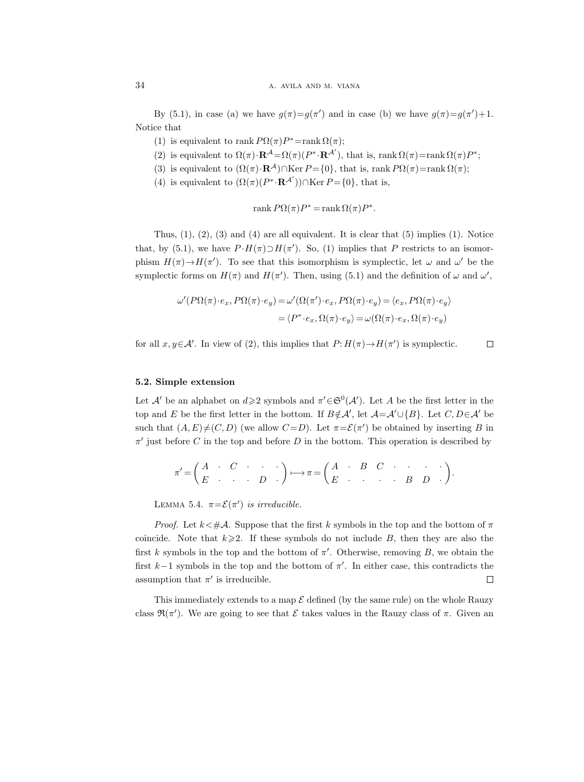By (5.1), in case (a) we have  $g(\pi)=g(\pi')$  and in case (b) we have  $g(\pi)=g(\pi')+1$ . Notice that

- (1) is equivalent to rank  $P\Omega(\pi)P^* = \text{rank }\Omega(\pi);$
- (2) is equivalent to  $\Omega(\pi) \cdot \mathbf{R}^{\mathcal{A}} = \Omega(\pi) (P^* \cdot \mathbf{R}^{\mathcal{A}'})$ , that is, rank  $\Omega(\pi) = \text{rank } \Omega(\pi) P^*$ ;
- (3) is equivalent to  $(\Omega(\pi) \cdot \mathbf{R}^{\mathcal{A}}) \cap \text{Ker } P = \{0\}$ , that is, rank  $P\Omega(\pi) = \text{rank } \Omega(\pi)$ ;
- (4) is equivalent to  $(\Omega(\pi)(P^*\cdot \mathbf{R}^{\mathcal{A}'})) \cap \text{Ker } P = \{0\}$ , that is,

$$
rank P\Omega(\pi)P^* = rank \Omega(\pi)P^*.
$$

Thus,  $(1)$ ,  $(2)$ ,  $(3)$  and  $(4)$  are all equivalent. It is clear that  $(5)$  implies  $(1)$ . Notice that, by (5.1), we have  $P \cdot H(\pi) \supset H(\pi')$ . So, (1) implies that P restricts to an isomorphism  $H(\pi) \to H(\pi')$ . To see that this isomorphism is symplectic, let  $\omega$  and  $\omega'$  be the symplectic forms on  $H(\pi)$  and  $H(\pi')$ . Then, using (5.1) and the definition of  $\omega$  and  $\omega'$ ,

$$
\omega'(P\Omega(\pi) \cdot e_x, P\Omega(\pi) \cdot e_y) = \omega'(\Omega(\pi') \cdot e_x, P\Omega(\pi) \cdot e_y) = \langle e_x, P\Omega(\pi) \cdot e_y \rangle
$$

$$
= \langle P^* \cdot e_x, \Omega(\pi) \cdot e_y \rangle = \omega(\Omega(\pi) \cdot e_x, \Omega(\pi) \cdot e_y)
$$

for all  $x, y \in A'$ . In view of (2), this implies that  $P: H(\pi) \to H(\pi')$  is symplectic.  $\Box$ 

## 5.2. Simple extension

Let A' be an alphabet on  $d \geqslant 2$  symbols and  $\pi' \in \mathfrak{S}^0(\mathcal{A}')$ . Let A be the first letter in the top and E be the first letter in the bottom. If  $B \notin \mathcal{A}'$ , let  $\mathcal{A} = \mathcal{A}' \cup \{B\}$ . Let  $C, D \in \mathcal{A}'$  be such that  $(A, E) \neq (C, D)$  (we allow  $C = D$ ). Let  $\pi = \mathcal{E}(\pi')$  be obtained by inserting B in  $\pi'$  just before C in the top and before D in the bottom. This operation is described by

$$
\pi' = \begin{pmatrix} A & \cdot & C & \cdot & \cdot & \cdot \\ E & \cdot & \cdot & \cdot & D & \cdot \end{pmatrix} \longmapsto \pi = \begin{pmatrix} A & \cdot & B & C & \cdot & \cdot & \cdot & \cdot \\ E & \cdot & \cdot & \cdot & \cdot & B & D & \cdot \end{pmatrix}.
$$

LEMMA 5.4.  $\pi = \mathcal{E}(\pi')$  is irreducible.

*Proof.* Let  $k \leq \text{#A}$ . Suppose that the first k symbols in the top and the bottom of  $\pi$ coincide. Note that  $k\geqslant 2$ . If these symbols do not include B, then they are also the first k symbols in the top and the bottom of  $\pi'$ . Otherwise, removing B, we obtain the first  $k-1$  symbols in the top and the bottom of  $\pi'$ . In either case, this contradicts the assumption that  $\pi'$  is irreducible.  $\Box$ 

This immediately extends to a map  $\mathcal E$  defined (by the same rule) on the whole Rauzy class  $\mathfrak{R}(\pi')$ . We are going to see that  $\mathcal E$  takes values in the Rauzy class of  $\pi$ . Given an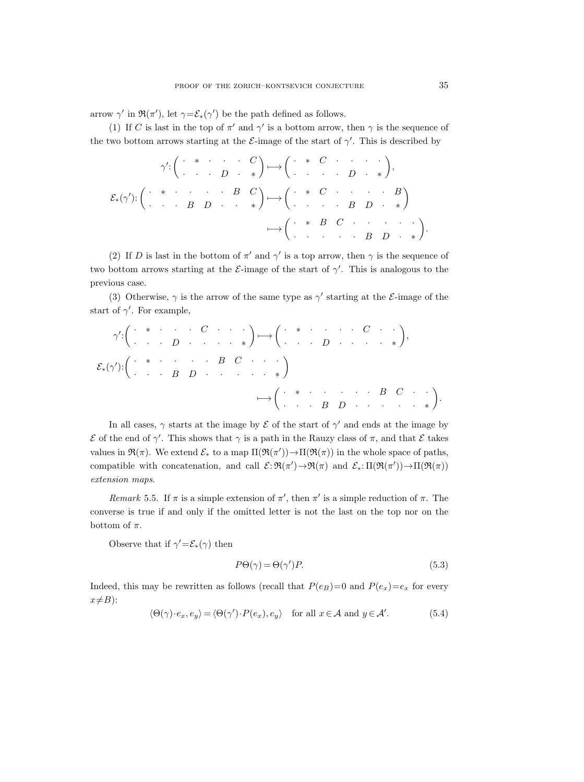arrow  $\gamma'$  in  $\mathfrak{R}(\pi')$ , let  $\gamma = \mathcal{E}_*(\gamma')$  be the path defined as follows.

(1) If C is last in the top of  $\pi'$  and  $\gamma'$  is a bottom arrow, then  $\gamma$  is the sequence of the two bottom arrows starting at the  $\mathcal{E}\text{-image}$  of the start of  $\gamma'$ . This is described by

$$
\gamma' : \begin{pmatrix} \cdot & * & \cdot & \cdot & C \\ \cdot & \cdot & D & \cdot & * \end{pmatrix} \longmapsto \begin{pmatrix} \cdot & * & C & \cdot & \cdot & \cdot \\ \cdot & \cdot & \cdot & D & \cdot & * \end{pmatrix},
$$

$$
\mathcal{E}_*(\gamma') : \begin{pmatrix} \cdot & * & \cdot & \cdot & \cdot & B & C \\ \cdot & \cdot & \cdot & B & D & \cdot & * \end{pmatrix} \longmapsto \begin{pmatrix} \cdot & * & C & \cdot & \cdot & \cdot & \cdot & B \\ \cdot & \cdot & \cdot & \cdot & B & D & \cdot & * \end{pmatrix} \longmapsto \begin{pmatrix} \cdot & * & B & C & \cdot & \cdot & \cdot & \cdot \\ \cdot & \cdot & \cdot & \cdot & B & D & \cdot & * \end{pmatrix}.
$$

(2) If D is last in the bottom of  $\pi'$  and  $\gamma'$  is a top arrow, then  $\gamma$  is the sequence of two bottom arrows starting at the  $\mathcal{E}\text{-image}$  of the start of  $\gamma'$ . This is analogous to the previous case.

(3) Otherwise,  $\gamma$  is the arrow of the same type as  $\gamma'$  starting at the *E*-image of the start of  $\gamma'$ . For example,

$$
\gamma' : \begin{pmatrix} \cdot & * & \cdot & \cdot & C & \cdot & \cdot & \cdot \\ \cdot & \cdot & D & \cdot & \cdot & \cdot & \cdot & * \end{pmatrix} \mapsto \begin{pmatrix} \cdot & * & \cdot & \cdot & \cdot & C & \cdot & \cdot \\ \cdot & \cdot & D & \cdot & \cdot & \cdot & \cdot & * \end{pmatrix},
$$
  

$$
\mathcal{E}_*(\gamma') : \begin{pmatrix} \cdot & * & \cdot & \cdot & \cdot & B & C & \cdot & \cdot \\ \cdot & \cdot & B & D & \cdot & \cdot & \cdot & \cdot & * \end{pmatrix} \mapsto \begin{pmatrix} \cdot & * & \cdot & \cdot & \cdot & \cdot & \cdot & B & C & \cdot & \cdot \\ \cdot & \cdot & B & D & \cdot & \cdot & \cdot & \cdot & * \end{pmatrix}.
$$

In all cases,  $\gamma$  starts at the image by  $\mathcal E$  of the start of  $\gamma'$  and ends at the image by  $\mathcal E$  of the end of  $\gamma'$ . This shows that  $\gamma$  is a path in the Rauzy class of π, and that  $\mathcal E$  takes values in  $\mathfrak{R}(\pi)$ . We extend  $\mathcal{E}_*$  to a map  $\Pi(\mathfrak{R}(\pi')) \to \Pi(\mathfrak{R}(\pi))$  in the whole space of paths, compatible with concatenation, and call  $\mathcal{E}: \mathfrak{R}(\pi') \to \mathfrak{R}(\pi)$  and  $\mathcal{E}_*: \Pi(\mathfrak{R}(\pi')) \to \Pi(\mathfrak{R}(\pi))$ extension maps.

Remark 5.5. If  $\pi$  is a simple extension of  $\pi'$ , then  $\pi'$  is a simple reduction of  $\pi$ . The converse is true if and only if the omitted letter is not the last on the top nor on the bottom of  $\pi$ .

Observe that if  $\gamma' = \mathcal{E}_*(\gamma)$  then

$$
P\Theta(\gamma) = \Theta(\gamma')P.\tag{5.3}
$$

Indeed, this may be rewritten as follows (recall that  $P(e_B)=0$  and  $P(e_x)=e_x$  for every  $x \neq B$ :

$$
\langle \Theta(\gamma) \cdot e_x, e_y \rangle = \langle \Theta(\gamma') \cdot P(e_x), e_y \rangle \quad \text{for all } x \in \mathcal{A} \text{ and } y \in \mathcal{A}'. \tag{5.4}
$$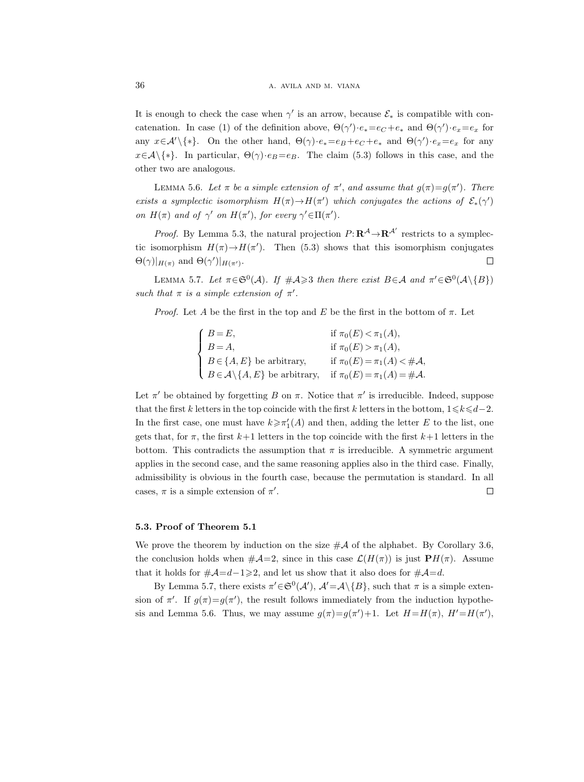It is enough to check the case when  $\gamma'$  is an arrow, because  $\mathcal{E}_*$  is compatible with concatenation. In case (1) of the definition above,  $\Theta(\gamma') \cdot e_* = e_C + e_*$  and  $\Theta(\gamma') \cdot e_x = e_x$  for any  $x \in \mathcal{A}' \setminus \{*\}$ . On the other hand,  $\Theta(\gamma) \cdot e_* = e_B + e_C + e_*$  and  $\Theta(\gamma') \cdot e_x = e_x$  for any  $x \in \mathcal{A}\setminus\{*\}.$  In particular,  $\Theta(\gamma) \cdot e_B = e_B$ . The claim (5.3) follows in this case, and the other two are analogous.

LEMMA 5.6. Let  $\pi$  be a simple extension of  $\pi'$ , and assume that  $g(\pi)=g(\pi')$ . There exists a symplectic isomorphism  $H(\pi) \to H(\pi')$  which conjugates the actions of  $\mathcal{E}_*(\gamma')$ on  $H(\pi)$  and of  $\gamma'$  on  $H(\pi')$ , for every  $\gamma' \in \Pi(\pi')$ .

*Proof.* By Lemma 5.3, the natural projection  $P: \mathbb{R}^{\mathcal{A}} \to \mathbb{R}^{\mathcal{A}'}$  restricts to a symplectic isomorphism  $H(\pi) \to H(\pi')$ . Then (5.3) shows that this isomorphism conjugates  $\Theta(\gamma)|_{H(\pi)}$  and  $\Theta(\gamma')|_{H(\pi')}$ .  $\Box$ 

LEMMA 5.7. Let  $\pi \in \mathfrak{S}^0(\mathcal{A})$ . If  $\#\mathcal{A} \geq 3$  then there exist  $B \in \mathcal{A}$  and  $\pi' \in \mathfrak{S}^0(\mathcal{A} \setminus \{B\})$ such that  $\pi$  is a simple extension of  $\pi'$ .

*Proof.* Let A be the first in the top and E be the first in the bottom of  $\pi$ . Let

| $\int B=E,$ |                                                       | if $\pi_0(E) < \pi_1(A)$ ,       |
|-------------|-------------------------------------------------------|----------------------------------|
| $B=A,$      |                                                       | if $\pi_0(E) > \pi_1(A)$ ,       |
|             | $B \in \{A, E\}$ be arbitrary,                        | if $\pi_0(E) = \pi_1(A) < \#A$ , |
|             | $B \in \mathcal{A} \backslash \{A, E\}$ be arbitrary, | if $\pi_0(E) = \pi_1(A) = \#A$ . |

Let  $\pi'$  be obtained by forgetting B on  $\pi$ . Notice that  $\pi'$  is irreducible. Indeed, suppose that the first k letters in the top coincide with the first k letters in the bottom,  $1 \leq k \leq d-2$ . In the first case, one must have  $k \geq \pi'_1(A)$  and then, adding the letter E to the list, one gets that, for  $\pi$ , the first  $k+1$  letters in the top coincide with the first  $k+1$  letters in the bottom. This contradicts the assumption that  $\pi$  is irreducible. A symmetric argument applies in the second case, and the same reasoning applies also in the third case. Finally, admissibility is obvious in the fourth case, because the permutation is standard. In all cases,  $\pi$  is a simple extension of  $\pi'$ .  $\Box$ 

#### 5.3. Proof of Theorem 5.1

We prove the theorem by induction on the size  $\#\mathcal{A}$  of the alphabet. By Corollary 3.6, the conclusion holds when  $\#\mathcal{A}=2$ , since in this case  $\mathcal{L}(H(\pi))$  is just  $\mathbf{P}H(\pi)$ . Assume that it holds for  $\#\mathcal{A} = d-1 \geqslant 2$ , and let us show that it also does for  $\#\mathcal{A} = d$ .

By Lemma 5.7, there exists  $\pi' \in \mathfrak{S}^0(\mathcal{A}'), \mathcal{A}' = \mathcal{A}\setminus\{B\}$ , such that  $\pi$  is a simple extension of  $\pi'$ . If  $g(\pi)=g(\pi')$ , the result follows immediately from the induction hypothesis and Lemma 5.6. Thus, we may assume  $g(\pi)=g(\pi')+1$ . Let  $H=H(\pi)$ ,  $H'=H(\pi')$ ,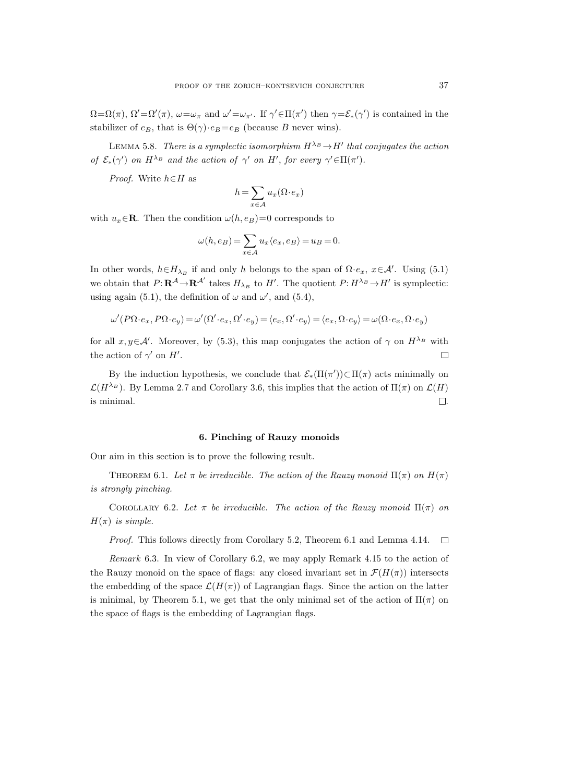$\Omega = \Omega(\pi)$ ,  $\Omega' = \Omega'(\pi)$ ,  $\omega = \omega_{\pi}$  and  $\omega' = \omega_{\pi'}$ . If  $\gamma' \in \Pi(\pi')$  then  $\gamma = \mathcal{E}_*(\gamma')$  is contained in the stabilizer of  $e_B$ , that is  $\Theta(\gamma) \cdot e_B = e_B$  (because B never wins).

LEMMA 5.8. There is a symplectic isomorphism  $H^{\lambda_B} \to H'$  that conjugates the action of  $\mathcal{E}_*(\gamma')$  on  $H^{\lambda_B}$  and the action of  $\gamma'$  on  $H'$ , for every  $\gamma' \in \Pi(\pi')$ .

*Proof.* Write  $h \in H$  as

$$
h = \sum_{x \in \mathcal{A}} u_x(\Omega \cdot e_x)
$$

with  $u_x \in \mathbf{R}$ . Then the condition  $\omega(h, e_B)=0$  corresponds to

$$
\omega(h, e_B) = \sum_{x \in \mathcal{A}} u_x \langle e_x, e_B \rangle = u_B = 0.
$$

In other words,  $h \in H_{\lambda_B}$  if and only h belongs to the span of  $\Omega \cdot e_x$ ,  $x \in \mathcal{A}'$ . Using (5.1) we obtain that  $P: \mathbf{R}^{\mathcal{A}} \to \mathbf{R}^{\mathcal{A}'}$  takes  $H_{\lambda_B}$  to  $H'$ . The quotient  $P: H^{\lambda_B} \to H'$  is symplectic: using again (5.1), the definition of  $\omega$  and  $\omega'$ , and (5.4),

$$
\omega'(P\Omega \cdot e_x,P\Omega \cdot e_y)=\omega'(\Omega'\cdot e_x,\Omega'\cdot e_y)=\langle e_x,\Omega'\cdot e_y\rangle=\langle e_x,\Omega\cdot e_y\rangle=\omega(\Omega\cdot e_x,\Omega\cdot e_y)
$$

for all  $x, y \in \mathcal{A}'$ . Moreover, by (5.3), this map conjugates the action of  $\gamma$  on  $H^{\lambda_B}$  with the action of  $\gamma'$  on  $H'$ .  $\Box$ 

By the induction hypothesis, we conclude that  $\mathcal{E}_*(\Pi(\pi')) \subset \Pi(\pi)$  acts minimally on  $\mathcal{L}(H^{\lambda_B})$ . By Lemma 2.7 and Corollary 3.6, this implies that the action of  $\Pi(\pi)$  on  $\mathcal{L}(H)$ is minimal.  $\Box$ 

## 6. Pinching of Rauzy monoids

Our aim in this section is to prove the following result.

THEOREM 6.1. Let  $\pi$  be irreducible. The action of the Rauzy monoid  $\Pi(\pi)$  on  $H(\pi)$ is strongly pinching.

COROLLARY 6.2. Let  $\pi$  be irreducible. The action of the Rauzy monoid  $\Pi(\pi)$  on  $H(\pi)$  is simple.

Proof. This follows directly from Corollary 5.2, Theorem 6.1 and Lemma 4.14.  $\Box$ 

Remark 6.3. In view of Corollary 6.2, we may apply Remark 4.15 to the action of the Rauzy monoid on the space of flags: any closed invariant set in  $\mathcal{F}(H(\pi))$  intersects the embedding of the space  $\mathcal{L}(H(\pi))$  of Lagrangian flags. Since the action on the latter is minimal, by Theorem 5.1, we get that the only minimal set of the action of  $\Pi(\pi)$  on the space of flags is the embedding of Lagrangian flags.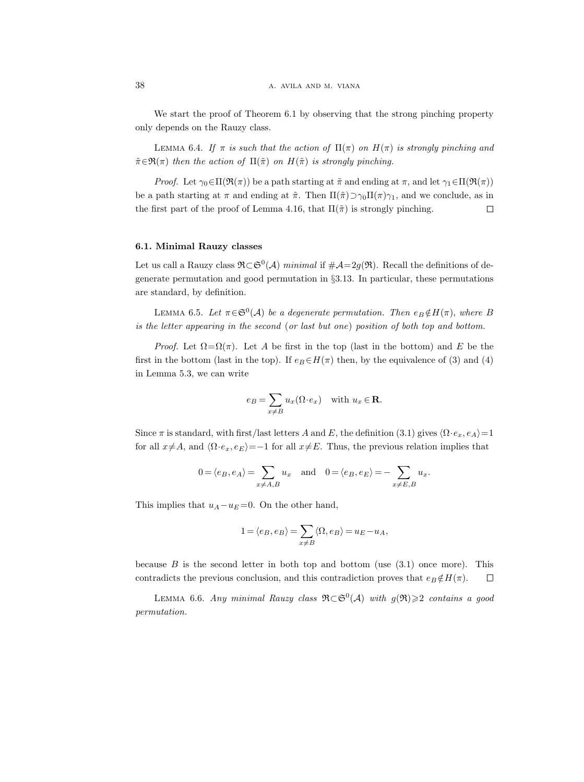We start the proof of Theorem 6.1 by observing that the strong pinching property only depends on the Rauzy class.

LEMMA 6.4. If  $\pi$  is such that the action of  $\Pi(\pi)$  on  $H(\pi)$  is strongly pinching and  $\tilde{\pi} \in \mathfrak{R}(\pi)$  then the action of  $\Pi(\tilde{\pi})$  on  $H(\tilde{\pi})$  is strongly pinching.

*Proof.* Let  $\gamma_0 \in \Pi(\mathfrak{R}(\pi))$  be a path starting at  $\tilde{\pi}$  and ending at  $\pi$ , and let  $\gamma_1 \in \Pi(\mathfrak{R}(\pi))$ be a path starting at  $\pi$  and ending at  $\tilde{\pi}$ . Then  $\Pi(\tilde{\pi}) \supset \gamma_0 \Pi(\pi) \gamma_1$ , and we conclude, as in the first part of the proof of Lemma 4.16, that  $\Pi(\tilde{\pi})$  is strongly pinching.  $\Box$ 

# 6.1. Minimal Rauzy classes

Let us call a Rauzy class  $\mathfrak{R}\subset\mathfrak{S}^0(\mathcal{A})$  minimal if  $\#\mathcal{A}=2g(\mathfrak{R})$ . Recall the definitions of degenerate permutation and good permutation in §3.13. In particular, these permutations are standard, by definition.

LEMMA 6.5. Let  $\pi \in \mathfrak{S}^0(\mathcal{A})$  be a degenerate permutation. Then  $e_B \notin H(\pi)$ , where B is the letter appearing in the second (or last but one) position of both top and bottom.

*Proof.* Let  $\Omega = \Omega(\pi)$ . Let A be first in the top (last in the bottom) and E be the first in the bottom (last in the top). If  $e_B \in H(\pi)$  then, by the equivalence of (3) and (4) in Lemma 5.3, we can write

$$
e_B = \sum_{x \neq B} u_x(\Omega \cdot e_x) \quad \text{with } u_x \in \mathbf{R}.
$$

Since  $\pi$  is standard, with first/last letters A and E, the definition (3.1) gives  $\langle \Omega \cdot e_x, e_A \rangle = 1$ for all  $x\neq A$ , and  $\langle \Omega \cdot e_x, e_E \rangle = -1$  for all  $x\neq E$ . Thus, the previous relation implies that

$$
0 = \langle e_B, e_A \rangle = \sum_{x \neq A, B} u_x
$$
 and  $0 = \langle e_B, e_E \rangle = -\sum_{x \neq E, B} u_x$ .

This implies that  $u_A - u_E = 0$ . On the other hand,

$$
1 = \langle e_B, e_B \rangle = \sum_{x \neq B} \langle \Omega, e_B \rangle = u_E - u_A,
$$

because  $B$  is the second letter in both top and bottom (use  $(3.1)$ ) once more). This contradicts the previous conclusion, and this contradiction proves that  $e_B \notin H(\pi)$ .  $\Box$ 

LEMMA 6.6. Any minimal Rauzy class  $\mathfrak{R}\subset\mathfrak{S}^0(\mathcal{A})$  with  $g(\mathfrak{R})\geqslant 2$  contains a good permutation.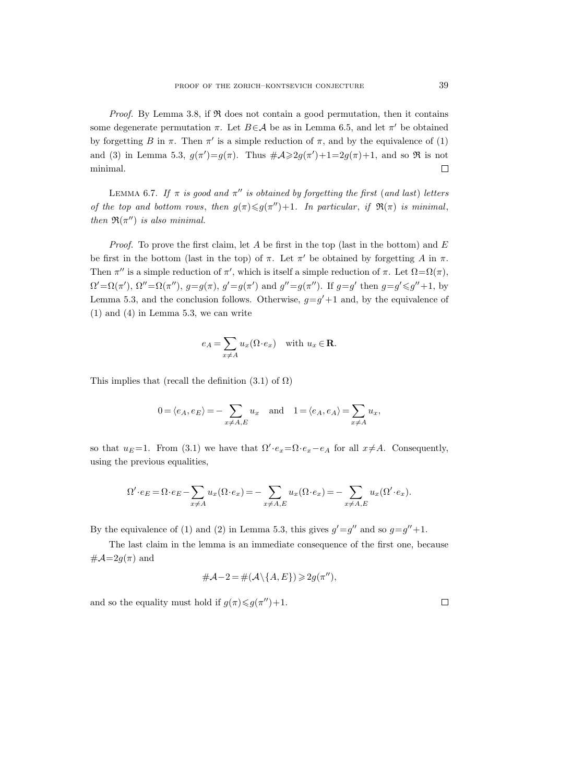*Proof.* By Lemma 3.8, if  $\Re$  does not contain a good permutation, then it contains some degenerate permutation  $\pi$ . Let  $B \in \mathcal{A}$  be as in Lemma 6.5, and let  $\pi'$  be obtained by forgetting B in  $\pi$ . Then  $\pi'$  is a simple reduction of  $\pi$ , and by the equivalence of (1) and (3) in Lemma 5.3,  $g(\pi') = g(\pi)$ . Thus  $\#\mathcal{A} \geq 2g(\pi') + 1 = 2g(\pi) + 1$ , and so  $\Re$  is not minimal.  $\Box$ 

LEMMA 6.7. If  $\pi$  is good and  $\pi''$  is obtained by forgetting the first (and last) letters of the top and bottom rows, then  $g(\pi) \leq g(\pi'') + 1$ . In particular, if  $\Re(\pi)$  is minimal, then  $\mathfrak{R}(\pi'')$  is also minimal.

*Proof.* To prove the first claim, let A be first in the top (last in the bottom) and E be first in the bottom (last in the top) of  $\pi$ . Let  $\pi'$  be obtained by forgetting A in  $\pi$ . Then  $\pi''$  is a simple reduction of  $\pi'$ , which is itself a simple reduction of  $\pi$ . Let  $\Omega = \Omega(\pi)$ ,  $\Omega' = \Omega(\pi'), \ \Omega'' = \Omega(\pi''), \ g = g(\pi), \ g' = g(\pi') \text{ and } g'' = g(\pi'').$  If  $g = g' \text{ then } g = g' \leq g'' + 1$ , by Lemma 5.3, and the conclusion follows. Otherwise,  $g = g' + 1$  and, by the equivalence of (1) and (4) in Lemma 5.3, we can write

$$
e_A = \sum_{x \neq A} u_x(\Omega \cdot e_x) \quad \text{with } u_x \in \mathbf{R}.
$$

This implies that (recall the definition  $(3.1)$  of  $\Omega$ )

$$
0 = \langle e_A, e_E \rangle = -\sum_{x \neq A, E} u_x
$$
 and  $1 = \langle e_A, e_A \rangle = \sum_{x \neq A} u_x$ ,

so that  $u_E=1$ . From (3.1) we have that  $\Omega' \cdot e_x = \Omega \cdot e_x - e_A$  for all  $x \neq A$ . Consequently, using the previous equalities,

$$
\Omega'\cdot e_E = \Omega\cdot e_E - \sum_{x\neq A} u_x(\Omega\cdot e_x) = -\sum_{x\neq A,E} u_x(\Omega\cdot e_x) = -\sum_{x\neq A,E} u_x(\Omega'\cdot e_x).
$$

By the equivalence of (1) and (2) in Lemma 5.3, this gives  $g' = g''$  and so  $g = g'' + 1$ .

The last claim in the lemma is an immediate consequence of the first one, because  $\#\mathcal{A}=2g(\pi)$  and

$$
\#\mathcal{A}-2=\#(\mathcal{A}\backslash\{A,E\})\geqslant 2g(\pi''),
$$

and so the equality must hold if  $g(\pi) \leq g(\pi'') + 1$ .

 $\Box$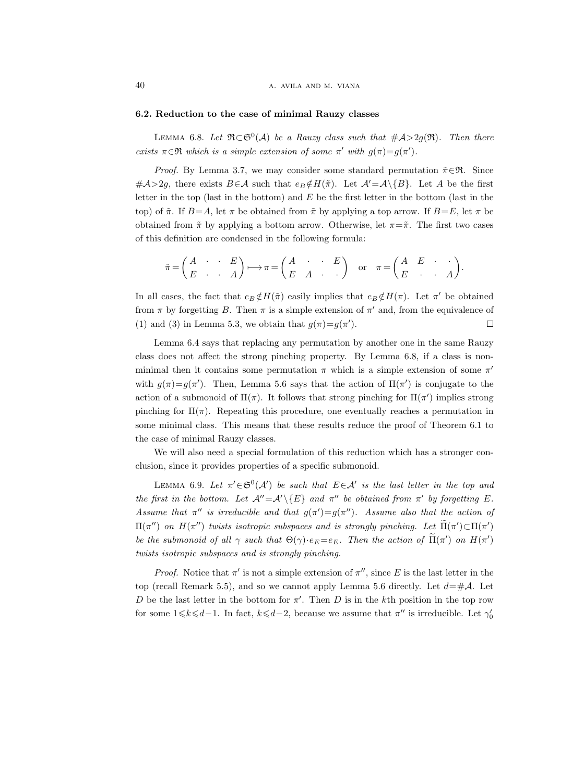## 6.2. Reduction to the case of minimal Rauzy classes

LEMMA 6.8. Let  $\mathfrak{R}\subset\mathfrak{S}^0(\mathcal{A})$  be a Rauzy class such that  $\#\mathcal{A}>2g(\mathfrak{R})$ . Then there exists  $\pi \in \mathfrak{R}$  which is a simple extension of some  $\pi'$  with  $g(\pi)=g(\pi')$ .

*Proof.* By Lemma 3.7, we may consider some standard permutation  $\tilde{\pi} \in \mathfrak{R}$ . Since  $\#\mathcal{A}>2g$ , there exists  $B\in\mathcal{A}$  such that  $e_B \notin H(\tilde{\pi})$ . Let  $\mathcal{A}'=\mathcal{A}\setminus\{B\}$ . Let A be the first letter in the top (last in the bottom) and  $E$  be the first letter in the bottom (last in the top) of  $\tilde{\pi}$ . If  $B=A$ , let  $\pi$  be obtained from  $\tilde{\pi}$  by applying a top arrow. If  $B=E$ , let  $\pi$  be obtained from  $\tilde{\pi}$  by applying a bottom arrow. Otherwise, let  $\pi = \tilde{\pi}$ . The first two cases of this definition are condensed in the following formula:

$$
\tilde{\pi} = \begin{pmatrix} A & \cdot & \cdot & E \\ E & \cdot & \cdot & A \end{pmatrix} \longmapsto \pi = \begin{pmatrix} A & \cdot & \cdot & E \\ E & A & \cdot & \cdot & A \end{pmatrix} \text{ or } \pi = \begin{pmatrix} A & E & \cdot & \cdot \\ E & \cdot & \cdot & A \end{pmatrix}.
$$

In all cases, the fact that  $e_B \notin H(\tilde{\pi})$  easily implies that  $e_B \notin H(\pi)$ . Let  $\pi'$  be obtained from  $\pi$  by forgetting B. Then  $\pi$  is a simple extension of  $\pi'$  and, from the equivalence of (1) and (3) in Lemma 5.3, we obtain that  $g(\pi)=g(\pi')$ .  $\Box$ 

Lemma 6.4 says that replacing any permutation by another one in the same Rauzy class does not affect the strong pinching property. By Lemma 6.8, if a class is nonminimal then it contains some permutation  $\pi$  which is a simple extension of some  $\pi'$ with  $g(\pi)=g(\pi')$ . Then, Lemma 5.6 says that the action of  $\Pi(\pi')$  is conjugate to the action of a submonoid of  $\Pi(\pi)$ . It follows that strong pinching for  $\Pi(\pi')$  implies strong pinching for  $\Pi(\pi)$ . Repeating this procedure, one eventually reaches a permutation in some minimal class. This means that these results reduce the proof of Theorem 6.1 to the case of minimal Rauzy classes.

We will also need a special formulation of this reduction which has a stronger conclusion, since it provides properties of a specific submonoid.

LEMMA 6.9. Let  $\pi' \in \mathfrak{S}^0(\mathcal{A}')$  be such that  $E \in \mathcal{A}'$  is the last letter in the top and the first in the bottom. Let  $\mathcal{A}''=\mathcal{A}'\backslash\{E\}$  and  $\pi''$  be obtained from  $\pi'$  by forgetting E. Assume that  $\pi''$  is irreducible and that  $g(\pi') = g(\pi'')$ . Assume also that the action of  $\Pi(\pi'')$  on  $H(\pi'')$  twists isotropic subspaces and is strongly pinching. Let  $\Pi(\pi') \subset \Pi(\pi')$ be the submonoid of all  $\gamma$  such that  $\Theta(\gamma) \cdot e_E = e_E$ . Then the action of  $\Pi(\pi')$  on  $H(\pi')$ twists isotropic subspaces and is strongly pinching.

*Proof.* Notice that  $\pi'$  is not a simple extension of  $\pi''$ , since E is the last letter in the top (recall Remark 5.5), and so we cannot apply Lemma 5.6 directly. Let  $d=\text{H.A.}$  Let D be the last letter in the bottom for  $\pi'$ . Then D is in the kth position in the top row for some  $1 \le k \le d-1$ . In fact,  $k \le d-2$ , because we assume that  $\pi''$  is irreducible. Let  $\gamma'_0$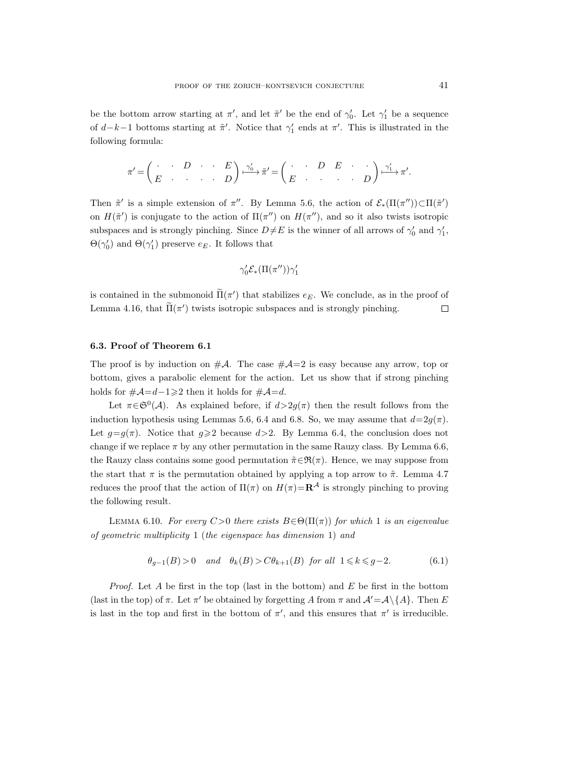be the bottom arrow starting at  $\pi'$ , and let  $\tilde{\pi}'$  be the end of  $\gamma'_0$ . Let  $\gamma'_1$  be a sequence of  $d-k-1$  bottoms starting at  $\tilde{\pi}'$ . Notice that  $\gamma'_1$  ends at  $\pi'$ . This is illustrated in the following formula:

$$
\pi' = \begin{pmatrix} \cdot & \cdot & D & \cdot & \cdot & E \\ E & \cdot & \cdot & \cdot & \cdot & \cdot & D \end{pmatrix} \xrightarrow{\gamma_0'} \tilde{\pi}' = \begin{pmatrix} \cdot & \cdot & D & E & \cdot & \cdot \\ E & \cdot & \cdot & \cdot & \cdot & \cdot & D \end{pmatrix} \xrightarrow{\gamma_1'} \pi'.
$$

Then  $\tilde{\pi}'$  is a simple extension of  $\pi''$ . By Lemma 5.6, the action of  $\mathcal{E}_*(\Pi(\pi'')) \subset \Pi(\tilde{\pi}')$ on  $H(\tilde{\pi}')$  is conjugate to the action of  $\Pi(\pi'')$  on  $H(\pi'')$ , and so it also twists isotropic subspaces and is strongly pinching. Since  $D\neq E$  is the winner of all arrows of  $\gamma'_0$  and  $\gamma'_1$ ,  $\Theta(\gamma_0')$  and  $\Theta(\gamma_1')$  preserve  $e_E$ . It follows that

$$
\gamma'_0 \mathcal{E}_*(\Pi(\pi'')) \gamma'_1
$$

is contained in the submonoid  $\Pi(\pi')$  that stabilizes  $e_E$ . We conclude, as in the proof of Lemma 4.16, that  $\Pi(\pi')$  twists isotropic subspaces and is strongly pinching.  $\Box$ 

# 6.3. Proof of Theorem 6.1

The proof is by induction on  $\#\mathcal{A}$ . The case  $\#\mathcal{A}=2$  is easy because any arrow, top or bottom, gives a parabolic element for the action. Let us show that if strong pinching holds for  $\#\mathcal{A} = d - 1 \geq 2$  then it holds for  $\#\mathcal{A} = d$ .

Let  $\pi \in \mathfrak{S}^0(\mathcal{A})$ . As explained before, if  $d > 2g(\pi)$  then the result follows from the induction hypothesis using Lemmas 5.6, 6.4 and 6.8. So, we may assume that  $d=2q(\pi)$ . Let  $g=g(\pi)$ . Notice that  $g\geqslant 2$  because  $d>2$ . By Lemma 6.4, the conclusion does not change if we replace  $\pi$  by any other permutation in the same Rauzy class. By Lemma 6.6, the Rauzy class contains some good permutation  $\tilde{\pi} \in \mathfrak{R}(\pi)$ . Hence, we may suppose from the start that  $\pi$  is the permutation obtained by applying a top arrow to  $\tilde{\pi}$ . Lemma 4.7 reduces the proof that the action of  $\Pi(\pi)$  on  $H(\pi)=\mathbf{R}^{\mathcal{A}}$  is strongly pinching to proving the following result.

LEMMA 6.10. For every C>0 there exists  $B \in \Theta(\Pi(\pi))$  for which 1 is an eigenvalue of geometric multiplicity 1 (the eigenspace has dimension 1) and

$$
\theta_{g-1}(B) > 0 \quad \text{and} \quad \theta_k(B) > C\theta_{k+1}(B) \quad \text{for all} \quad 1 \leq k \leq g-2. \tag{6.1}
$$

*Proof.* Let A be first in the top (last in the bottom) and E be first in the bottom (last in the top) of  $\pi$ . Let  $\pi'$  be obtained by forgetting A from  $\pi$  and  $\mathcal{A}' = \mathcal{A}\setminus\{A\}$ . Then E is last in the top and first in the bottom of  $\pi'$ , and this ensures that  $\pi'$  is irreducible.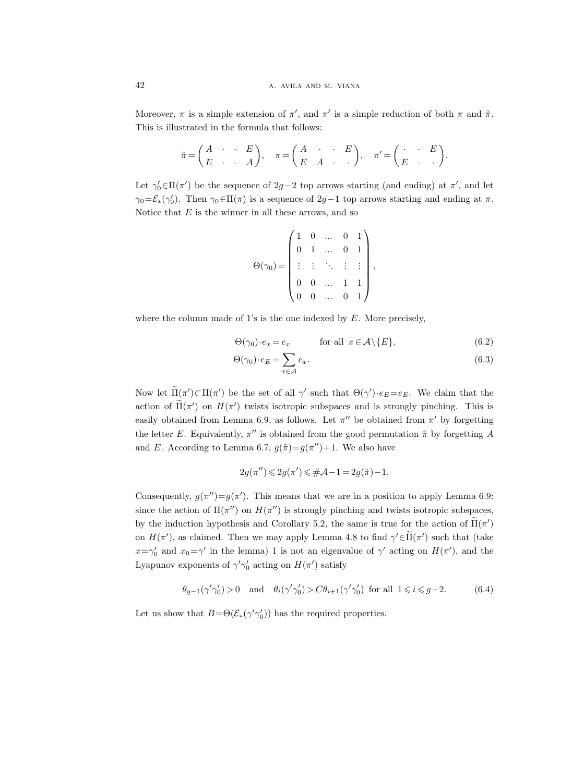Moreover,  $\pi$  is a simple extension of  $\pi'$ , and  $\pi'$  is a simple reduction of both  $\pi$  and  $\tilde{\pi}$ . This is illustrated in the formula that follows:

$$
\tilde{\pi} = \begin{pmatrix} A & \cdot & \cdot & E \\ E & \cdot & \cdot & A \end{pmatrix}, \quad \pi = \begin{pmatrix} A & \cdot & \cdot & E \\ E & A & \cdot & \cdot \end{pmatrix}, \quad \pi' = \begin{pmatrix} \cdot & \cdot & E \\ E & \cdot & \cdot \end{pmatrix}.
$$

Let  $\gamma_0' \in \Pi(\pi')$  be the sequence of  $2g-2$  top arrows starting (and ending) at  $\pi'$ , and let  $\gamma_0 = \mathcal{E}_*(\gamma'_0)$ . Then  $\gamma_0 \in \Pi(\pi)$  is a sequence of 2g-1 top arrows starting and ending at  $\pi$ . Notice that  $E$  is the winner in all these arrows, and so

$$
\Theta(\gamma_0) = \begin{pmatrix} 1 & 0 & \dots & 0 & 1 \\ 0 & 1 & \dots & 0 & 1 \\ \vdots & \vdots & \ddots & \vdots & \vdots \\ 0 & 0 & \dots & 1 & 1 \\ 0 & 0 & \dots & 0 & 1 \end{pmatrix},
$$

where the column made of 1's is the one indexed by  $E$ . More precisely,

$$
\Theta(\gamma_0) \cdot e_x = e_x \qquad \text{for all } x \in \mathcal{A} \setminus \{E\}, \tag{6.2}
$$

$$
\Theta(\gamma_0) \cdot e_E = \sum_{x \in \mathcal{A}} e_x. \tag{6.3}
$$

Now let  $\Pi(\pi') \subset \Pi(\pi')$  be the set of all  $\gamma'$  such that  $\Theta(\gamma') \cdot e_E = e_E$ . We claim that the action of  $\Pi(\pi')$  on  $H(\pi')$  twists isotropic subspaces and is strongly pinching. This is easily obtained from Lemma 6.9, as follows. Let  $\pi''$  be obtained from  $\pi'$  by forgetting the letter E. Equivalently,  $\pi''$  is obtained from the good permutation  $\tilde{\pi}$  by forgetting A and E. According to Lemma 6.7,  $g(\tilde{\pi}) = g(\pi'') + 1$ . We also have

$$
2g(\pi'') \leqslant 2g(\pi') \leqslant \#\mathcal{A} - 1 = 2g(\tilde{\pi}) - 1.
$$

Consequently,  $g(\pi'')=g(\pi')$ . This means that we are in a position to apply Lemma 6.9: since the action of  $\Pi(\pi'')$  on  $H(\pi'')$  is strongly pinching and twists isotropic subspaces, by the induction hypothesis and Corollary 5.2, the same is true for the action of  $\Pi(\pi')$ on  $H(\pi')$ , as claimed. Then we may apply Lemma 4.8 to find  $\gamma' \in \tilde{H}(\pi')$  such that (take  $x = \gamma'_0$  and  $x_0 = \gamma'$  in the lemma) 1 is not an eigenvalue of  $\gamma'$  acting on  $H(\pi')$ , and the Lyapunov exponents of  $\gamma' \gamma_0'$  acting on  $H(\pi')$  satisfy

$$
\theta_{g-1}(\gamma'\gamma_0')>0 \quad \text{and} \quad \theta_i(\gamma'\gamma_0')> C\theta_{i+1}(\gamma'\gamma_0') \text{ for all } 1\leqslant i\leqslant g-2. \tag{6.4}
$$

Let us show that  $B = \Theta(\mathcal{E}_*(\gamma' \gamma'_0))$  has the required properties.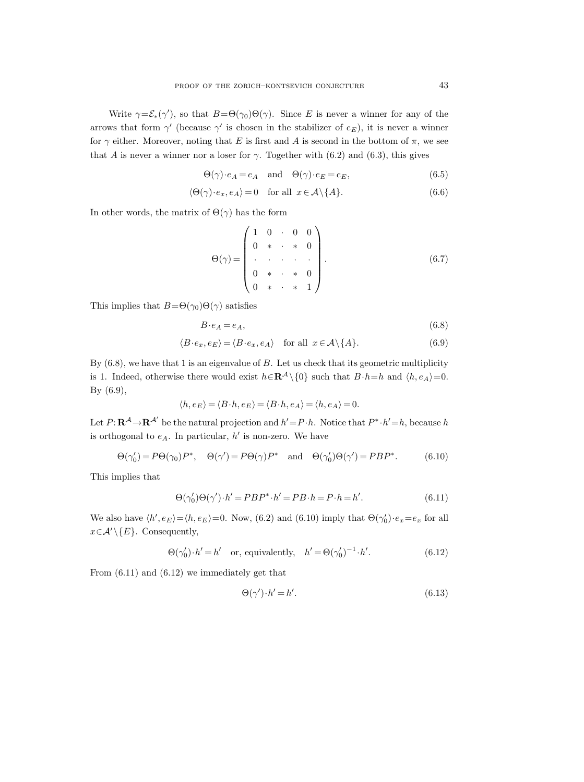Write  $\gamma = \mathcal{E}_*(\gamma')$ , so that  $B = \Theta(\gamma_0) \Theta(\gamma)$ . Since E is never a winner for any of the arrows that form  $\gamma'$  (because  $\gamma'$  is chosen in the stabilizer of  $e_E$ ), it is never a winner for  $\gamma$  either. Moreover, noting that E is first and A is second in the bottom of  $\pi$ , we see that A is never a winner nor a loser for  $\gamma$ . Together with (6.2) and (6.3), this gives

$$
\Theta(\gamma) \cdot e_A = e_A \quad \text{and} \quad \Theta(\gamma) \cdot e_E = e_E,\tag{6.5}
$$

$$
\langle \Theta(\gamma) \cdot e_x, e_A \rangle = 0 \quad \text{for all} \ \ x \in \mathcal{A} \setminus \{A\}. \tag{6.6}
$$

In other words, the matrix of  $\Theta(\gamma)$  has the form

$$
\Theta(\gamma) = \begin{pmatrix} 1 & 0 & \cdot & 0 & 0 \\ 0 & * & \cdot & * & 0 \\ \cdot & \cdot & \cdot & \cdot & \cdot \\ 0 & * & \cdot & * & 0 \\ 0 & * & \cdot & * & 1 \end{pmatrix} . \tag{6.7}
$$

This implies that  $B=\Theta(\gamma_0)\Theta(\gamma)$  satisfies

$$
B \cdot e_A = e_A,\tag{6.8}
$$

$$
\langle B \cdot e_x, e_E \rangle = \langle B \cdot e_x, e_A \rangle \quad \text{for all } x \in \mathcal{A} \setminus \{A\}. \tag{6.9}
$$

By  $(6.8)$ , we have that 1 is an eigenvalue of B. Let us check that its geometric multiplicity is 1. Indeed, otherwise there would exist  $h \in \mathbb{R}^{\mathcal{A}} \setminus \{0\}$  such that  $B \cdot h = h$  and  $\langle h, e_A \rangle = 0$ . By (6.9),

$$
\langle h, e_E \rangle = \langle B \cdot h, e_E \rangle = \langle B \cdot h, e_A \rangle = \langle h, e_A \rangle = 0.
$$

Let  $P: \mathbf{R}^{\mathcal{A}} \to \mathbf{R}^{\mathcal{A}'}$  be the natural projection and  $h' = P \cdot h$ . Notice that  $P^* \cdot h' = h$ , because h is orthogonal to  $e_A$ . In particular,  $h'$  is non-zero. We have

$$
\Theta(\gamma'_0) = P\Theta(\gamma_0)P^*, \quad \Theta(\gamma') = P\Theta(\gamma)P^* \quad \text{and} \quad \Theta(\gamma'_0)\Theta(\gamma') = PBP^*.
$$
 (6.10)

This implies that

$$
\Theta(\gamma'_0)\Theta(\gamma')\cdot h' = PBP^*\cdot h' = PB\cdot h = P\cdot h = h'.
$$
\n(6.11)

We also have  $\langle h', e_E \rangle = \langle h, e_E \rangle = 0$ . Now, (6.2) and (6.10) imply that  $\Theta(\gamma_0') \cdot e_x = e_x$  for all  $x \in \mathcal{A}' \setminus \{E\}$ . Consequently,

$$
\Theta(\gamma'_0) \cdot h' = h'
$$
 or, equivalently,  $h' = \Theta(\gamma'_0)^{-1} \cdot h'.$  (6.12)

From (6.11) and (6.12) we immediately get that

$$
\Theta(\gamma') \cdot h' = h'.\tag{6.13}
$$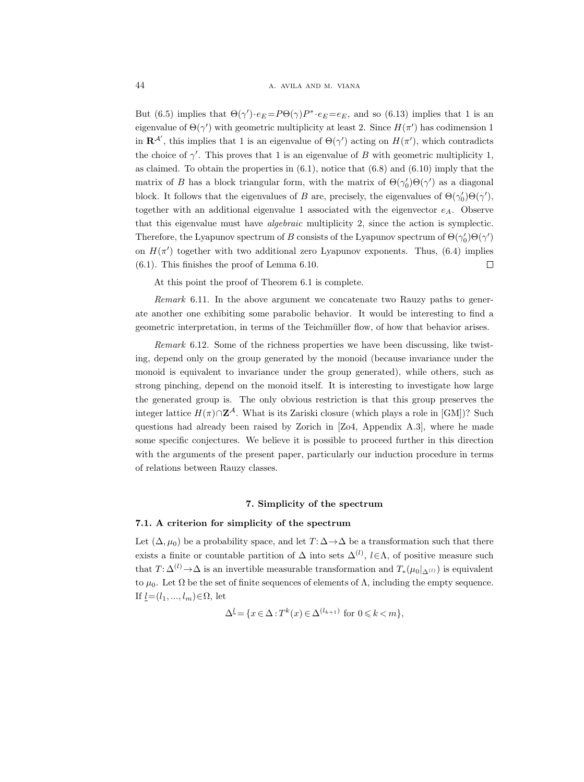But (6.5) implies that  $\Theta(\gamma') \cdot e_E = P \Theta(\gamma) P^* \cdot e_E = e_E$ , and so (6.13) implies that 1 is an eigenvalue of  $\Theta(\gamma')$  with geometric multiplicity at least 2. Since  $H(\pi')$  has codimension 1 in  $\mathbf{R}^{\mathcal{A}'},$  this implies that 1 is an eigenvalue of  $\Theta(\gamma')$  acting on  $H(\pi')$ , which contradicts the choice of  $\gamma'$ . This proves that 1 is an eigenvalue of B with geometric multiplicity 1, as claimed. To obtain the properties in  $(6.1)$ , notice that  $(6.8)$  and  $(6.10)$  imply that the matrix of B has a block triangular form, with the matrix of  $\Theta(\gamma_0')\Theta(\gamma')$  as a diagonal block. It follows that the eigenvalues of B are, precisely, the eigenvalues of  $\Theta(\gamma_0')\Theta(\gamma'),$ together with an additional eigenvalue 1 associated with the eigenvector  $e_A$ . Observe that this eigenvalue must have algebraic multiplicity 2, since the action is symplectic. Therefore, the Lyapunov spectrum of B consists of the Lyapunov spectrum of  $\Theta(\gamma_0')\Theta(\gamma')$ on  $H(\pi')$  together with two additional zero Lyapunov exponents. Thus, (6.4) implies (6.1). This finishes the proof of Lemma 6.10.  $\Box$ 

At this point the proof of Theorem 6.1 is complete.

Remark 6.11. In the above argument we concatenate two Rauzy paths to generate another one exhibiting some parabolic behavior. It would be interesting to find a geometric interpretation, in terms of the Teichmüller flow, of how that behavior arises.

Remark 6.12. Some of the richness properties we have been discussing, like twisting, depend only on the group generated by the monoid (because invariance under the monoid is equivalent to invariance under the group generated), while others, such as strong pinching, depend on the monoid itself. It is interesting to investigate how large the generated group is. The only obvious restriction is that this group preserves the integer lattice  $H(\pi) \cap \mathbb{Z}^{\mathcal{A}}$ . What is its Zariski closure (which plays a role in [GM])? Such questions had already been raised by Zorich in [Zo4, Appendix A.3], where he made some specific conjectures. We believe it is possible to proceed further in this direction with the arguments of the present paper, particularly our induction procedure in terms of relations between Rauzy classes.

# 7. Simplicity of the spectrum

# 7.1. A criterion for simplicity of the spectrum

Let  $(\Delta, \mu_0)$  be a probability space, and let  $T: \Delta \rightarrow \Delta$  be a transformation such that there exists a finite or countable partition of  $\Delta$  into sets  $\Delta^{(l)}$ ,  $l \in \Lambda$ , of positive measure such that  $T: \Delta^{(l)} \to \Delta$  is an invertible measurable transformation and  $T_*(\mu_0|_{\Delta^{(l)}})$  is equivalent to  $μ_0$ . Let Ω be the set of finite sequences of elements of Λ, including the empty sequence. If  $\underline{l}=(l_1, ..., l_m) \in \Omega$ , let

$$
\Delta^{\underline{l}} = \{ x \in \Delta : T^k(x) \in \Delta^{(l_{k+1})} \text{ for } 0 \leq k < m \},
$$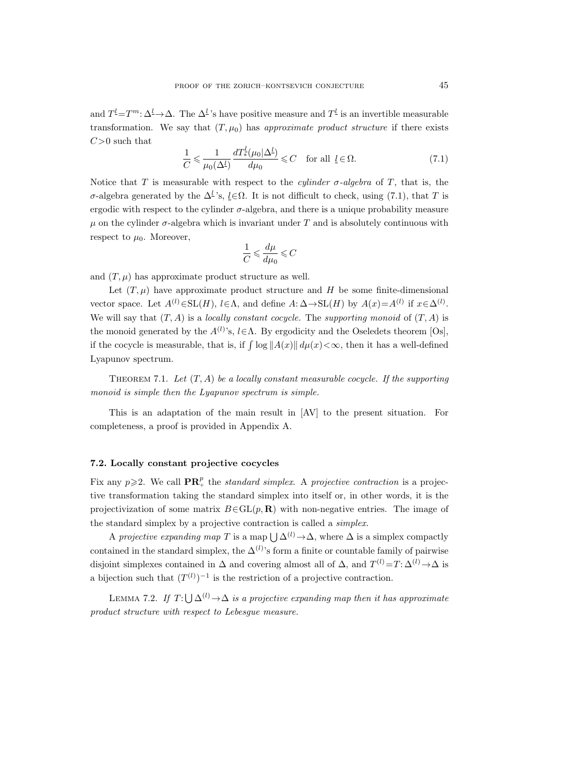and  $T^{\underline{l}} = T^m: \Delta^{\underline{l}} \to \Delta$ . The  $\Delta^{\underline{l}}$ 's have positive measure and  $T^{\underline{l}}$  is an invertible measurable transformation. We say that  $(T, \mu_0)$  has approximate product structure if there exists  $C>0$  such that

$$
\frac{1}{C} \leq \frac{1}{\mu_0(\Delta^l)} \frac{dT_*^l(\mu_0|\Delta^l)}{d\mu_0} \leq C \quad \text{for all } \underline{l} \in \Omega. \tag{7.1}
$$

Notice that T is measurable with respect to the *cylinder*  $\sigma$ -*algebra* of T, that is, the σ-algebra generated by the  $\Delta^{\underline{l}}$ 's,  $\underline{l} \in \Omega$ . It is not difficult to check, using (7.1), that T is ergodic with respect to the cylinder σ-algebra, and there is a unique probability measure  $\mu$  on the cylinder  $\sigma$ -algebra which is invariant under T and is absolutely continuous with respect to  $\mu_0$ . Moreover,

$$
\frac{1}{C}\leqslant \frac{d\mu}{d\mu_0}\leqslant C
$$

and  $(T, \mu)$  has approximate product structure as well.

Let  $(T, \mu)$  have approximate product structure and H be some finite-dimensional vector space. Let  $A^{(l)} \in SL(H)$ ,  $l \in \Lambda$ , and define  $A: \Delta \to SL(H)$  by  $A(x) = A^{(l)}$  if  $x \in \Delta^{(l)}$ . We will say that  $(T, A)$  is a *locally constant cocycle*. The *supporting monoid* of  $(T, A)$  is the monoid generated by the  $A^{(l)}$ 's,  $l \in \Lambda$ . By ergodicity and the Oseledets theorem [Os], if the cocycle is measurable, that is, if  $\int \log ||A(x)|| d\mu(x) < \infty$ , then it has a well-defined Lyapunov spectrum.

THEOREM 7.1. Let  $(T, A)$  be a locally constant measurable cocycle. If the supporting monoid is simple then the Lyapunov spectrum is simple.

This is an adaptation of the main result in [AV] to the present situation. For completeness, a proof is provided in Appendix A.

# 7.2. Locally constant projective cocycles

Fix any  $p \geqslant 2$ . We call  $\mathbf{PR}_+^p$  the standard simplex. A projective contraction is a projective transformation taking the standard simplex into itself or, in other words, it is the projectivization of some matrix  $B \in GL(p, \mathbf{R})$  with non-negative entries. The image of the standard simplex by a projective contraction is called a simplex.

A projective expanding map T is a map  $\bigcup \Delta^{(l)} \to \Delta$ , where  $\Delta$  is a simplex compactly contained in the standard simplex, the  $\Delta^{(l)}$ 's form a finite or countable family of pairwise disjoint simplexes contained in  $\Delta$  and covering almost all of  $\Delta$ , and  $T^{(l)}=T:\Delta^{(l)}\to\Delta$  is a bijection such that  $(T^{(l)})^{-1}$  is the restriction of a projective contraction.

LEMMA 7.2. If  $T: \bigcup \Delta^{(l)} \to \Delta$  is a projective expanding map then it has approximate product structure with respect to Lebesgue measure.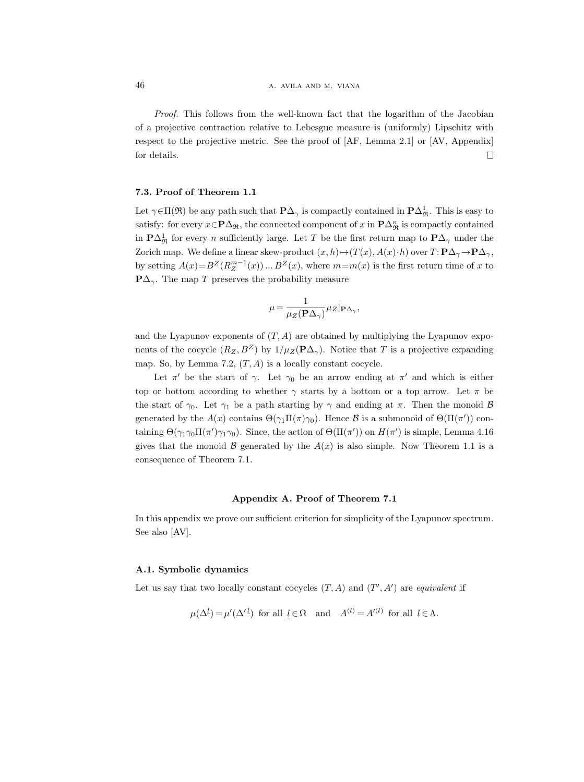Proof. This follows from the well-known fact that the logarithm of the Jacobian of a projective contraction relative to Lebesgue measure is (uniformly) Lipschitz with respect to the projective metric. See the proof of [AF, Lemma 2.1] or [AV, Appendix] for details.  $\Box$ 

# 7.3. Proof of Theorem 1.1

Let  $\gamma \in \Pi(\mathfrak{R})$  be any path such that  $\mathbf{P}\Delta_{\gamma}$  is compactly contained in  $\mathbf{P}\Delta_{\mathfrak{R}}^1$ . This is easy to satisfy: for every  $x \in \mathbf{P}\Delta_{\mathfrak{R}}$ , the connected component of  $x$  in  $\mathbf{P}\Delta_{\mathfrak{R}}^n$  is compactly contained in  $\mathbf{P}\Delta^1_{\mathfrak{R}}$  for every *n* sufficiently large. Let T be the first return map to  $\mathbf{P}\Delta_\gamma$  under the Zorich map. We define a linear skew-product  $(x, h) \mapsto (T(x), A(x) \cdot h)$  over  $T: \mathbf{P}\Delta_{\gamma} \to \mathbf{P}\Delta_{\gamma}$ , by setting  $A(x) = B^Z(R_Z^{m-1}(x)) \dots B^Z(x)$ , where  $m=m(x)$  is the first return time of x to  $\mathbf{P}\Delta_{\gamma}$ . The map T preserves the probability measure

$$
\mu = \frac{1}{\mu_Z(\mathbf{P}\Delta_\gamma)} \mu_Z |_{\mathbf{P}\Delta_\gamma},
$$

and the Lyapunov exponents of  $(T, A)$  are obtained by multiplying the Lyapunov exponents of the cocycle  $(R_Z, B^Z)$  by  $1/\mu_Z(\mathbf{P}\Delta_\gamma)$ . Notice that T is a projective expanding map. So, by Lemma 7.2,  $(T, A)$  is a locally constant cocycle.

Let  $\pi'$  be the start of  $\gamma$ . Let  $\gamma_0$  be an arrow ending at  $\pi'$  and which is either top or bottom according to whether  $\gamma$  starts by a bottom or a top arrow. Let  $\pi$  be the start of  $\gamma_0$ . Let  $\gamma_1$  be a path starting by  $\gamma$  and ending at  $\pi$ . Then the monoid  $\beta$ generated by the  $A(x)$  contains  $\Theta(\gamma_1 \Pi(\pi) \gamma_0)$ . Hence  $\mathcal B$  is a submonoid of  $\Theta(\Pi(\pi'))$  containing  $\Theta(\gamma_1\gamma_0\Pi(\pi')\gamma_1\gamma_0)$ . Since, the action of  $\Theta(\Pi(\pi'))$  on  $H(\pi')$  is simple, Lemma 4.16 gives that the monoid B generated by the  $A(x)$  is also simple. Now Theorem 1.1 is a consequence of Theorem 7.1.

#### Appendix A. Proof of Theorem 7.1

In this appendix we prove our sufficient criterion for simplicity of the Lyapunov spectrum. See also [AV].

# A.1. Symbolic dynamics

Let us say that two locally constant cocycles  $(T, A)$  and  $(T', A')$  are equivalent if

$$
\mu(\Delta^{\underline{l}}) = \mu'(\Delta'^{\underline{l}})
$$
 for all  $\underline{l} \in \Omega$  and  $A^{(l)} = A'^{(l)}$  for all  $l \in \Lambda$ .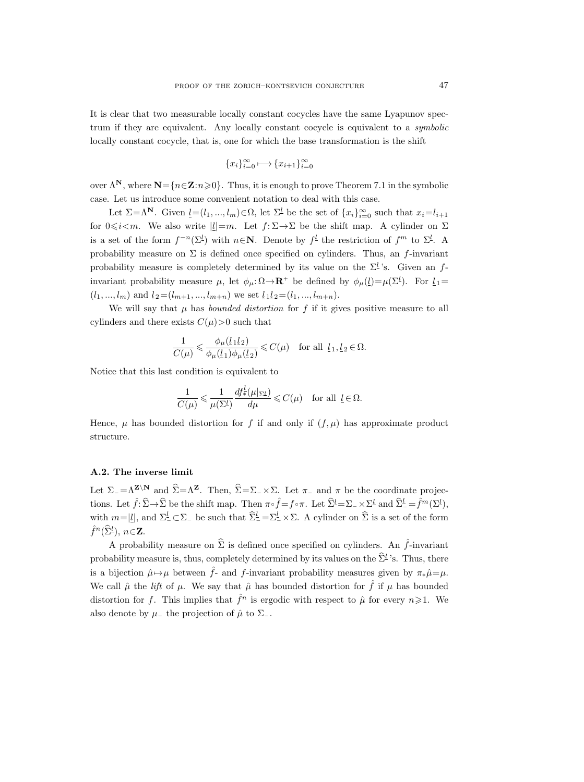It is clear that two measurable locally constant cocycles have the same Lyapunov spectrum if they are equivalent. Any locally constant cocycle is equivalent to a symbolic locally constant cocycle, that is, one for which the base transformation is the shift

$$
\{x_i\}_{i=0}^{\infty} \longmapsto \{x_{i+1}\}_{i=0}^{\infty}
$$

over  $\Lambda^N$ , where  $N = \{n \in \mathbb{Z} : n \geq 0\}$ . Thus, it is enough to prove Theorem 7.1 in the symbolic case. Let us introduce some convenient notation to deal with this case.

Let  $\Sigma = \Lambda^N$ . Given  $\underline{l} = (l_1, ..., l_m) \in \Omega$ , let  $\Sigma^{\underline{l}}$  be the set of  $\{x_i\}_{i=0}^{\infty}$  such that  $x_i = l_{i+1}$ for  $0 \leq i \leq m$ . We also write  $|l|=m$ . Let  $f: \Sigma \to \Sigma$  be the shift map. A cylinder on  $\Sigma$ is a set of the form  $f^{-n}(\Sigma^l)$  with  $n \in \mathbb{N}$ . Denote by  $f^{\underline{l}}$  the restriction of  $f^m$  to  $\Sigma^{\underline{l}}$ . A probability measure on  $\Sigma$  is defined once specified on cylinders. Thus, an f-invariant probability measure is completely determined by its value on the  $\Sigma^{\underline{l}}$ 's. Given an finvariant probability measure  $\mu$ , let  $\phi_{\mu} : \Omega \to \mathbb{R}^+$  be defined by  $\phi_{\mu}(\underline{l}) = \mu(\Sigma^{\underline{l}})$ . For  $\underline{l}_1 =$  $(l_1, ..., l_m)$  and  $l_2=(l_{m+1}, ..., l_{m+n})$  we set  $l_1l_2=(l_1, ..., l_{m+n})$ .

We will say that  $\mu$  has *bounded distortion* for  $f$  if it gives positive measure to all cylinders and there exists  $C(\mu) > 0$  such that

$$
\frac{1}{C(\mu)} \leqslant \frac{\phi_{\mu}(\underline{l}_1 \underline{l}_2)}{\phi_{\mu}(\underline{l}_1)\phi_{\mu}(\underline{l}_2)} \leqslant C(\mu) \quad \text{for all } \underline{l}_1, \underline{l}_2 \in \Omega.
$$

Notice that this last condition is equivalent to

$$
\frac{1}{C(\mu)} \leqslant \frac{1}{\mu(\Sigma^{\underline{l}})} \frac{df_*^{\underline{l}}(\mu|_{\Sigma^{\underline{l}}})}{d\mu} \leqslant C(\mu) \quad \text{for all } \underline{l} \in \Omega.
$$

Hence,  $\mu$  has bounded distortion for f if and only if  $(f, \mu)$  has approximate product structure.

# A.2. The inverse limit

Let  $\Sigma = \Lambda^{\mathbf{Z}\setminus\mathbf{N}}$  and  $\widehat{\Sigma} = \Lambda^{\mathbf{Z}}$ . Then,  $\widehat{\Sigma} = \Sigma_- \times \Sigma$ . Let  $\pi_-$  and  $\pi$  be the coordinate projections. Let  $\hat{f} : \widehat{\Sigma} \to \widehat{\Sigma}$  be the shift map. Then  $\pi \circ \hat{f} = f \circ \pi$ . Let  $\widehat{\Sigma}^{\underline{l}} = \Sigma_- \times \Sigma^{\underline{l}}$  and  $\widehat{\Sigma}^{\underline{l}} = \hat{f}^m(\Sigma^{\underline{l}})$ , with  $m = |\underline{l}|$ , and  $\Sigma^{\underline{l}} \subset \Sigma$  be such that  $\widehat{\Sigma}^{\underline{l}} = \Sigma^{\underline{l}} \times \Sigma$ . A cylinder on  $\widehat{\Sigma}$  is a set of the form  $\hat{f}^n(\widehat{\Sigma}^{\underline{l}}),\,n\in\mathbf{Z}.$ 

A probability measure on  $\widehat{\Sigma}$  is defined once specified on cylinders. An  $\widehat{f}$ -invariant probability measure is, thus, completely determined by its values on the  $\hat{\Sigma}^l$ 's. Thus, there is a bijection  $\hat{\mu} \mapsto \mu$  between  $\hat{f}$ - and f-invariant probability measures given by  $\pi_* \hat{\mu} = \mu$ . We call  $\hat{\mu}$  the *lift* of  $\mu$ . We say that  $\hat{\mu}$  has bounded distortion for  $\hat{f}$  if  $\mu$  has bounded distortion for f. This implies that  $\hat{f}^n$  is ergodic with respect to  $\hat{\mu}$  for every  $n \geq 1$ . We also denote by  $\mu$ <sub>−</sub> the projection of  $\hat{\mu}$  to  $\Sigma$ <sub>−</sub>.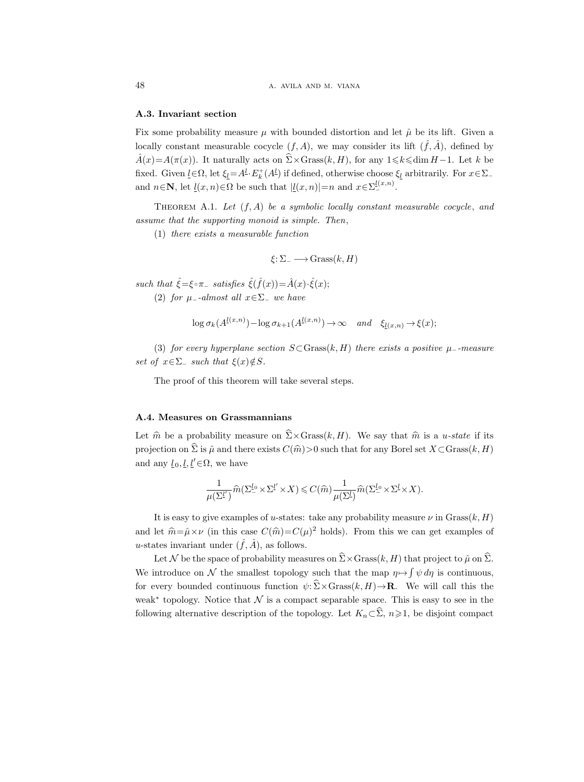# A.3. Invariant section

Fix some probability measure  $\mu$  with bounded distortion and let  $\hat{\mu}$  be its lift. Given a locally constant measurable cocycle  $(f, A)$ , we may consider its lift  $(\hat{f}, \hat{A})$ , defined by  $\hat{A}(x) = A(\pi(x))$ . It naturally acts on  $\hat{\Sigma} \times \text{Grass}(k, H)$ , for any  $1 \leq k \leq \dim H - 1$ . Let k be fixed. Given  $\underline{l} \in \Omega$ , let  $\xi_{\underline{l}} = A^{\underline{l}} \cdot E_k^+(A^{\underline{l}})$  if defined, otherwise choose  $\xi_{\underline{l}}$  arbitrarily. For  $x \in \Sigma_$ and  $n \in \mathbb{N}$ , let  $\underline{l}(x, n) \in \Omega$  be such that  $|\underline{l}(x, n)| = n$  and  $x \in \Sigma_{-}^{\underline{l}(x, n)}$ .

THEOREM A.1. Let  $(f, A)$  be a symbolic locally constant measurable cocycle, and assume that the supporting monoid is simple. Then,

(1) there exists a measurable function

$$
\xi\colon \Sigma_-\longrightarrow \operatorname{Grass}(k,H)
$$

such that  $\hat{\xi} = \xi \circ \pi_{-}$  satisfies  $\hat{\xi}(\hat{f}(x)) = \hat{A}(x) \cdot \hat{\xi}(x);$ 

(2) for  $\mu$ --almost all  $x \in \Sigma$  we have

$$
\log \sigma_k(A^{\underline{l}(x,n)}) - \log \sigma_{k+1}(A^{\underline{l}(x,n)}) \to \infty \quad and \quad \xi_{\underline{l}(x,n)} \to \xi(x);
$$

(3) for every hyperplane section  $S\subset$ Grass $(k, H)$  there exists a positive  $\mu$ -measure set of  $x \in \Sigma$  such that  $\xi(x) \notin S$ .

The proof of this theorem will take several steps.

# A.4. Measures on Grassmannians

Let  $\hat{m}$  be a probability measure on  $\Sigma \times \text{Grass}(k, H)$ . We say that  $\hat{m}$  is a u-state if its projection on  $\hat{\Sigma}$  is  $\hat{\mu}$  and there exists  $C(\hat{m})>0$  such that for any Borel set  $X\subset \text{Grass}(k, H)$ and any  $\underline{l}_0, \underline{l}, \underline{l}' \in \Omega$ , we have

$$
\frac{1}{\mu(\Sigma^{l'})}\widehat{m}(\Sigma^{l_0}_-\times \Sigma^{l'}\times X)\leqslant C(\widehat{m})\frac{1}{\mu(\Sigma^{l})}\widehat{m}(\Sigma^{l_0}_-\times \Sigma^{l}\times X).
$$

It is easy to give examples of u-states: take any probability measure  $\nu$  in Grass $(k, H)$ and let  $\hat{m} = \hat{\mu} \times \nu$  (in this case  $C(\hat{m}) = C(\mu)^2$  holds). From this we can get examples of u-states invariant under  $(\hat{f}, \hat{A})$ , as follows.

Let N be the space of probability measures on  $\widehat{\Sigma} \times \text{Grass}(k, H)$  that project to  $\widehat{\mu}$  on  $\widehat{\Sigma}$ . We introduce on N the smallest topology such that the map  $\eta \mapsto \int \psi \, d\eta$  is continuous, for every bounded continuous function  $\psi: \hat{\Sigma} \times \text{Grass}(k, H) \to \mathbf{R}$ . We will call this the weak<sup>\*</sup> topology. Notice that  $\mathcal N$  is a compact separable space. This is easy to see in the following alternative description of the topology. Let  $K_n\subset \hat{\Sigma}$ ,  $n\geq 1$ , be disjoint compact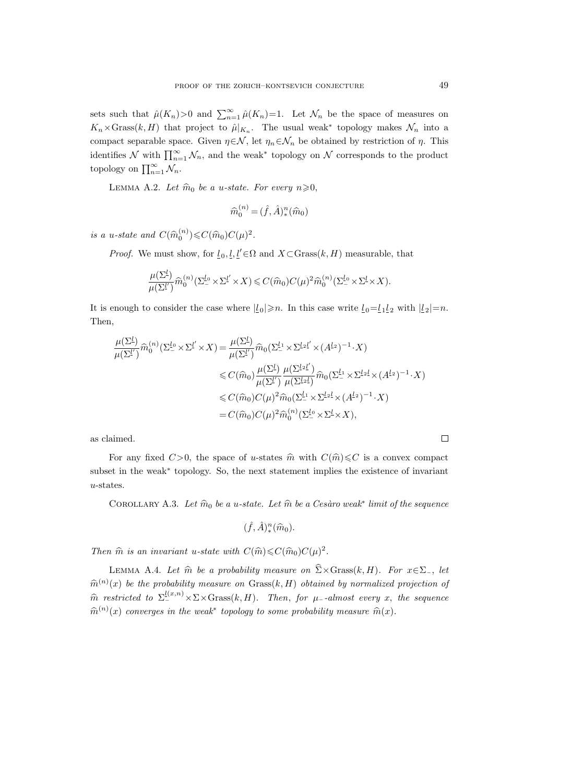sets such that  $\hat{\mu}(K_n) > 0$  and  $\sum_{n=1}^{\infty} \hat{\mu}(K_n) = 1$ . Let  $\mathcal{N}_n$  be the space of measures on  $K_n \times \text{Grass}(k, H)$  that project to  $\hat{\mu}|_{K_n}$ . The usual weak<sup>\*</sup> topology makes  $\mathcal{N}_n$  into a compact separable space. Given  $\eta \in \mathcal{N}$ , let  $\eta_n \in \mathcal{N}_n$  be obtained by restriction of  $\eta$ . This identifies  $\mathcal N$  with  $\prod_{n=1}^{\infty} \mathcal N_n$ , and the weak<sup>∗</sup> topology on  $\mathcal N$  corresponds to the product topology on  $\prod_{n=1}^{\infty} \mathcal{N}_n$ .

LEMMA A.2. Let  $\widehat{m}_0$  be a u-state. For every  $n \geqslant 0$ ,

$$
\widehat{m}_0^{(n)} = (\widehat{f}, \widehat{A})_*^n(\widehat{m}_0)
$$

is a u-state and  $C(\widehat{m}_0^{(n)}) \leqslant C(\widehat{m}_0)C(\mu)^2$ .

*Proof.* We must show, for  $\underline{l}_0, \underline{l}, \underline{l}' \in \Omega$  and  $X \subset \text{Grass}(k, H)$  measurable, that

$$
\frac{\mu(\Sigma^{\underline{l}})}{\mu(\Sigma^{\underline{l}}')} \widehat{m}_0^{(n)}(\Sigma^{\underline{l}_0} \times \Sigma^{\underline{l}'} \times X) \leqslant C(\widehat{m}_0)C(\mu)^2 \widehat{m}_0^{(n)}(\Sigma^{\underline{l}_0} \times \Sigma^{\underline{l}} \times X).
$$

It is enough to consider the case where  $|l_0|\geq n$ . In this case write  $l_0=l_1l_2$  with  $|l_2|=n$ . Then,

$$
\frac{\mu(\Sigma^{l})}{\mu(\Sigma^{l'})}\widehat{m}_0^{(n)}(\Sigma^{l_0} \times \Sigma^{l'} \times X) = \frac{\mu(\Sigma^{l})}{\mu(\Sigma^{l'})}\widehat{m}_0(\Sigma^{l_1} \times \Sigma^{l_2 l'} \times (A^{l_2})^{-1} \cdot X)
$$
  
\n
$$
\leq C(\widehat{m}_0) \frac{\mu(\Sigma^{l})}{\mu(\Sigma^{l'})} \frac{\mu(\Sigma^{l_2 l'})}{\mu(\Sigma^{l_2 l})} \widehat{m}_0(\Sigma^{l_1} \times \Sigma^{l_2 l} \times (A^{l_2})^{-1} \cdot X)
$$
  
\n
$$
\leq C(\widehat{m}_0)C(\mu)^2 \widehat{m}_0(\Sigma^{l_1} \times \Sigma^{l_2 l} \times (A^{l_2})^{-1} \cdot X)
$$
  
\n
$$
= C(\widehat{m}_0)C(\mu)^2 \widehat{m}_0^{(n)}(\Sigma^{l_0} \times \Sigma^{l} \times X),
$$

as claimed.

For any fixed  $C>0$ , the space of u-states  $\hat{m}$  with  $C(\hat{m})\leq C$  is a convex compact subset in the weak<sup>∗</sup> topology. So, the next statement implies the existence of invariant u-states.

COROLLARY A.3. Let  $\widehat{m}_0$  be a u-state. Let  $\widehat{m}$  be a Cesàro weak<sup>\*</sup> limit of the sequence

$$
(\hat{f},\hat{A})_*^n(\hat{m}_0).
$$

Then  $\hat{m}$  is an invariant u-state with  $C(\hat{m}) \leq C(\hat{m}_0)C(\mu)^2$ .

LEMMA A.4. Let  $\hat{m}$  be a probability measure on  $\hat{\Sigma}\times\text{Grass}(k, H)$ . For  $x\in\Sigma_-,$  let  $\widehat{m}^{(n)}(x)$  be the probability measure on Grass $(k, H)$  obtained by normalized projection of  $\widehat{m}$  restricted to  $\Sigma^{l(x,n)}_{-} \times \Sigma \times \text{Grass}(k, H)$ . Then, for  $\mu$ --almost every x, the sequence  $\widehat{m}^{(n)}(x)$  converges in the weak<sup>\*</sup> topology to some probability measure  $\widehat{m}(x)$ .

 $\Box$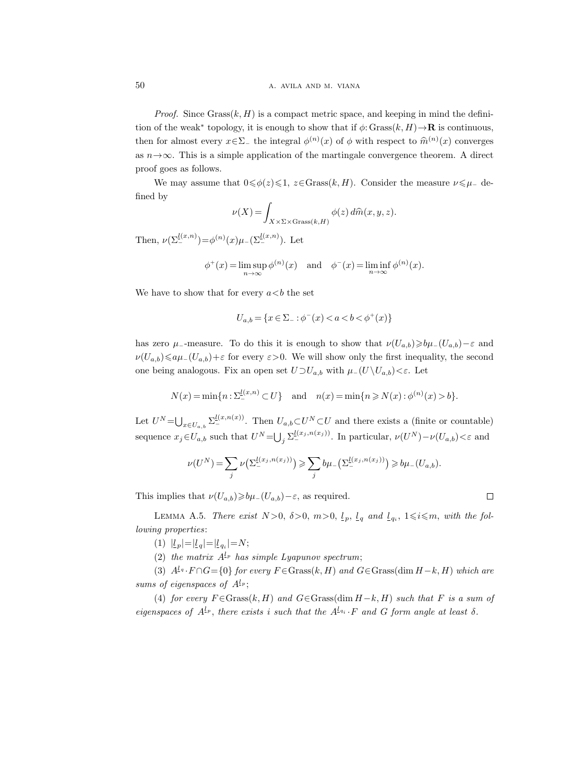*Proof.* Since  $Grass(k, H)$  is a compact metric space, and keeping in mind the definition of the weak<sup>\*</sup> topology, it is enough to show that if  $\phi$ : Grass $(k, H) \rightarrow \mathbf{R}$  is continuous, then for almost every  $x \in \Sigma_{-}$  the integral  $\phi^{(n)}(x)$  of  $\phi$  with respect to  $\widehat{m}^{(n)}(x)$  converges as  $n \rightarrow \infty$ . This is a simple application of the martingale convergence theorem. A direct proof goes as follows.

We may assume that  $0 \le \phi(z) \le 1$ ,  $z \in \text{Grass}(k, H)$ . Consider the measure  $\nu \le \mu_-$  defined by

$$
\nu(X) = \int_{X \times \Sigma \times \text{Grass}(k,H)} \phi(z) d\hat{m}(x, y, z).
$$

Then,  $\nu(\Sigma^{l(x,n)}_-)=\phi^{(n)}(x)\mu_-(\Sigma^{l(x,n)}_-).$  Let

$$
\phi^+(x) = \limsup_{n \to \infty} \phi^{(n)}(x) \quad \text{and} \quad \phi^-(x) = \liminf_{n \to \infty} \phi^{(n)}(x).
$$

We have to show that for every  $a < b$  the set

$$
U_{a,b} = \{ x \in \Sigma_- : \phi^-(x) < a < b < \phi^+(x) \}
$$

has zero  $\mu$ --measure. To do this it is enough to show that  $\nu(U_{a,b}) \geq b\mu_{-}(U_{a,b})-\varepsilon$  and  $\nu(U_{a,b}) \leq a\mu-(U_{a,b})+\varepsilon$  for every  $\varepsilon > 0$ . We will show only the first inequality, the second one being analogous. Fix an open set  $U \supset U_{a,b}$  with  $\mu_-(U\setminus U_{a,b})<\varepsilon$ . Let

$$
N(x) = \min\{n : \sum_{i=1}^{l(x,n)} \subset U\}
$$
 and  $n(x) = \min\{n \ge N(x) : \phi^{(n)}(x) > b\}.$ 

Let  $U^N=\bigcup_{x\in U_{a,b}} \sum_{i=1}^{\lfloor (x,n(x)) \rfloor}$ . Then  $U_{a,b}\subset U^N\subset U$  and there exists a (finite or countable) sequence  $x_j \in U_{a,b}$  such that  $U^N = \bigcup_j \sum_{i=1}^{\lfloor (x_j,n(x_j)) \rfloor}$ . In particular,  $\nu(U^N) - \nu(U_{a,b}) < \varepsilon$  and

$$
\nu(U^N) = \sum_j \nu\left(\Sigma_-^{\underline{l}(x_j,n(x_j))}\right) \geqslant \sum_j b\mu_-\left(\Sigma_-^{\underline{l}(x_j,n(x_j))}\right) \geqslant b\mu_-\left(U_{a,b}\right).
$$

This implies that  $\nu(U_{a,b})\geq b\mu_-(U_{a,b})-\varepsilon$ , as required.

$$
\quad \square
$$

LEMMA A.5. There exist  $N>0$ ,  $\delta>0$ ,  $m>0$ ,  $\underline{l}_p$ ,  $\underline{l}_q$  and  $\underline{l}_{q_i}$ ,  $1\leqslant i\leqslant m$ , with the following properties:

(1)  $|l_p| = |l_q| = |l_{q_i}| = N;$ 

(2) the matrix  $A^{\mathfrak{L}_p}$  has simple Lyapunov spectrum;

(3)  $A^{l_q} \cdot F \cap G = \{0\}$  for every  $F \in \text{Grass}(k, H)$  and  $G \in \text{Grass}(\dim H - k, H)$  which are sums of eigenspaces of  $A^{l_p}$ ;

(4) for every  $F \in \text{Grass}(k, H)$  and  $G \in \text{Grass}(\dim H - k, H)$  such that F is a sum of eigenspaces of  $A^{l_p}$ , there exists i such that the  $A^{l_{q_i}}\cdot F$  and G form angle at least  $\delta$ .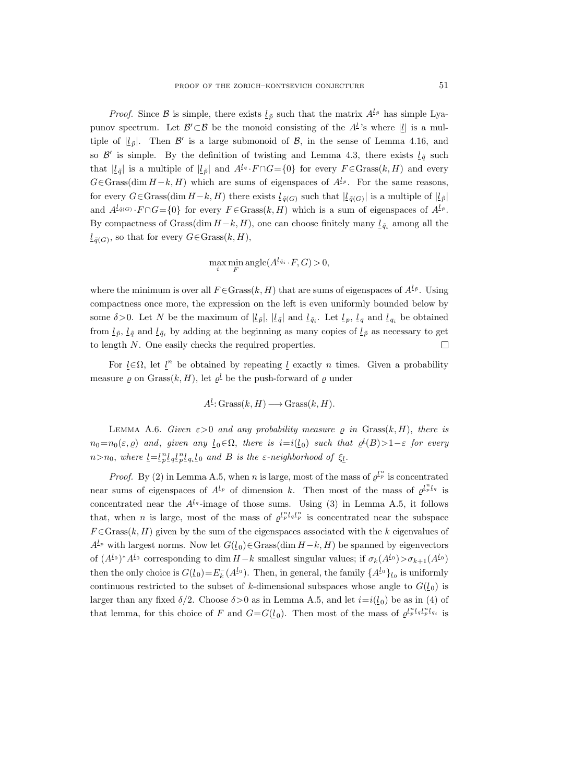*Proof.* Since B is simple, there exists  $l_{\tilde{p}}$  such that the matrix  $A^{l_{\tilde{p}}}$  has simple Lyapunov spectrum. Let  $\mathcal{B}' \subset \mathcal{B}$  be the monoid consisting of the  $A^L$ 's where  $|\underline{l}|$  is a multiple of  $|\ell_{\tilde{p}}|$ . Then  $\mathcal{B}'$  is a large submonoid of  $\mathcal{B}$ , in the sense of Lemma 4.16, and so  $\mathcal{B}'$  is simple. By the definition of twisting and Lemma 4.3, there exists  $\underline{l}_{\tilde{q}}$  such that  $|\underline{l}_{\tilde{q}}|$  is a multiple of  $|\underline{l}_{\tilde{p}}|$  and  $A^{\underline{l}_{\tilde{q}}} \cdot F \cap G = \{0\}$  for every  $F \in \text{Grass}(k, H)$  and every  $G \in \text{Grass}(\dim H - k, H)$  which are sums of eigenspaces of  $A^{\underline{l}, \underline{\rho}}$ . For the same reasons, for every  $G \in \text{Grass}(\dim H - k, H)$  there exists  $l_{\tilde{q}(G)}$  such that  $|l_{\tilde{q}(G)}|$  is a multiple of  $|l_{\tilde{p}}|$ and  $A^{\underline{l}_{\tilde{q}}(G)}\cdot F\cap G=\{0\}$  for every  $F\in \text{Grass}(k,H)$  which is a sum of eigenspaces of  $A^{\underline{l}_{\tilde{p}}}.$ By compactness of Grass(dim  $H-k$ , H), one can choose finitely many  $\mathcal{L}_{\tilde{q}_i}$  among all the  $\underline{l}_{\tilde{q}(G)}$ , so that for every  $G \in \text{Grass}(k, H)$ ,

$$
\max_{i} \min_{F} \text{angle}(A^{\underline{l}\cdot\bar{q}_i} \cdot F, G) > 0,
$$

where the minimum is over all  $F \in \text{Grass}(k, H)$  that are sums of eigenspaces of  $A^{\underline{l}, \bar{p}}$ . Using compactness once more, the expression on the left is even uniformly bounded below by some  $\delta > 0$ . Let N be the maximum of  $|\underline{l}_{\tilde{p}}|$ ,  $|\underline{l}_{\tilde{q}}|$  and  $\underline{l}_{\tilde{q}_i}$ . Let  $\underline{l}_{p}$ ,  $\underline{l}_{q}$  and  $\underline{l}_{q_i}$  be obtained from  $l_{\tilde{p}}$ ,  $l_{\tilde{q}}$  and  $l_{\tilde{q}_i}$  by adding at the beginning as many copies of  $l_{\tilde{p}}$  as necessary to get to length  $N$ . One easily checks the required properties. П

For  $\underline{l} \in \Omega$ , let  $\underline{l}^n$  be obtained by repeating  $\underline{l}$  exactly n times. Given a probability measure  $\varrho$  on Grass $(k, H)$ , let  $\varrho^{\underline{l}}$  be the push-forward of  $\varrho$  under

$$
A^{\underline{l}}: \operatorname{Grass}(k, H) \longrightarrow \operatorname{Grass}(k, H).
$$

LEMMA A.6. Given  $\varepsilon > 0$  and any probability measure  $\rho$  in Grass $(k, H)$ , there is  $n_0=n_0(\varepsilon,\varrho)$  and, given any  $\underline{l}_0 \in \Omega$ , there is  $i=i(\underline{l}_0)$  such that  $\varrho^{\underline{l}}(B) > 1-\varepsilon$  for every  $n>n_0$ , where  $\underline{l}=\underline{l}^n_p \underline{l}_q \underline{l}^n_p \underline{l}_{q_i} \underline{l}_0$  and B is the  $\varepsilon$ -neighborhood of  $\xi_{\underline{l}}$ .

*Proof.* By (2) in Lemma A.5, when *n* is large, most of the mass of  $\varrho^{l_p}$  is concentrated near sums of eigenspaces of  $A^{l_p}$  of dimension k. Then most of the mass of  $\varrho^{l_p}l_q$  is concentrated near the  $A^{l_q}$ -image of those sums. Using (3) in Lemma A.5, it follows that, when *n* is large, most of the mass of  $\varrho^{l_p} l_q l_p^n$  is concentrated near the subspace  $F \in \text{Grass}(k, H)$  given by the sum of the eigenspaces associated with the k eigenvalues of  $A^{l_p}$  with largest norms. Now let  $G(l_0) \in \text{Grass}(\text{dim } H-k, H)$  be spanned by eigenvectors of  $(A^{l_0})^*A^{l_0}$  corresponding to dim  $H-k$  smallest singular values; if  $\sigma_k(A^{l_0}) > \sigma_{k+1}(A^{l_0})$ then the only choice is  $G(\underline{l}_0) = E_k^-(A^{\underline{l}_0})$ . Then, in general, the family  $\{A^{\underline{l}_0}\}_{\underline{l}_0}$  is uniformly continuous restricted to the subset of k-dimensional subspaces whose angle to  $G(\underline{l}_0)$  is larger than any fixed  $\delta/2$ . Choose  $\delta > 0$  as in Lemma A.5, and let  $i = i(\underline{l}_0)$  be as in (4) of that lemma, for this choice of F and  $G = G(l_0)$ . Then most of the mass of  $\varrho^{l_p} l_q l_p^{n_l} l_{q_l}$  is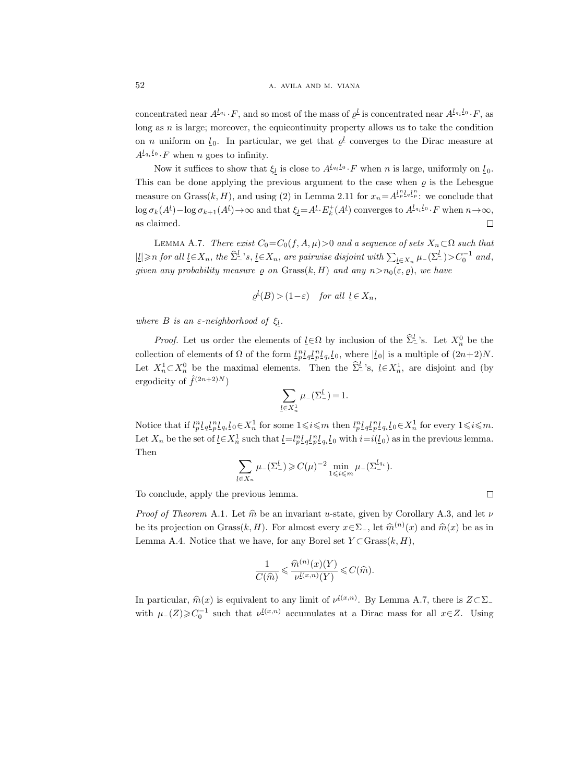concentrated near  $A^{l_{q_i}} \cdot F$ , and so most of the mass of  $\varrho^l$  is concentrated near  $A^{l_{q_i}l_0} \cdot F$ , as long as  $n$  is large; moreover, the equicontinuity property allows us to take the condition on *n* uniform on  $l_0$ . In particular, we get that  $\varrho^l$  converges to the Dirac measure at  $A^{l_{q_i}l_0} \cdot F$  when n goes to infinity.

Now it suffices to show that  $\xi_{\underline{l}}$  is close to  $A^{\underline{l}_{q_i}\underline{l}_0}\cdot F$  when n is large, uniformly on  $\underline{l}_0$ . This can be done applying the previous argument to the case when  $\varrho$  is the Lebesgue measure on Grass $(k, H)$ , and using (2) in Lemma 2.11 for  $x_n = A^{l_p^n}L^{l_q}L^p$ ; we conclude that  $\log \sigma_k(A^l) - \log \sigma_{k+1}(A^l) \to \infty$  and that  $\xi_l = A^l \cdot E^+_k(A^l)$  converges to  $A^{l_{q_i}l_0} \cdot F$  when  $n \to \infty$ , as claimed.  $\Box$ 

LEMMA A.7. There exist  $C_0=C_0(f, A, \mu)>0$  and a sequence of sets  $X_n\subset\Omega$  such that  $|L| \geq n$  for all  $L \in X_n$ , the  $\hat{\Sigma}_-^L$ 's,  $L \in X_n$ , are pairwise disjoint with  $\sum_{L \in X_n} \mu_-(\Sigma_-^L) > C_0^{-1}$  and, given any probability measure  $\varrho$  on Grass $(k, H)$  and any  $n > n_0(\varepsilon, \varrho)$ , we have

$$
\varrho^{\underline{l}}(B) > (1 - \varepsilon) \quad \text{for all } \underline{l} \in X_n,
$$

where B is an  $\varepsilon$ -neighborhood of  $\xi$ .

*Proof.* Let us order the elements of  $\underline{l} \in \Omega$  by inclusion of the  $\widehat{\Sigma}^{\underline{l}}_{-}$ 's. Let  $X_n^0$  be the collection of elements of  $\Omega$  of the form  $\frac{1}{p} \frac{1}{q} \frac{1}{p} \frac{1}{q} \frac{1}{q} \frac{1}{q} \frac{1}{q} \frac{1}{q} \frac{1}{q}$ , where  $|\underline{l}_0|$  is a multiple of  $(2n+2)N$ . Let  $X_n^1 \subset X_n^0$  be the maximal elements. Then the  $\hat{\Sigma}_-^{\underline{l}}$ 's,  $\underline{l} \in X_n^1$ , are disjoint and (by ergodicity of  $\hat{f}^{(2n+2)N}$ 

$$
\sum_{\underline{l}\in X_n^1}\mu_-(\Sigma_-^{\underline{l}})=1.
$$

Notice that if  $l_p^n \underline{l}_q \underline{l}_p^n \underline{l}_{q_i} \underline{l}_0 \in X_n^1$  for some  $1 \leqslant i \leqslant m$  then  $l_p^n \underline{l}_q \underline{l}_p^n \underline{l}_{q_i} \underline{l}_0 \in X_n^1$  for every  $1 \leqslant i \leqslant m$ . Let  $X_n$  be the set of  $\underline{l} \in X_n^1$  such that  $\underline{l} = l_p^n \underline{l}_q l_p^n \underline{l}_q l_q$  with  $i = i(\underline{l}_0)$  as in the previous lemma. Then

$$
\sum_{\underline{l}\in X_n} \mu_-(\Sigma_-^{\underline{l}}) \geqslant C(\mu)^{-2} \min_{1 \leqslant i \leqslant m} \mu_-(\Sigma_-^{\underline{l}_{q_i}}).
$$

To conclude, apply the previous lemma.

*Proof of Theorem A.1.* Let  $\hat{m}$  be an invariant u-state, given by Corollary A.3, and let  $\nu$ be its projection on Grass $(k, H)$ . For almost every  $x \in \Sigma_{-}$ , let  $\widehat{m}^{(n)}(x)$  and  $\widehat{m}(x)$  be as in Lemma A.4. Notice that we have, for any Borel set  $Y \subset \text{Grass}(k, H)$ ,

$$
\frac{1}{C(\widehat{m})} \leqslant \frac{\widehat{m}^{(n)}(x)(Y)}{\nu^{\underline{l}(x,n)}(Y)} \leqslant C(\widehat{m}).
$$

In particular,  $\widehat{m}(x)$  is equivalent to any limit of  $\nu^{l(x,n)}$ . By Lemma A.7, there is  $Z \subset \Sigma$ with  $\mu_-(Z) \geqslant C_0^{-1}$  such that  $\nu^{\underline{l}(x,n)}$  accumulates at a Dirac mass for all  $x \in Z$ . Using

$$
\qquad \qquad \Box
$$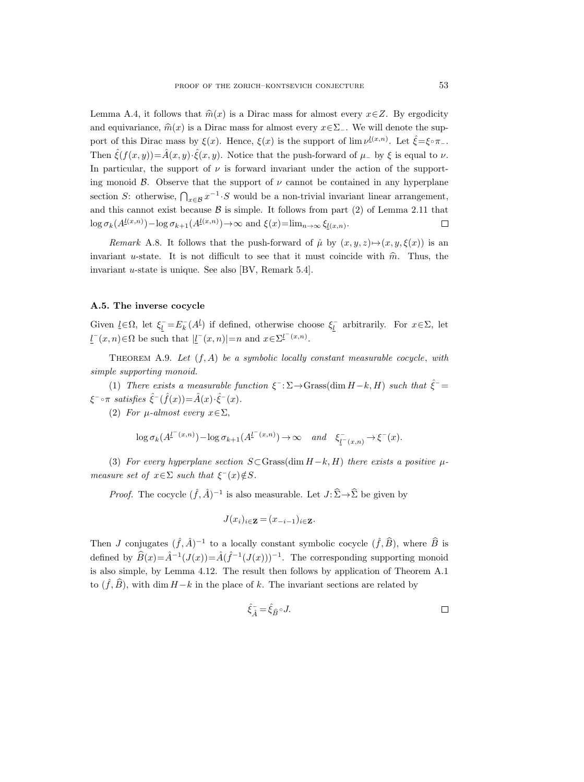Lemma A.4, it follows that  $\hat{m}(x)$  is a Dirac mass for almost every  $x \in \mathbb{Z}$ . By ergodicity and equivariance,  $\hat{m}(x)$  is a Dirac mass for almost every  $x \in \Sigma_-\$ . We will denote the support of this Dirac mass by  $\xi(x)$ . Hence,  $\xi(x)$  is the support of lim  $\nu^{\underline{l}(x,n)}$ . Let  $\hat{\xi} = \xi \circ \pi_{-}$ . Then  $\hat{\xi}(f(x,y)) = \hat{A}(x, y) \cdot \hat{\xi}(x, y)$ . Notice that the push-forward of  $\mu$  by  $\xi$  is equal to  $\nu$ . In particular, the support of  $\nu$  is forward invariant under the action of the supporting monoid  $\beta$ . Observe that the support of  $\nu$  cannot be contained in any hyperplane section S: otherwise,  $\bigcap_{x\in\mathcal{B}}x^{-1}\cdot S$  would be a non-trivial invariant linear arrangement, and this cannot exist because  $\beta$  is simple. It follows from part (2) of Lemma 2.11 that  $\log \sigma_k(A^{\underline{l}(x,n)}) - \log \sigma_{k+1}(A^{\underline{l}(x,n)}) \to \infty$  and  $\xi(x) = \lim_{n \to \infty} \xi_{\underline{l}(x,n)}$ .  $\Box$ 

Remark A.8. It follows that the push-forward of  $\hat{\mu}$  by  $(x, y, z) \mapsto (x, y, \xi(x))$  is an invariant u-state. It is not difficult to see that it must coincide with  $\hat{m}$ . Thus, the invariant u-state is unique. See also [BV, Remark 5.4].

## A.5. The inverse cocycle

Given  $\underline{l} \in \Omega$ , let  $\xi_{\underline{l}} = E_{k}(A^{\underline{l}})$  if defined, otherwise choose  $\xi_{\underline{l}}$  arbitrarily. For  $x \in \Sigma$ , let  $\underline{l}^-(x,n) \in \Omega$  be such that  $|\underline{l}^-(x,n)| = n$  and  $x \in \Sigma^{\underline{l}^-(x,n)}$ .

THEOREM A.9. Let  $(f, A)$  be a symbolic locally constant measurable cocycle, with simple supporting monoid.

(1) There exists a measurable function  $\xi^- : \Sigma \to$  Grass(dim  $H-k$ , H) such that  $\hat{\xi}^-$  =  $\xi^{-\circ \pi}$  satisfies  $\hat{\xi}^{-}(\hat{f}(x)) = \hat{A}(x) \cdot \hat{\xi}^{-}(x)$ .

(2) For  $\mu$ -almost every  $x \in \Sigma$ ,

$$
\log \sigma_k(A^{l^-(x,n)}) - \log \sigma_{k+1}(A^{l^-(x,n)}) \to \infty \quad and \quad \xi^-_{\underline{l}^-(x,n)} \to \xi^-(x).
$$

(3) For every hyperplane section  $S\subset$ Grass(dim  $H-k$ , H) there exists a positive  $\mu$ measure set of  $x \in \Sigma$  such that  $\xi^-(x) \notin S$ .

*Proof.* The cocycle  $(\hat{f}, \hat{A})^{-1}$  is also measurable. Let  $J: \hat{\Sigma} \to \hat{\Sigma}$  be given by

$$
J(x_i)_{i \in \mathbf{Z}} = (x_{-i-1})_{i \in \mathbf{Z}}.
$$

Then J conjugates  $(\hat{f}, \hat{A})^{-1}$  to a locally constant symbolic cocycle  $(\hat{f}, \hat{B})$ , where  $\hat{B}$  is defined by  $\widehat{B}(x) = \widehat{A}^{-1}(J(x)) = \widehat{A}(\widehat{f}^{-1}(J(x)))^{-1}$ . The corresponding supporting monoid is also simple, by Lemma 4.12. The result then follows by application of Theorem A.1 to  $(\hat{f}, \hat{B})$ , with dim  $H-k$  in the place of k. The invariant sections are related by

$$
\hat{\xi}_{\hat{A}} = \hat{\xi}_{\hat{B}} \circ J. \qquad \qquad \Box
$$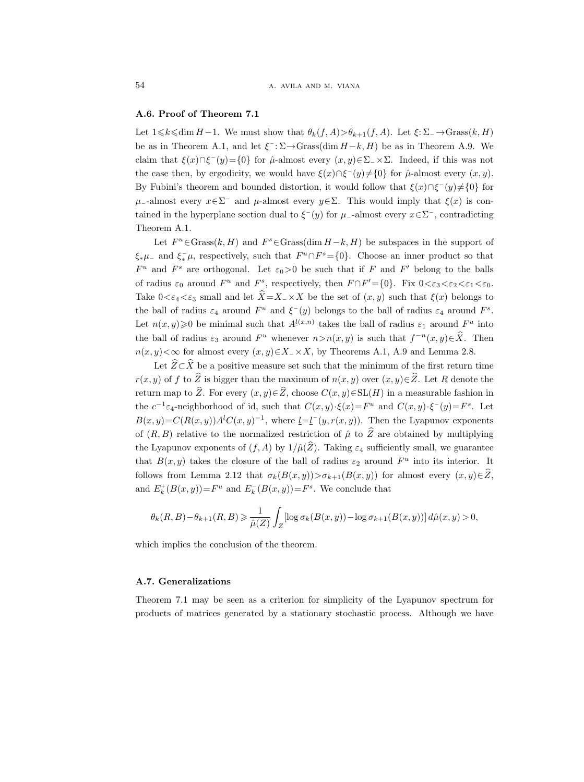# A.6. Proof of Theorem 7.1

Let  $1\leq k\leq \dim H-1$ . We must show that  $\theta_k(f,A)>\theta_{k+1}(f,A)$ . Let  $\xi: \Sigma_-\to \text{Grass}(k, H)$ be as in Theorem A.1, and let  $\xi^-$ :  $\Sigma \rightarrow$ Grass(dim  $H-k$ ,  $H$ ) be as in Theorem A.9. We claim that  $\xi(x) \cap \xi^{-}(y) = \{0\}$  for  $\hat{\mu}$ -almost every  $(x, y) \in \Sigma$   $\times \Sigma$ . Indeed, if this was not the case then, by ergodicity, we would have  $\xi(x) \cap \xi^{-}(y) \neq \{0\}$  for  $\hat{\mu}$ -almost every  $(x, y)$ . By Fubini's theorem and bounded distortion, it would follow that  $\xi(x) \cap \xi^-(y) \neq \{0\}$  for  $\mu$ <sub>-</sub>-almost every  $x \in \Sigma^-$  and  $\mu$ -almost every  $y \in \Sigma$ . This would imply that  $\xi(x)$  is contained in the hyperplane section dual to  $\xi^-(y)$  for  $\mu$ -almost every  $x \in \Sigma^-$ , contradicting Theorem A.1.

Let  $F^u \in \text{Grass}(k, H)$  and  $F^s \in \text{Grass}(\dim H - k, H)$  be subspaces in the support of  $\xi_*\mu_-\text{ and } \xi_*^-\mu$ , respectively, such that  $F^u \cap F^s = \{0\}$ . Choose an inner product so that  $F^u$  and  $F^s$  are orthogonal. Let  $\varepsilon_0 > 0$  be such that if F and F' belong to the balls of radius  $\varepsilon_0$  around  $F^u$  and  $F^s$ , respectively, then  $F \cap F' = \{0\}$ . Fix  $0 < \varepsilon_3 < \varepsilon_2 < \varepsilon_1 < \varepsilon_0$ . Take  $0<\epsilon_4<\epsilon_3$  small and let  $\widehat{X}=X_-\times X$  be the set of  $(x, y)$  such that  $\xi(x)$  belongs to the ball of radius  $\varepsilon_4$  around  $F^u$  and  $\xi^-(y)$  belongs to the ball of radius  $\varepsilon_4$  around  $F^s$ . Let  $n(x, y) \geq 0$  be minimal such that  $A^{l(x,n)}$  takes the ball of radius  $\varepsilon_1$  around  $F^u$  into the ball of radius  $\varepsilon_3$  around  $F^u$  whenever  $n > n(x, y)$  is such that  $f^{-n}(x, y) \in \hat{X}$ . Then  $n(x, y) < \infty$  for almost every  $(x, y) \in X_-\times X$ , by Theorems A.1, A.9 and Lemma 2.8.

Let  $\widehat{Z}\subset\widehat{X}$  be a positive measure set such that the minimum of the first return time  $r(x, y)$  of f to  $\widehat{Z}$  is bigger than the maximum of  $n(x, y)$  over  $(x, y) \in \widehat{Z}$ . Let R denote the return map to  $\widehat{Z}$ . For every  $(x, y) \in \widehat{Z}$ , choose  $C(x, y) \in SL(H)$  in a measurable fashion in the  $c^{-1}\varepsilon_4$ -neighborhood of id, such that  $C(x,y)\cdot\xi(x)=F^u$  and  $C(x,y)\cdot\xi^-(y)=F^s$ . Let  $B(x,y)=C(R(x,y))A<sup>1</sup>C(x,y)<sup>-1</sup>$ , where  $\underline{l}=\underline{l}^{-}(y,r(x,y))$ . Then the Lyapunov exponents of  $(R, B)$  relative to the normalized restriction of  $\hat{\mu}$  to  $\hat{Z}$  are obtained by multiplying the Lyapunov exponents of  $(f, A)$  by  $1/\hat{\mu}(\widehat{Z})$ . Taking  $\varepsilon_4$  sufficiently small, we guarantee that  $B(x, y)$  takes the closure of the ball of radius  $\varepsilon_2$  around  $F^u$  into its interior. It follows from Lemma 2.12 that  $\sigma_k(B(x,y))>\sigma_{k+1}(B(x,y))$  for almost every  $(x,y)\in\hat{Z}$ , and  $E_k^+(B(x, y)) = F^u$  and  $E_k^-(B(x, y)) = F^s$ . We conclude that

$$
\theta_k(R,B)-\theta_{k+1}(R,B)\geqslant\frac{1}{\hat{\mu}(Z)}\int_Z\left[\log\sigma_k(B(x,y))-\log\sigma_{k+1}(B(x,y))\right]d\hat{\mu}(x,y)>0,
$$

which implies the conclusion of the theorem.

# A.7. Generalizations

Theorem 7.1 may be seen as a criterion for simplicity of the Lyapunov spectrum for products of matrices generated by a stationary stochastic process. Although we have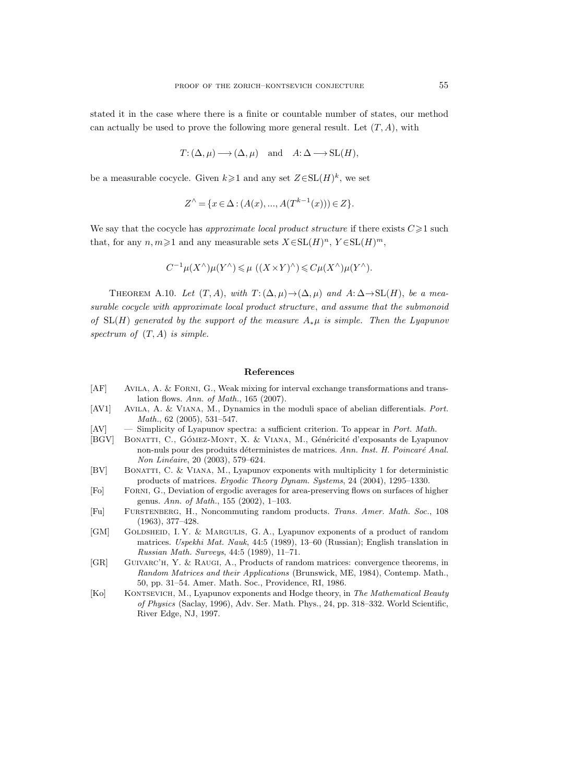stated it in the case where there is a finite or countable number of states, our method can actually be used to prove the following more general result. Let  $(T, A)$ , with

$$
T: (\Delta, \mu) \longrightarrow (\Delta, \mu)
$$
 and  $A: \Delta \longrightarrow SL(H)$ ,

be a measurable cocycle. Given  $k \geq 1$  and any set  $Z \in SL(H)^k$ , we set

$$
Z^{\wedge} = \{ x \in \Delta : (A(x), ..., A(T^{k-1}(x))) \in Z \}.
$$

We say that the cocycle has approximate local product structure if there exists  $C \geq 1$  such that, for any  $n, m \geq 1$  and any measurable sets  $X \in SL(H)^n$ ,  $Y \in SL(H)^m$ ,

$$
C^{-1}\mu(X^{\wedge})\mu(Y^{\wedge}) \leq \mu((X \times Y)^{\wedge}) \leq C\mu(X^{\wedge})\mu(Y^{\wedge}).
$$

THEOREM A.10. Let  $(T, A)$ , with  $T: (\Delta, \mu) \rightarrow (\Delta, \mu)$  and  $A: \Delta \rightarrow SL(H)$ , be a measurable cocycle with approximate local product structure, and assume that the submonoid of  $SL(H)$  generated by the support of the measure  $A_*\mu$  is simple. Then the Lyapunov spectrum of  $(T, A)$  is simple.

#### References

- [AF] Avila, A. & Forni, G., Weak mixing for interval exchange transformations and translation flows. Ann. of Math., 165 (2007).
- [AV1] Avila, A. & Viana, M., Dynamics in the moduli space of abelian differentials. Port. Math., 62 (2005), 531–547.

[AV] — Simplicity of Lyapunov spectra: a sufficient criterion. To appear in Port. Math.

- [BGV] BONATTI, C., GÓMEZ-MONT, X. & VIANA, M., Généricité d'exposants de Lyapunov non-nuls pour des produits déterministes de matrices. Ann. Inst. H. Poincaré Anal. Non Linéaire, 20 (2003), 579–624.
- [BV] Bonatti, C. & Viana, M., Lyapunov exponents with multiplicity 1 for deterministic products of matrices. Ergodic Theory Dynam. Systems, 24 (2004), 1295–1330.
- [Fo] Forni, G., Deviation of ergodic averages for area-preserving flows on surfaces of higher genus. Ann. of Math., 155 (2002), 1–103.
- [Fu] Furstenberg, H., Noncommuting random products. Trans. Amer. Math. Soc., 108 (1963), 377–428.
- [GM] GOLDSHEID, I. Y. & MARGULIS, G. A., Lyapunov exponents of a product of random matrices. Uspekhi Mat. Nauk, 44:5 (1989), 13–60 (Russian); English translation in Russian Math. Surveys, 44:5 (1989), 11–71.
- [GR] Guivarc'h, Y. & Raugi, A., Products of random matrices: convergence theorems, in Random Matrices and their Applications (Brunswick, ME, 1984), Contemp. Math., 50, pp. 31–54. Amer. Math. Soc., Providence, RI, 1986.
- [Ko] KONTSEVICH, M., Lyapunov exponents and Hodge theory, in The Mathematical Beauty of Physics (Saclay, 1996), Adv. Ser. Math. Phys., 24, pp. 318–332. World Scientific, River Edge, NJ, 1997.